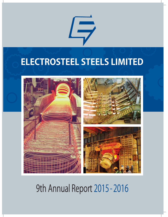# **ELECTROSTEEL STEELS LIMITED**

 $\Box$ 



# 9th Annual Report 2015 - 2016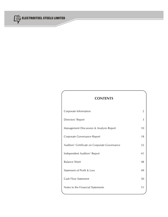

# **CONTENTS**

| Corporate Information                         | 2  |
|-----------------------------------------------|----|
| Directors' Report                             | 3  |
| Management Discussion & Analysis Report       | 10 |
| Corporate Governance Report                   | 18 |
| Auditors' Certificate on Corporate Governance | 32 |
| Independent Auditors' Report                  | 41 |
| <b>Balance Sheet</b>                          | 48 |
| Statement of Profit & Loss                    | 49 |
| <b>Cash Flow Statement</b>                    | 50 |
| Notes to the Financial Statements             | 51 |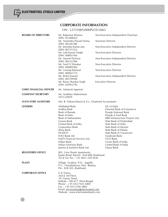

# **CORPORATE INFORMATION**

# CIN - L27310JH2006PLC012663

| <b>BOARD OF DIRECTORS</b>      | Mr. Rajkumar Khanna<br>(DIN: 05180042)<br>Mr. Amrendra Prasad Verma<br>(DIN: 00236108)<br>Mr. Jinendra Kumar Jain<br>(DIN: 00737352)<br>Mr. Lalit Kumar Singhi<br>(DIN: 00893144)<br>Mr. Naresh Pachisia<br>(DIN: 00233768)<br>Mr. Sunil V Diwakar<br>(DIN: 00089266)<br>Mr. Umang Kejriwal<br>(DIN: 00065173)<br>Ms. Rishu Kumari<br>(DIN: 00729938)<br>Mr. Rama Shankar Singh | Non-Executive Independent Chairman<br>Nominee Director<br>Non-Executive Independent Director<br>Non-Executive Director<br>Non-Executive Independent Director<br>Non-Executive Director<br>Non-Executive Director<br>Non-Executive Independent Director<br><b>Executive Director</b>                                                                           |
|--------------------------------|---------------------------------------------------------------------------------------------------------------------------------------------------------------------------------------------------------------------------------------------------------------------------------------------------------------------------------------------------------------------------------|---------------------------------------------------------------------------------------------------------------------------------------------------------------------------------------------------------------------------------------------------------------------------------------------------------------------------------------------------------------|
|                                | (DIN: 02093276)                                                                                                                                                                                                                                                                                                                                                                 |                                                                                                                                                                                                                                                                                                                                                               |
| <b>CHIEF FINANCIAL OFFICER</b> | Mr. Ashutosh Agarwal                                                                                                                                                                                                                                                                                                                                                            |                                                                                                                                                                                                                                                                                                                                                               |
| <b>COMPANY SECRETARY</b>       | Mr. Anubhav Maheshwari<br>$(ACS-22829)$                                                                                                                                                                                                                                                                                                                                         |                                                                                                                                                                                                                                                                                                                                                               |
| <b>STATUTORY AUDITORS</b>      | M/s. B. Chhawchharia & Co., Chartered Accountants                                                                                                                                                                                                                                                                                                                               |                                                                                                                                                                                                                                                                                                                                                               |
| <b>LENDERS</b>                 | Allahabad Bank<br>Andhra Bank<br>Bank of Baroda<br>Bank of India<br>Bank of Maharashtra<br>Canara Bank<br>Central Bank of India<br>Corporation Bank<br>Dena Bank<br><b>HUDCO</b><br><b>ICICI Bank Ltd.</b><br>IL&FS Financial Services Ltd.<br>Indian Bank<br>Indian Overseas Bank<br>Jammu & Kashmir Bank Ltd.                                                                 | LIC of India<br>Oriental Bank of Commerce<br>Punjab National Bank<br>Punjab & Sind Bank<br>SREI Infrastructure Finance Ltd.<br>State Bank of Hyderabad<br>State Bank of India<br>State Bank of Mysore<br>State Bank of Patiala<br>State Bank of Travancore<br>Syndicate Bank<br><b>UCO Bank</b><br>Union Bank of India<br>United Bank of India<br>Vijaya Bank |
| <b>REGISTERED OFFICE</b>       | 801, Uma Shanti Apartments,<br>Kanke Road, Ranchi - 834 008, Jharkhand.<br>Tel & Fax No.: +91 0651 228 5636                                                                                                                                                                                                                                                                     |                                                                                                                                                                                                                                                                                                                                                               |
| <b>PLANT</b>                   | Village Siyaljori, P.O. - Jogidih,<br>P.S. - Chandankyari, Dist - Bokaro,<br>Pin - 828 303, Jharkhand.                                                                                                                                                                                                                                                                          |                                                                                                                                                                                                                                                                                                                                                               |
| <b>CORPORATE OFFICE</b>        | G K Tower,<br>2nd & 3rd Floor,<br>19, Camac Street,<br>Kolkata - 700 017, West Bengal<br>Phone: +91 033-7103 4400<br>$Fax: +91033-22902882$<br>Email: eil.investors@electrosteel.com<br>Website: www.electrosteelsteels.com                                                                                                                                                     |                                                                                                                                                                                                                                                                                                                                                               |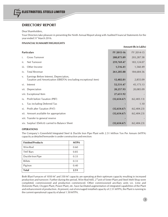# **DIRECTORS' REPORT**

#### Dear Shareholders,

Your Directors take pleasure in presenting the Ninth Annual Report along with Audited Financial Statements for the year ended 31<sup>st</sup> March 2016.

## **FINANCIAL SUMMARY/HIGHLIGHTS**

|      |                                                                                                            |              | <b>Amount (Rs in Lakhs)</b> |
|------|------------------------------------------------------------------------------------------------------------|--------------|-----------------------------|
|      | <b>Particulars</b>                                                                                         | FY 2015-16   | FY 2014-15                  |
| i.   | <b>Gross Turnover</b>                                                                                      | 288,875.89   | 203, 287.58                 |
| ii.  | Net Turnover                                                                                               | 259,769.47   | 183,124.07                  |
| iii. | Other Income                                                                                               | 1,516.41     | 1,560.49                    |
| iv.  | <b>Total Revenue</b>                                                                                       | 261,285.88   | 184,684.56                  |
| V.   | Earnings Before Interest, Depreciation,<br>Taxation and Amortization (EBIDTA) (excluding exceptional item) | 12,482.81    | 2,855.09                    |
| vi.  | Interest                                                                                                   | 52,531.47    | 45,173.13                   |
|      | vii. Depreciation                                                                                          | 20,257.93    | 20,085.09                   |
|      | viii. Exceptional Item                                                                                     | 27,651.92    |                             |
| ix.  | Profit before Taxation (PBT)                                                                               | (32,654.67)  | (62, 403.13)                |
| X.   | Tax including Deferred Tax                                                                                 |              | 1.10                        |
| xi.  | Profit after Taxation (PAT)                                                                                | (32, 654.67) | (62, 404.23)                |
|      | xii. Amount available for appropriation                                                                    | (32, 654.67) | (62, 404.23)                |
|      | xiii. Transfer to general reserve                                                                          |              |                             |
|      | xiv. Surplus/ (Deficit) carried to Balance Sheet                                                           | (32,654.67)  | (62, 404.23)                |

#### **OPERATIONS**

The Company's Greenfield Integrated Steel & Ductile Iron Pipe Plant with 2.51 Million Ton Per Annum (MTPA) capacity as detailed hereunder is under construction and erection:

| <b>Finished Products</b> | <b>MTPA</b> |
|--------------------------|-------------|
| Wire Rod                 | 0.60        |
| <b>TMT</b> Bars          | 0.85        |
| Ductile Iron Pipe        | 0.33        |
| <b>Billets</b>           | 0.33        |
| Pig Iron                 | 0.40        |
| <b>Total</b>             | 2.51        |

Both Blast Furnaces of 1050 M<sup>3</sup> and 350 M<sup>3</sup> capacity are operating at their optimum capacity resulting in increased production and turnover. Further during the period, Wire Rod Mill, 2<sup>nd</sup>unit of Sinter Plant and Steel Melt Shop were completed, commissioned and production commenced. Other commissioned ancillary units viz. Lime and Dolomite Plant, Oxygen Plant, Power Plant, etc. have facilitated augmentation of integrated capabilities of the Plant and enhancement of production. At present, out of envisaged installed capacity of 2.51 MTPA, the Plant is running to the current operational capacity of about 1.50 MTPA.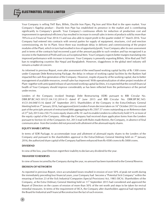Your Company is selling TMT Bars, Billets, Ductile Iron Pipes, Pig Iron and Wire Rod in the open market. Your Company's flagship product - Ductile Iron Pipe has established its presence in the market and is contributing significantly to Company's growth. Your Company's continuous efforts for reduction of production cost and improvement in operational efficiency has resulted in increase in overall sales in terms of products sold by more than<br>78%vis-a-vis Financial Year 2014-15 and was also able to report profit in the quarter ended 31<sup>st</sup> Marc Company had entered into contracts with several parties for supply of equipment, structures, civil and erection commissioning, etc for its Plant. Since there was inordinate delay in delivery and commissioning of the project modules of the Plant, which in turn had resulted in loss of opportunity/profit, Your Company after its own assessment and in terms of the contracts had recovered a part of the amount payable to such vendors and has recognized it as income in the Statement of Profit and Loss as Exceptional Item. Your Company expects better margins translating into improved performance with increase in turnover. Your Company is presently exporting Billets, Wire Rod and TMT bars to neighboring countries like Nepal and Bangladesh. However, sluggishness in the global steel industry still remains a matter of concern.

As informed in previous Report, even after assessment of the need based working capital facility of Rs 1300 crores under Corporate Debt Restructuring Package, the delay in release of working capital facilities by the Bankers had impacted the cash flow generation of the Company. However, inspite of paucity of the working capital, due to better management of available resources, overall sales has improved. With operationalization of other project modules of Plant together with anticipated release of sanctioned working capital facilities, it is expected that the overall financial health of Your Company should improve considerably as has been reflected from the performance of the period under review.

Lenders of the Company invoked Strategic Debt Restructuring (SDR) pursuant to RBI Circular No.<br>DBR.BP.BC.NO.101/21.04.132.2014-15 dated  $8^{\text{th}}$  June 2015 and RBI Circular No. DBR.BP.BC.NO.<br>41/21.04.048/15-16 dated 24<sup>th</sup> part of the principle amount of restructured debt aggregating to Rs 2507.57 crores outstanding as on Reference date<br>of 27<sup>th</sup> July 2015 into 250.75 crores equity shares of Rs 10 each to enable Lenders to collectively hold the equity capital of the Company. Although the Company had received share application forms from the Lenders pursuant to Section 42 of the Companies Act, 2013 read with Rules made therein, the Company, in absence of final communication from the Lenders did not proceed with allotment of the aforesaid equity shares.

#### **EQUITY SHARE CAPITAL**

In terms of SDR Package, to accommodate issue and allotment of aforesaid equity shares to the Lenders of the Company and pursuant to the shareholders approval in the Extra-Ordinary General Meeting held on  $7<sup>th</sup>$  Janua 2016, the authorized share capital of the Company had been enhanced from Rs 4500 crores to Rs 5000 crores.

#### **DIVIDEND**

4

In view of the loss, your Directors regret their inability to declare any dividend for the year.

#### **TRANSFER TO RESERVES**

In view of losses incurred by the Company during the year, no amount has been transferred to the General Reserve.

#### **EROSION OF NETWORTH**

As reported in previous Report, since accumulated losses resulted in erosion of over 50% of peak net worth during the immediately preceding four financial years, your Company had become a "Potential Sick Company" within the meaning of Section 23 of the Sick Industrial Companies (Special Provisions) Act, 1985 (SICA). Shareholders of the<br>Company, at the Extra Ordinary General Meeting held on 11<sup>th</sup> September 2015 had considered and approved the Report of Directors on the causes of erosion of more than 50% of the net worth and steps to be taken for revival remedial measures. In terms of the requirement of SICA, the Company after shareholders approval had reported to the Board for Industrial and Financial Reconstruction the fact of such erosion.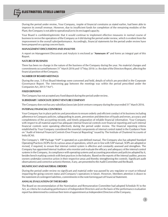ELECTROSTEEL STEELS LIMITED

During the period under review, Your Company, inspite of financial constrains as stated earlier, had been able to improve its overall revenue. However, due to insufficient funds for completion of the remaining modules of the Plant, the Company is not able to operationalize to its envisaged capacity.

Your Board is confident/optimistic that it would continue to implement effective measures in normal course of business to revive the operations of the Company as it did during the period under review, which is evident from the improvement in the overall sales/performance. Accordingly, financial statements for the period under review have been prepared on a going concern basis.

#### **MANAGEMENT DISCUSSIONS AND ANALYSIS**

A report on Management Discussion and Analysis is enclosed as "**Annexure A"** and forms an integral part of this Report.

#### **NATURE OF BUSINESS**

There has been no change in the nature of the business of the Company during the year. No material changes and<br>commitments occurred between 31<sup>s</sup> March 2016 and 13<sup>th</sup>May 2016 i.e. the date of the Directors Report, affecti financial position of the Company.

#### **NUMBER OF BOARD MEETINGS**

During the year, 5 (Five) Board Meetings were convened and held, details of which are provided in the Corporate Governance Report. The intervening gap between the meetings was within the period prescribed under the Companies Act, 2013 ("Act").

#### **FIXED DEPOSITS**

The Company has not accepted any fixed deposit during the period under review.

#### **SUBSIDIARY / ASSOCIATE /JOINT VENTURE COMPANY**

The Company does not has any subsidiary/associate /joint venture company during the year ended 31<sup><sup>\*</sup></sup> March 2016.

#### **INTERNAL FINANCIAL CONTROLS**

Your Company has in place policies and procedures to ensure orderly and efficient conduct of its business including adherence to Company policies, safeguarding its assets, prevention and detection of frauds and errors, accuracy and completeness of the accounting records, and timely preparation of reliable financial information. Your Company with respect to all material aspect has adequate internal financial controls over financial reporting and such internal financial controls were operating effectively during the period under review. The financial reporting criteria established by Your Company considered the essential components of internal control stated in the Guidance Note on "Audit of Internal Financial Controls Over Financial Reporting" issued by The Institute of Chartered Accounts of India (ICAI).

The Company's ERP Package "SAP" is operated on a pre-defined manual. The Company also has adopted Standard Operating Practices (SOPs) for its various areas of operations, which are in line with SAP manual. SOPs are adopted or revised, if required, to ensure that internal control system is effective and constantly assessed and strengthen. The Company has appointed Internal Auditors who monitor and evaluate the efficacy and adequacy of the internal control systems in the Company, its compliance with operating systems and accounting procedures and policies adopted by it, besides bench marking controls with best practices in the Industry. Based on the reports of the internal auditor, process owners undertake corrective action in their respective areas and thereby strengthening the controls. Significant audit observation(s) and corrective action(s) thereon, if any, are presented to the Audit Committee and the Board.

#### **SIGNIFICANT AND MATERIAL ORDERS**

During the period under review no significant and material order was passed by any regulator or court or tribunal impacting the going concern status and Company's operations in future. However, Members attention is drawn to the statement of contingent liabilities, commitments in the note forming part of Financial Statement.

#### **ANNUAL EVALUATION OF THE BOARD**

The Board on recommendation of the Nomination and Remuneration Committee had adopted Schedule IV to the Act, as criteria for evaluating performance of Independent Directors and on the basis of the performance evaluation report has determined to continue their term of appointment as Independent Directors of the Company.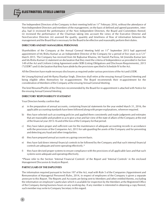ELECTROSTEEL STEELS LIMITED

The Independent Directors of the Company in their meeting held on 11<sup>th</sup> February 2016, without the attendance of Non-Independent Directors and members of the management, on the basis of defined and agreed parameters, interalia, had (i) reviewed the performance of the Non Independent Directors, the Board and Committees thereof; (ii) reviewed the performance of the Chairman taking into account the views of the Executive Director and Non-Executive Directors (iii) assessed the quality, quantity and timeliness of flow of information between the management and the Board that is necessary for the Board to be effective and reasonably perform their duties.

#### **DIRECTORS AND KEY MANAGERIAL PERSONNEL**

Shareholders of the Company at the Annual General Meeting held on  $11<sup>th</sup>$  September 2015 had approved appointment of Ms Rishu Kumari as an Independent Director of the Company for a period of five years w.e.f  $21<sup>th</sup>$ March 2015. The Company has received from Mr Rajkumar Khanna, Mr Naresh Pachisia, Mr Jinendra Kumar Jain and Ms Rishu Kumari (i) statement on declaration that they meet the criteria of Independence as provided in Section 149 of the Act and Uniform Listing Agreement under SEBI (Listing Obligations and Disclosure Requirements), 2015 ("LODR") and (ii) declaration that they have abide by the provisions specified in Schedule IV to the Act.

All the Directors have made necessary disclosures as required under various provisions of the Act and LODR.

Mr Umang Kejriwal and Mr Rama Shankar Singh, Directors shall retire at the ensuing Annual General Meeting and being eligible offers themselves for re-appointment. The Board recommends their re-appointment for the consideration of Members of the Company at the ensuing Annual General Meeting.

The brief Resume/Profile of the Directors recommended by the Board for re-appointment is attached with Notice for the ensuing Annual General Meeting.

#### **DIRECTORS' RESPONSIBILITY STATEMENT**

Your Directors hereby confirm that:

- a) in the preparation of annual accounts, containing financial statements for the year ended March 31, 2016, the applicable accounting standards have been followed along with proper explanations, wherever required.
- b) they have selected such accounting policies and applied them consistently and made judgments and estimates that are reasonable and prudent so as to give a true and fair view of the state of affairs of the Company at the end of the financial year 2015-16 and of the loss of the Company for that period.
- c) they have taken proper and sufficient care for the maintenance of adequate accounting records in accordance with the provisions of the Companies Act, 2013 for safe guarding the assets of the Company and for preventing and detecting any fraud and other irregularities.
- d) they have prepared annual accounts on a going concern basis.
- e) they have laid down internal financial controls to be followed by the Company and that such internal financial controls are adequate and were operating effectively.\*
- f) they have devised proper systems to ensure compliance with the provisions of all applicable laws and that such systems were adequate and operating effectively.

\*Please refer to the Section 'Internal Financial Controls' of the Report and 'Internal Controls' in the enclosed Management Discussion & Analysis Report.

#### **PARTICULARS OF THE EMPLOYEES**

6

The information required pursuant to Section 197 of the Act, read with Rule 5 of the Companies (Appointment and Remuneration of Managerial Personnel) Rules, 2014, in respect of employees of the Company is given a separate annexure to this Report. The Reports and Accounts are being sent to Members and other entitled thereto, excluding the information on employee's particulars which is available for inspection by the Members at the Registered Office of the Company during business hours on any working day. If any member is interested in obtaining a copy thereof, such member may write to Company Secretary in this regard.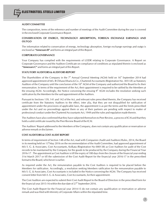

#### **AUDIT COMMITTEE**

The composition, terms of the reference and number of meetings of the Audit Committee during the year is covered in the enclosed Corporate Governance Report.

#### **CONSERVATION OF ENERGY, TECHNOLOGY ABSORPTION, FOREIGN EXCHANGE EARNINGS AND OUTGO**

The information related to conservation of energy, technology absorption, foreign exchange earnings and outgo is enclosed as **"Annexure B"** and forms an integral part of this Report.

#### **CORPORATE GOVERNANCE**

Your Company has complied with the requirements of LODR relating to Corporate Governance. A Report on Corporate Governance and the Auditors Certificate on compliance of conditions as stipulated therein is enclosed as **"Annexure C"** and forms an integral part of this Report.

#### **STATUTORY AUDITORS & AUDITORS REPORT**

The Shareholders of the Company in the  $7<sup>th</sup>$  Annual General Meeting (AGM) held on 16<sup>th</sup> September 2014 had approved appointment of M/s. B Chhawchharia & Co., Chartered Accountants (Registration No. 30512E) as Statutory<br>Auditors of the Company until the conclusion of the 10<sup>th</sup> AGM of the Company and authorized the Board to fix remuneration. In terms of the requirement of the Act, their appointment is required to be ratified by the Members at<br>the ensuing AGM. Accordingly, the Notice convening the ensuing  $9<sup>th</sup>$  AGM includes the resolution se ratification by the Members for the said appointment of the Auditors.

Pursuant to Sections 139, 141 and 142 of the Act, and relevant rules prescribed therein, the Company has received certificate from the Statutory Auditors to the effect, inter alia, that they are not disqualified for ratification of appointment under the provisions of applicable laws, the appointment is as per the terms and the limits prescribed under the Act and no proceedings against them or any of their partners are pending with respect to matter of professional conduct under the Chartered Accountants Act, 1949 and the rules and regulation made therein.

The Auditors have also confirmed that they have subjected themselves to Peer Review, a process of ICAI and that they hold a valid certificate issued by the Peer Review Board of the ICAI.

The Auditors' Report addressed to the Members of the Company, does not contain any qualification or reservation or adverse remark or disclaimer.

#### **COST AUDITORS & COST AUDIT REPORT**

In terms of requirement of Section 148 of the Act, read with Companies (Audit and Auditors) Rules, 2014, the Board<br>in its meeting held on 13<sup>th</sup>May 2016 on the recommendation of the Audit Committee, had approved appointmen M/s S. G. & Associates, Cost Accountants, Kolkata (Registration No 000138) as Cost Auditors for audit of the Cost records to be maintained by the Company for the goods to be produced by the Company during the Financial Year 2016-17 . The appointment as Cost Auditors is till the expiry of 180 days from the closure of the financial year ending 31st March 2017 or till the submission of the Cost Audit Report for the financial year 2016-17 in the prescribed format to the Board, whichever is earlier.

As required under the Act, the remuneration payable to the Cost Auditors is required to be placed before the Members for ratification. Accordingly, a resolution seeking Members ratification for the remuneration payable to M/s S. G. & Associates, Cost Accountants is included in the Notice convening the AGM. The Company has received consent letter from M/s S. G. & Associates, Cost Accountants, for their appointment.

The Cost Auditors are expected to submit their Cost Audit Report to the Board of Directors in the prescribed form for<br>the financial year 2015-16 within the due date of  $27<sup>th</sup>$  September 2016.

The Cost Audit Report for the Financial year 2014-15 do not contain any qualification or reservation or adverse remark and was filed with Ministry of Corporate Affairs within the stipulated time.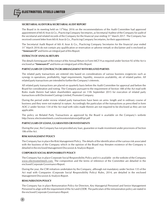#### **SECRETARIAL AUDITOR & SECRETARIAL AUDIT REPORT**

The Board in its meeting held on 13<sup>th</sup>May 2016 on the recommendations of the Audit Committee had approved appointment of M/s K Arun & Co., Practicing Company Secretaries, as Secretarial Auditor of the Company for audit of<br>the secretarial and related records of the Company for the financial year ending 31<sup>\*</sup> March 2017. The Com received consent letter from M/s K Arun & Co., Practicing Company Secretaries, for their appointment.

The Secretarial Audit Report of M/s K Arun & Co., Practicing Company Secretaries for the financial year ended<br>31<sup>st</sup> March 2016 do not contain any qualification or reservation or adverse remark or disclaimer and is enclose **"Annexure D"** and forms an integral part of this Report.

#### **EXTRACTS OF ANNUAL RETURN**

The details forming part of the extract of the Annual Return in Form MGT-9 as required under Section 92 of the Act is enclosed as **"Annexure E"** and forms an integral part of this Report.

#### **PARTICULARS OF CONTRACTS OR ARRANGEMENT WITH RELATED PARTIES**

The related party transactions are entered into based on considerations of various business exigencies such as synergy in operations, profitability, legal requirements, liquidity, resources availability, etc of related parties. All related party transactions are intended to further the Company's interests.

All related party transactions are placed on quarterly basis before the Audit Committee for approval and before the Board for consideration and noting. The Company pursuant to the requirement of Section 188 of the Act read with Rules made therein had taken shareholders approval on 11th September 2015 for execution of related party transactions with Electrosteel Castings Limited, Promoter Company.

During the period under review related party transactions have been on arms- length and in ordinary course of business and they were not material in nature. Accordingly the particulars of the transactions as prescribed in form AOC-2 under Section 134 of the Act read with rules made therein are not required to be disclosed as they are not applicable.

The policy on Related Party Transactions as approved by the Board is available on the Company's website http://www.electrosteelsteels.com/investorrelations/pdf/rpt.pdf

#### **PARTICULARS OF LOANS, GUARANTEES OR INVESTMENTS**

During the year, the Company has not provided any loan, guarantee or made investment under provisions of Section 186 of the Act.

#### **RISK MANAGEMENT POLICY**

The Company has in place the Risk Management Policy. The details of the identification of the various risk associated with the business of the Company which in the opinion of the Board may threaten existence of the Company is detailed in the enclosed Management Discussion & Analysis Report.

#### **CORPORATE SOCIAL RESPONSIBILITY POLICY**

The Company has in place Corporate Social Responsibility Policy and it is available on the website of the Company *www.electrosteelsteels.com.* The composition and the terms of reference of the Committee are detailed in the enclosed Corporate Governance Report.

During the year, the CSR initiatives undertaken by the Company, although not mandatory under Section 135 of the Act read with Companies (Corporate Social Responsibility Policy) Rules, 2014, are detailed in the enclosed Management Discussion & Analysis Report.

#### **REMUNERATION POLICY**

The Company has in place Remuneration Policy for Directors, Key Managerial Personnel and Senior Management Personnel to align with the requirement of the Act and LODR. The particulars of the remuneration policy are stated in the enclosed Corporate Governance Report.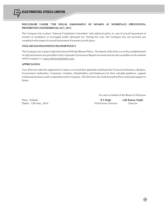

## **DISCLOSURE UNDER "THE SEXUAL HARASSMENT OF WOMEN AT WORKPLACE (PREVENTION, PROHIBITION AND REDRESSAL) ACT, 2013**

The Company has in place "Internal Complaints Committee" and redressal policy in case of sexual harassment of women at workplace as envisaged under aforesaid Act. During the year, the Company has not received any complaint with respect to sexual harassment of woman at work place.

#### **VIGIL MECHANISM/WHISTLE BLOWER POLICY**

The Company has in place Vigil Mechanism/Whistle Blower Policy. The details of the Policy as well as establishment of vigil mechanism are provided in the Corporate Governance Report enclosed and are also available on the website of the Company i.e. *www.electrosteelsteels.com.*

#### **APPRECIATION**

Your Directors take this opportunity to place on record their gratitude and thank the Financial Institutions, Bankers, Government Authorities, Customers, Vendors, Shareholders and Employees for their valuable guidance, support continued assistance and co-operation to the Company. The Directors also look forward to their continued support in future.

For and on behalf of the Board of Directors

Place : Kolkata **R S Singh Lalit Kumar Singhi** Dated : 13th May, 2016 *Whole-time Director Director*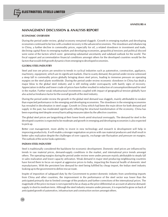**ANNEXURE-A**

## **MANAGEMENT DISCUSSION & ANALYSIS REPORT**

#### **ECONOMIC OVERVIEW**

During the period under review, global economy remained sluggish. Growth in emerging markets and developing economies continued to be low with a modest recovery in the advanced economies. The slowdown and rebalancing in China, a further decline in commodity prices, especially for oil, a related slowdown in investment and trade, declining capital flows to emerging markets and developing economies, geopolitical tensions and political discord were some of the factors which were generating substantial uncertainty and subdued outlook for the world. The fiscal support and accommodative financial conditions amongst others for the developed countries would be the factors that would shift growth dynamics from emerging to developed economies.

#### **GLOBAL STEEL INDUSTRY**

Steel and iron ore prices are sensitive to trends in cyclical industries such as automotive, construction, appliance, machinery, equipment, which are its significant markets. Due to scanty demand, the period under review witnessed a steep fall in commodity prices globally bringing down steel prices, leading to immense pressure on operating margins on the steel plants worldwide. During the period under review economic slowdown in China has dealt a major blow to the global steel industry and is still reeling under overcapacity with barely signs of recovery. Appreciation in dollar and lower crude oil prices have further resulted in reduction of consumption/demand for steel in the market. Further weak infrastructural investments coupled with impact of geographical tension globally have also acted as hindrance factor for the overall growth of the steel industry.

During the period under review the growth in the global steel demand was sluggish, mainly attributable to weaker than expected performance in the emerging and developing economies. The slowdown in the emerging economies has revealed in deceleration in steel usage. Growth in China which had been the main driver for both demand and supply in the past, has moderated significantly reflecting the structural transformation of the economy. China has been exporting steel despite several barricading measures taken by the affective countries.

The global steel prices are languishing at their lower levels amid structural oversupply. The demand for steel in the developed countries is expected to be moderate and growth in emerging and developing economies is also expected to pick up.

Better cost management, more ability to invest in new technology and research & development will help in improving productivity. It will enable a stronger negotiation on prices with raw material producers and shall result in better sales realization despite the challenges of over capacity, exchange rate fluctuation and pressure on margins. The outlook of the sector looks optimistic.

#### **INDIAN STEEL INDUSTRY**

Steel is traditionally considered the backbone for economic development. Domestic steel prices are influenced by trends in raw material prices, demand-supply conditions in the market, and international price trends amongst others. The operating margins during the period under review were under pressure mainly attributable to steady fall in sales realization and lower capacity utilization. Weak demand in major steel producing neighbouring countries have forced them to focus on export at aggressive prices to India, impacting the financial health of domestic steel manufacturers. With the persistent low demand for steel being fulfilled by cheap import, the Indian steel industry looking up to the government to define rescue route.

Inspite of imposition of safeguard duty by the Government to protect domestic industry from unrelenting imports from China and other countries, the improvement in the performance of the steel sector was lower than the anticipated primarily due to limited coverage of the products and further corrections of the international prices. The magnitude of the price increase is not expected to be as sharp as the price differential on account of adverse demandsupply in short to medium term. Although the steel industry remains under pressure, it is expected to grow on back of anticipated growth of automotive, infrastructure and construction sectors amongst others.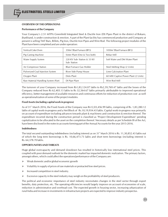#### **OVERVIEW OF THE OPERATIONS**

#### **Performance of the Company**

Your Company's 2.51 MTPA Greenfield Integrated Steel & Ductile Iron (DI) Pipes Plant in the district of Bokaro, Jharkhand, is under construction & erection. A part of the Plant facility has commenced production and Company at present is selling TMT Bars, Billets, Pig Iron, Ductile Iron Pipes and Wire Rod. The following project modules of the Plant have been completed and are under operation:

| Vertical Coke Oven                  | 350m <sup>3</sup> Blast Furnace (BF3)     | 1050m <sup>3</sup> Blast Furnace (BF2) |
|-------------------------------------|-------------------------------------------|----------------------------------------|
| Pig Casting Machine                 | Sinter Plant (One & Two both)             | Rebar Mill                             |
| Water Supply System                 | 220 KV Sub-Station & 33 KV<br>Sub-Station | Soft Water and DM Water Plant          |
| Air Compressor Station              | <b>Blast Furnace Gas Holder</b>           | Steel Melting Shop (2 Units)           |
| Pulverized Coal Injection System    | River Side Pump House                     | Lime Calcination Plant                 |
| Oxygen Plant                        | Dolo Plant                                | 60 MW Captive Power Plant (2 Units)    |
| Raw Material Handling System (Part) | DI Pipe Plant                             | Wire Rod Mill                          |

The turnover of your Company increased from Rs1,83,124.07 lakhs to Rs2,59,769.47 lakhs and the losses of the Company reduced from Rs 62,403.13 lakhs to Rs 32,564.67 lakhs primarily attributable to improved operational efficiency, better management of available resources and continuous efforts for reduction of production cost as well as operationalization of some of the project modules.

#### **Fixed Assets (including capital work in progress)**

As of 31<sup><sup>\*</sup> March 2016, the Fixed Assets of the Company was Rs12,03,456.99 lakhs, comprising of Rs. 1,83,280.12</sup> lakhs of capital work-in-progress and a Net Block of Rs.10,19,934.43 lakhs. Capital work-in-progress was primarily on account of expenditure including advances towards plant & machinery and construction & erection thereof. The expenditure incurred during the construction period is classified as 'Project Development Expenditure' pending capitalization to be allocated to the asset on the completion thereof. Necessary details as per Schedule III of the Act, have been disclosed in the notes to accounts forming part of the Annual Accounts for the year 2015-2016.

#### **Indebtedness**

The total secured outstanding indebtedness (including interest) as on  $31<sup>st</sup>$  March 2016 is Rs. 11,30,852.43 lakhs out of which the long term borrowings is Rs. 10,66,473.73 lakhs and short term borrowings (including interest) is Rs. 64,378.70 lakhs.

#### **OPPORTUNITIES AND THREATS**

Huge global overcapacity and demand slowdown has resulted in historically low international steel prices. This coupled with poor demand outlook for the domestic market has impacted domestic realization. The primary factors, amongst others, which could affect the operations/performance of the Company are:

- $\triangleright$  Weak domestic and/or global economic growth
- $\triangleright$  Volatility in supply of prices of raw materials or protracted low steel prices.
- $\triangleright$  Increased competition in steel industry.
- $\triangleright$  Excessive capacity in the steel industry may weigh on the profitability of steel producers.

The political and economic importance of steel industry necessitates changes in the steel sector through export benefits, duty protection, etc. The operating efficiencies would largely improve on account of economies of scale, reduction in administrative and overhead cost. The expected growth in housing sector, increasing urbanization of rural India and increase in investments in infrastructure projects are expected to improve industry prospectus.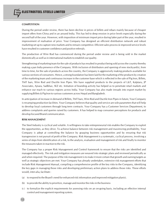#### **COMPETITION**

During the period under review, there has been decline in prices of billets and rebars mainly because of cheaper import offers from China and in an around India. This has led to deep erosion in price levels especially during the second half of the year. However, with imposition of minimum import price during latter part of the year, resulted in improvement of realisation of price. Your Company has designed an efficient distribution network and robust marketing set up to capture new markets and to remain competitive. Efficient sales process & improved service levels have resulted in customer confidence and positive referrals.

The production of Wire Rod has commenced during the period under review and is being sold in the market domestically as well as in international markets to establish our quality.

Strengthening of marketing team for the sale of products has resulted in product being sold across the country thereby making a pan India presence of the Company. With inclusion of distributors and opening of new stockyard(s), from time to time, for the sale of products across the country, the Company is aggressively making products available for various sections of consumers. Hence, a strong foundation has been laid for the marketing of the products by creation of the marketing team and continuous increase in the customer base which is reflected in the sale of Pig Iron, Billets, TMT bars, Wire Rod and Ductile Iron Pipes. We have supplied products to the projects of L&T, Kalptaru, JP Associates, Ajnara, Sadbhav, SEZ etc. Initiation of branding activity has helped us to penetrate retail markets and enhance our reach to various regions across India. Your Company has also made inroads into export market by supplying Billets & Pig Iron to various customers across Nepal and Bangladesh.

In anticipation of increase in demand of Billets, TMT bars, Wire Rod and Ductile Iron Pipes in future, Your Company is revamping production facilities. Your Company believes that quality and service are sole parameters that will help to develop loyal customers through long term contracts. Your Company has a Customer Services Department, to address complaints and queries raised by customers. It has helped to map consumer perceptions for products and develop focused Brand communication.

#### **RISK MANAGEMENT**

The Steel Industry is cyclical and volatile. A willingness to take entrepreneurial risk enables the Company to exploit the opportunities, as they drive. To achieve balance between risk management and maximizing profitability, Your Company is adept at controlling the balance by grasping business opportunities and by ensuring that risk transgression is not pursuit of profit of the Company. Risk Management is a systematic, cyclical process, involving a series of steps from identification of a risk, to the analysis, evaluation and management of risk and finally to monitor the measures taken in reaction to the risk.

The Company has a proper Risk Management and Control framework to ensure that the risks are identified and managed effectively. The risk and mitigation measures are weaved into strategic plans and reviewed periodically as and when required. The purpose of the risk management is to make it more certain that growth and earning targets as well as strategic objectives are met. Your Company has already undertaken, extensive risk management efforts that include Risk Management Manual, compiling a comprehensive profile of the key risks to the Company, identifying the key gaps in managing those risks and developing preliminary action plans to address those risks. These efforts would, inter-alia, facilitate :

- (a) to respond to the Board's need for enhanced risk information and improved mitigation plan(s).
- (b) to provide the ability to prioritize, manage and monitor the risks in the business
- (c ) to formalize the explicit requirements for assessing risks on an on-going basis, including an effective internal control and management reporting system.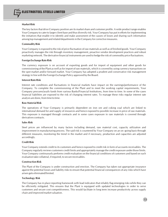#### **Market Risk**

The key factors that drive Company position are its market share and customer profile. A wide product range enables Your Company to cater to larger client base and thus diversify risk. Your Company has put in efforts for implementing the initiatives that enable it to identify and make assessment of the causes of losses and sharing such information among top management and related departments in the Company for corrective measures.

#### **Commodity Risk**

Your Company is exposed to the risk of price fluctuation of raw materials as well as of finished goods. Your Company proactively manages the risk through inventory management, proactive vendor development practices and robust marketing network. The derivative financial instruments are used to hedge the risk of commodity price fluctuations.

#### **Foreign Exchange Rate Risk**

The currency exposure is on account of exporting goods and for import of equipment and other goods for commissioning of the Plant as well as for import of raw materials, which is covered by using currency transactions on the spot market and/or forward market. Your Company has adopted a prudent and conservative risk management strategy in line with the Foreign Exchange Policy approved by the Board.

#### **Interest Rate Risk**

Interest rate conditions and fluctuations in financial markets have impact on the earnings/performance of the Company. To complete the commissioning of the Plant and to meet the working capital requirements, Your Company procures/avails funds from various Banks/Financial Institutions, from time to time. In some of the cases financial liabilities are exposed to the risk of changing interest rates. To manage these risks regular interest rate analysis are done, from time to time.

#### **Raw Material Risk**

The operations of Your Company is primarily dependent on iron ore and coking coal which are linked to international demand for and supply of resources and hence exposed to possible increase in price of raw materials. This exposure is managed through contracts and in some cases exposure in raw materials is covered through derivatives contracts.

#### **Sales Risk**

Steel prices are influenced by many factors including demand, raw material cost, capacity utilization and improvement in manufacturing process. The said risk is countered by Your Company on an on -going basis through different measures, monitoring the trend in the market and if necessary, production and capacities are adjusted accordingly.

#### **Credit Risk**

Your Company extends credit to its customers and hence exposed to credit risk in form of accounts receivables. The Company regularly reviews customers credit limits and appropriately manage the credit exposure under those limits. Your Company continuously performs credit evaluation on the financial conditions of customers and based on such evaluation take collateral, if required, to secure receivables.

#### **Construction Risk**

The Plant of the Company is under construction and erection. The Company has taken out appropriate insurance against the potential losses and liability risks to ensure that potential financial consequences of any risks which have arisen gets eliminated/limited.

#### **Technology Risk**

The Company has in place reporting framework with lead indicators that reliably flag emerging risks while they can be efficiently mitigated. This ensures that the Plant is equipped with updated technologies in order to serve customers and secure cost competitiveness. This would facilitate in long term increase productivity across supply chain and improved market valuation.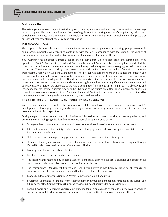#### **Environment Risk**

The existing environmental regulations if strengthen or new regulations introduced may have impact on the earnings of the Company. The increase volume and scope of regulations is increasing the cost of compliances, risk of noncompliance and delays while interacting with regulators. Your Company has robust compliance tool in place that ensures adherence to all applicable laws and regulations.

#### **INTERNAL CONTROLS**

The purpose of the internal control is to prevent risk arising in course of operations by adopting appropriate controls and process, especially with regard to conformity with the laws, compliance with the strategy, the quality of accounting and reporting, the quality of process and protection of assets amongst others.

Your Company has an effective internal control system commensurate to its size, scale and complexities of its operations. M/s K M Gupta & Co, Chartered Accountants, Internal Auditors of the Company have conducted the Internal Audit in line with the scope formulated, functioning, periodicity and methodology agreed with the Audit Committee. The reports furnished by them are exhaustive and detailed discussion are held from, time to time, on their findings/observation with the Management. The Internal Auditors monitors and evaluate the efficacy and adequacy of the internal control system in the Company, its compliance with operating systems and accounting procedures and policies adopted by it. Based on the reports of the internal audit, process owners undertake corrective action in their respective areas and thereby strengthening the controls. Significant audit observations and corrective actions thereon are presented to the Audit Committee, from time to time. To maintain its objectivity and independence, the Internal Auditors reports to the Chairman of the Audit Committee. The Company has appointed consultants/professionals to conduct Cost Audit and Secretarial Audit and observations made, if any, are reviewed by the Management periodically and corrective actions, if required, are taken.

#### **INDUSTRIAL RELATIONS AND HUMAN RESOURCE (HR) MANAGEMENT**

Your Company recognizes people as the primary source of its competitiveness and continues to focus on people's development by leveraging technology and developing a continuous learning human resource base to unleash their potential and fulfill their aspirations.

During the period under review many HR initiatives which are directed towards building a knowledge sharing and performance enhancing organizational culture were undertaken as mentioned below:

- $\triangleright$  Strong emphasis on structured communication sessions for all sections of workmen across departments.
- $\triangleright$  Introduction of state of art facility in attendance monitoring system for all workers by implementation of Face Reader Attendance System.
- $\triangleright$  Skill development Training and engagement programmes for workers in different categories.
- $\triangleright$  Structured training and counselling session for improvement of work place behavior and discipline through Central Board for Workers Education (Government of India)
- $\triangleright$  Ensuring compliance of all Labour Statutes.
- $\triangleright$  Effective grievance redressal mechanism is in place.
- The HoshinKanri methodology is being used to scientifically align the collective energies and efforts of the group towards achievement of business goals for the current period.
- $\triangleright$  The Performance Management System and Goal Setting exercise has been cascaded to all managerial employees. It has also been aligned to support the business plan of the Company.
- $\triangleright$  Leadership development programme "Prerna" launched for Senior Executives.
- $\triangleright$  Sourcing of young and fresh talents from leading engineering/management colleges for meeting the current and future needs of the Company through Company wide Engineer/Executive trainee programme.
- Formal Reward and Recognition programme launched for all employees to encourage superlative performance and recognise outstanding individual and team achievements and further improve engagement levels.

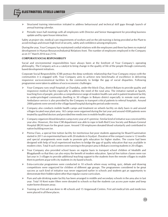- Structured training intervention initiated to address behavioural and technical skill gaps through launch of annual training calendar.
- $\triangleright$  Periodic town hall meetings with all employees with Director and Senior Management for providing business update and by open house interaction.

Safety at project site, medical care requirements of workers and on the job training is being provided at the Plant to avoid mishaps and ensure high level of security, safety and confidence among employees.

During the year, Your Company has maintained cordial relations with the employees and there has been no material development in Human Resources/Industrial Relations front. The number of employees employed in the Company<br>as on 31<sup>st</sup> March 2016 was 2116.

#### **CORPORATE SOCIAL RESPONSIBILITY**

Social and environmental responsibilities have always been at the forefront of Your Company's operating philosophy. The Company acts as a catalyst to bring change in the quality of life of the people through community based development initiatives.

Corporate Social Responsibility (CSR) portrays the deep symbiotic relationship that Your Company enjoys with the communities it is engaged with. Your Company aims to achieve new benchmarks of excellence in delivering responsive socio-economical facilities to the community to bridge the gap of social disparities. Following programmes were taken to address of socio economic challenges:

- Your Company runs small hospitals at Chandaha, under the block Chas, district Bokaro to provide quality and responsive medical facility especially to address the need of the rural area. The initiative named as Sparsh, touching lives of people, provides a comprehensive range of modern health care and in patient treatment facility to under-privileged community dwelling in 30 villages in Bokaro district especially in remote rural areas. Ambulance service is also provided by the Company to transport critical patients to referral hospitals. Around 2000 patients were served in the village based hospital during the period under reveiw.
- Company also conducts mobile health camps and treatment on wheels facility on daily basis in and around villages located near plant area. 165 camps were organised during the last year and around 4500 patients were treated by qualified doctors and provided free medicines in mobile health camps.
- $\triangleright$  Company organizes blood donation camp every year at it's premise. Similar kind of initiative was conceived this year also. However, this time CSR department was able to rope in both Red Cross Society and Bokaro General Hospital (BGH) team for the great cause. Around 150 employees donated blood voluntarily and contributed in nation building exercise.
- $\triangleright$  Prerna Class, a special free tuition facility for meritorious but poor students appearing for Board Examination started in 2011 on experimental basis with 20 students in Siyaljuri. Duration of the compact course is 12 months and special arrangements were made to promote girls education for higher studies. The course had been designed with help of local experienced teachers to bridge the gap of quality education that was available in modern cities. Total 4 such centres were running in the project area in Bokaro covering students in 20 villages.
- Your Company also provided school buses on regular basis to transport school children of Modidih and Bhagabandh so that they can also enjoy the benefit of modern education. Special free tuition classes were run last year in 3 villages to provide additional teaching support to the students from the remote villages to enable them to perform at par with city students in city based schools.
- $\triangleright$  Extra-curricular programmes were conducted in 10 schools where essay writing, quiz, debate and drawing competitions were organized for children of different age groups. The programmes considered to be great success as such kind of initiative was never organized earlier in schools and students got an opportunity to demonstrate their hidden talent other than regular course curriculum.
- $\triangleright$  Pure and safe drinking water facility has been arranged in middle and secondary schools in the area also in last year. Total 10 Kent water filters were donated to schools so that the students can access pure water and keep water borne diseases away.
- Training on First aid was done in 48 schools and 15 Anganwadi Centres. First aid medical kits and medicines were placed in all these places.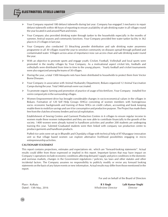- Your Company repaired 180 defunct tubewells during last year. Company has engaged 3 mechanics to repair defunct tubewells within 48 hours of reporting to ensure availability of safe drinking water in all villages round the year located in and around Plant and mines.
- Your Company also provided drinking water through tanker to the households especially in the months of summer, festival seasons and community functions. Your Company provided free water tanker facility in 362 places in 25 villages in last year.
- $\triangleright$  Your Company also conducted 55 bleaching powder distribution and safe drinking water awareness programme in all 30 villages round the year to sensitize community on diseases spread through polluted and contaminated water. Villagers across areas of importance now can access clean and safe drinking water round the year.
- With an objective to promote sports and engage youth; Cricket, Football, Volleyball and local sports were promoted in the nearby villages by Your Company. As a motivational aspect cricket kits, footballs and volleyballs were distributed from time to time to the young players. Yearly football and cricket tournaments were also organized among the teams of 30 villages.
- $\triangleright$  During the year, a total 1500 Mosquito nets have been distributed to households to protect them from Vector Borne Diseases.
- Your Company in association with Animal Husbandry Department, Bokaro organized 12 Animal Vaccination Camps during the year. Total 3460 animals were vaccinated.
- $\triangleright$  To promote organic farming and promotion of practice of usage of bio-fertilizer, Your Company installed five vermi compost pits in the surrounding villages.
- $\triangleright$  Women Empowerment drive has brought considerable changes in socio-economical values in the villages in Bokaro. Formation of 120 Self Help Groups (SHGs) consisting of women members with homogenous socio- economic backgrounds and training of these SHGs on credit culture, accounting and book keeping enable them to mobilize savings and use it for consumptive and productive purpose. The Project has made them free from the clutches of money lenders and social exploitation.

Establishment of Sewing Centres and Garment Production Centres in 6 villages to ensure regular income to women made these women independent and they are now able to contribute financially to the growth of the society. 1400 women were already trained in handloom activities and another 200 students are undergoing training this year. Talented Graduated students were then linked with company run production centre to produce garments and handloom products.

Puffed rice units were set up in Bhandih and Chandaha village with technical help of IIT Kharagpur innovation unit so that village based women can explore alternative livelihood possibilities engaging in micro entrepreneurship activities.

#### **CAUTIONARY STATEMENT**

This report contains projections, estimates and expectations etc. which are "forward-looking statements". Actual results could differ from those expressed or implied in this report. Important factors that may have impact on Company's operations include economic conditions affecting demand / supply and price conditions in the domestic and overseas markets, changes in the Government regulations / policies, tax laws and other statutes and other incidental factors. The Company assumes no responsibility to publicly modify or revise any forward looking statements on the basis of any future events or new information. Actual results may differ from those mentioned in the report.

For and on behalf of the Board of Directors

Place : Kolkata **R S Singh Lalit Kumar Singhi** Dated : 13th May, 2016 *Whole-time Director Director*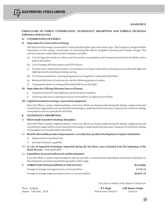#### **PARTICULARS OF ENERGY CONSERVATION, TECHNOLOGY ABSORPTION AND FOREIGN EXCHANGE EARNINGS AND OUTGO**

#### **A) CONSERVATION OF ENERGY**

ELECTROSTEEL STEELS LIMITED

#### **(i) Steps taken for Conservation of Energy**

The thrust on the energy conservation continued during the year with more vigor. The Company recognized the importance of the energy conservation in decreasing the effects of global warming and climate change. The various measures under taken by the Company includes :

- (a) Use of Capacitor banks to reduce reactive power consumption and increase power-factor for better active power utilization.
- (b) Use of energy efficient motors and VVVF drives.
- (c) In many areas illumination power consumption have been reduced by switching over to alternate light and lighting circuits resulting in energy saving.
- (d) To increase awareness, training programmes are regularly conducted in the Plant.
- (e) Reduced idle time of conveyors by strictly following protocol system.
- (f) Transparent sheets as ceiling at Wire Rod Mill to use day light.

#### **(ii) Steps taken for Utilizing Alternate Source of Energy**

- $\triangleright$  Solar powered LED street lighting system has been installed.
- $\triangleright$  Utilizing coke oven waste heat recovery from boilers in captive Power Plant.

#### **(iii) Capital investment on energy conservation equipment**

Since the Plant is under implementation, conscious efforts are being made during the design, engineering and construction stage itself to ensure that the technology is understood and necessary measures to minimize energy consumption are incorporated in the Plant.

#### **B TECHNOLOGY ABSORPTION**

(i) **Efforts made towards technology absorption**

Since the Plant is under implementation, conscious efforts are being made during the design, engineering and construction stage itself to ensure that the technology is understood and necessary measures to minimize energy consumption are incorporated in the Plant.

#### (ii) **Benefits derived like product improvement, cost reduction, product development or import substitution**

- $\triangleright$  Improvement in productivity.
- $\triangleright$  Increase in-house capability.
- (iii) **In case of imported technology (imported during the last three years reckoned from the beginning of the financial year) -** Not Applicable

#### (iv) **Expenditure incurred on Research and Development**

Since the Plant is under implementation and yet not fully commissioned expenditure incurred on Research & Development cannot be quantified separately at this stage.

| C FOREIGN EXCHANGE EARNINGS AND OUTGO:                     | Rs in lakhs |
|------------------------------------------------------------|-------------|
| Foreign Exchange earnings in terms of Actual inflow        | 3.512.15    |
| Foreign Exchange outgo earnings in terms of Actual outflow | 84,833.14   |

For and on behalf of the Board of Directors

| Place : Kolkata        | R S Singh           | Lalit Kumar Singhi |
|------------------------|---------------------|--------------------|
| Dated : 13th May, 2016 | Whole-time Director | Director           |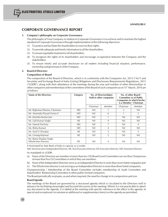# **CORPORATE GOVERNANCE REPORT**

#### **1. Company's philosophy on Corporate Governance**

The philosophy of Your Company in relation to Corporate Governance is to achieve and to maintain the highest standard of Corporate Governance through implementation of the following objectives:

- (1) To protect and facilitate the shareholders to exercise their rights.
- (2) To provide adequate and timely information to all the shareholders.
- (3) To ensure equitable treatment to all shareholders.
- (4) To recognize the rights of its shareholders and encourage co-operation between the Company and the stakeholders.
- (5) To ensure timely and accurate disclosure on all matters including financial situation, performance, ownership and governance of the Company.

#### **2. Board of Directors**

#### **Composition of Board**

The composition of the Board of Directors, which is in conformity with the Companies Act, 2013 ("Act") and Securities and Exchange Board of India (Listing Obligations and Disclosures Requirements) Regulations, 2015 ("LODR"), along with their attendance at the meetings during the year and number of other directorships in other companies and memberships of the committees of the Board of such companies as on  $31<sup>*</sup>$  March, 2016 are as follows:

| Name of the Directors                          | Category   | No. of Directorship(s)<br>held in other companies |        |                | No. of other Board /<br><b>Committee (s) of Public</b><br>Companies in which he/she<br>is a Member / Chairman |
|------------------------------------------------|------------|---------------------------------------------------|--------|----------------|---------------------------------------------------------------------------------------------------------------|
|                                                |            | Chairman                                          | Member | Chairman       | Member                                                                                                        |
| Mr. Rajkumar Khanna, Chairman                  | <b>NEI</b> | Nil                                               |        | $\overline{2}$ | Nil                                                                                                           |
| Mr. Amrendra Prasad Verma #                    | <b>ND</b>  | Nil                                               | 6      |                | 2                                                                                                             |
| Mr. Jinendra Kumar Jain                        | <b>NEI</b> | Nil                                               |        | Nil            | Nil                                                                                                           |
| Mr. Lalit Kumar Singhi                         | NE.        | Nil                                               | 4      | Nil            | Nil                                                                                                           |
| Mr. Naresh Pachisia                            | <b>NEI</b> | Nil                                               | 7      | Nil            | $\overline{4}$                                                                                                |
| Ms. Rishu Kumari                               | <b>NEI</b> | Nil                                               | 4      | Nil            | Nil                                                                                                           |
| Mr. Sunil V Diwakar                            | <b>NE</b>  | Nil                                               | 5      | Nil            | 3                                                                                                             |
| Mr. Umang Kejriwal                             | NE         | Nil                                               | 5      | Nil            | Nil                                                                                                           |
| Mr. Rama Shankar Singh,<br>Whole-time Director | ED         | Nil                                               | 4      | Nil            | Nil                                                                                                           |

# Nominated by State Bank of India in capacity as a Lender.

NEI: Non-Executive Independent Director, NE: Non-Executive Director, ED- Executive Director, ND: Nominee Director As mandated in LODR:

- (a) None of the Directors are member of more than ten (10) Board Level Committees nor are they Chairperson of more than five (5) Committees in which they are members.
- (b) None of the Independent Directors serve as an Independent Director in more than seven listed companies and
- (c) The Whole time director is not serving as an Independent Director in more than three listed companies.

Chairpersonship / Membership of the Board Committee includes membership of Audit Committee and Stakeholders' Relationship Committee in other public limited companies.

The Board periodically evaluates, as and when required, the need for change in its composition and size.

#### **Board Agenda**

The meetings of the Board are governed by a structured agenda which is circulated to the Directors well in advance for facilitating meaningful and focused discussion at the meeting. Where it is not practicable to attach any document to the Agenda, it is tabled at the meeting with specific reference to the effect in the agenda. In special and exceptional circumstances additional or supplementary item(s) on the agenda are permitted.

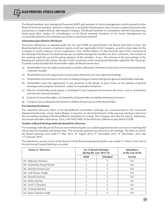The Board members, Key Managerial Personnel (KMP) and members of Senior Management confirm quarterly to the Board of Directors that they, directly or indirectly or on behalf of third parties, does not have a material interest in the transactions or matters directly affecting the Company. The Board members in consultation with the Chairman may bring upon other matters for consideration at the Board meeting. Members of the Senior Management are occasionally present in the meeting as an invitee as and when required.

#### **Information placed before the Board**

Necessary information as required under the Act and LODR are placed before the Board, from time to time. The Board periodically reviews compliance reports of all laws applicable to the Company, as well as steps taken by the Company to rectify instances of non-compliance, if any. Within fifteen (15) days from the date of the conclusion of the Meeting of the Board, the draft Minutes are circulated amongst the members for their comments. The minutes of the meeting explicitly record dissenting opinions of the members, if any. The minutes of the proceedings of the Meeting are entered within thirty (30) days of the conclusion of the meeting and thereafter signed by the Chairman. To protect and to facilitate the shareholders rights, the Board ensures that:

- (a) Shareholders have the right to participate in and be sufficiently informed on decisions concerning fundamental corporate changes.
- (b) Shareholders have the opportunity to participate effectively and vote in general meetings.
- (c) Shareholders are informed on the rules including voting procedures that govern general shareholder meetings.
- (d) Shareholders have the opportunity to ask questions to the Board, to place items on the agenda of general meetings and to propose resolutions, subject to reasonable limitations.
- (e) Effective shareholder participation is facilitated in key Corporate Governance decisions, such as nomination and election of board members.
- (f) Exercise of ownership rights is facilitated by all shareholders including institutional investors.
- (g) Company has an adequate mechanism to address the grievances of the shareholders**.**

#### **Post Meeting Mechanism**

The important decisions taken at the Board/Board Committees meetings are communicated to the concerned departments/divisions. Action Taken Report, if required, on decisions/minutes of the previous meeting is placed at the succeeding meeting of the Board/Board committees for noting. The Company also files the reports, statements, documents and other information, if any, with NSE & BSE on the electronic platform as specified in LODR.

#### **Number of Board Meetings held and attended by Directors**

Five meetings of the Board of Directors were held during the year and the gap between the consecutive meetings did not exceed one hundred and twenty days. The necessary quorum was present for all meetings. The dates on which<br>the Board meetings were held:11<sup>th</sup> May 2015, 8<sup>th</sup> August 2015, 9<sup>th</sup> November 2015, 8<sup>th</sup> December, 2015 and<br>

The attendance record of each of the directors at the Board meetings during the year ended  $31<sup>st</sup>$  March 2016 and of the last Annual General Meeting is as under:

| Name of Directors         | <b>No of Board Meetings</b><br>during the year 2015-16 |                 | <b>Attendance</b><br>at the Last AGM |
|---------------------------|--------------------------------------------------------|-----------------|--------------------------------------|
|                           | <b>Held</b>                                            | <b>Attended</b> | Yes/No                               |
| Mr. Rajkumar Khanna       | 5                                                      | 5               | Yes                                  |
| Mr. Amrendra Prasad Verma | 5                                                      | 4               | No                                   |
| Mr. Jinendra Kumar Jain   | 5                                                      | 5               | Yes                                  |
| Mr. Lalit Kumar Singhi    | 5                                                      | 5               | Yes                                  |
| Mr. Naresh Pachisia       | 5                                                      | 5               | No                                   |
| Ms. Rishu Kumari          | 5                                                      | 3               | No                                   |
| Mr. Sunil V Diwakar       | 5                                                      | 5               | No                                   |
| Mr. Umang Kejriwal        | 5                                                      | 5               | No                                   |
| Mr. Rama Shankar Singh    | 5                                                      |                 | No                                   |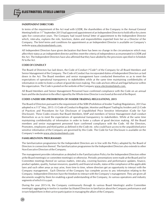#### **INDEPENDENT DIRECTORS**

In terms of the requirement of the Act read with LODR, the shareholders of the Company in the Annual General<br>Meeting held on 11<sup>th</sup> September 2015 had approved appointment of an Independent Director to hold office for a te upto five consecutive years. The Company had issued formal letter of appointment to the Independent Director which, inter-alia, explains the role, functions, duties and responsibilities expected from her as a Director of the Company. The brief terms and conditions for appointment as an Independent Director is available on Company's website www.electrosteelsteels.com.

All Independent Directors have given declaration that there has been no change in the circumstances which may affect their status as an independent director and they meet the criteria of independence as enumerated in LODR and the Act. The Independent Directors have also affirmed that they have abided by the provisions specified in Schedule IV to the Act.

#### **CODE OF CONDUCT**

The Board of Directors has laid down, the Code of Conduct ("Code") of the Company for all Board Members and Senior Management of the Company. The Code of Conduct has incorporated duties of Independent Directors as laid down in the Act. The Board members and senior management have conducted themselves so as to meet the expectations of operational transparency to stakeholders while at the same time maintaining confidentiality of information in order to foster a culture of good decision making. The code anchors ethical and legal behavior within the organization. The Code is posted on the website of the Company www.electrosteelsteels.com.

All Board Members and Senior Management Personnel have confirmed compliance with the Code on an annual basis and the declaration to the effect signed by the Whole-time Director is enclosed at the end of the Report.

#### **CODES UNDER SEBI (PROHIBITION OF INSIDER TRADING) REGULATIONS, 2015**

The Board of Directors pursuant to the requirement of the SEBI (Prohibition of Insider Trading) Regulations, 2015 has<br>adopted w.e.f 15<sup>th</sup> May, 2015: (1) Code of Conduct to Regulate, Monitor and Report Trading by Insiders of Practices and Procedures for Fair Disclosure of Unpublished Price Sensitive Information (Code for Fair Disclosure). These Codes ensures that Board Members, KMP and members of Senior Management shall conduct themselves so as to meet the expectations of operational transparency to stakeholders. While at the same time maintaining confidentiality of information in order to foster a culture of good decision making. All the Board members and senior management personnel have confirmed compliance with the Code. All the Directors, Promoters, employees and third parties as defined in the Code etc. who could have access to the unpublished price sensitive information of the Company are governed by this Code. The Code for Fair Disclosure is available on the Company's website www.electrosteelsteels.com

#### **FAMILARIZATION PROGRAMMES**

The familiarization programmes for the Independent Directors are in line with the Policy adopted by the Board of Directors in connection thereof. The familiarization programmes for the Independent Directors also extends to other Non-Executive Directors of the Company.

The management provides information as detailed in the Familiarization Policy for the Independent Directors either at the Board meeting(s) or committee meeting(s) or otherwise. Periodic presentations were made at the Board and /or Committee meetings thereof on various matters, inter-alia, covering business and performance updates, finance, product updates, quality, human resources, quarterly and financial results, status of the compliance of the applicable laws and such other areas as may arise, from time to time, where directors get an opportunity to interact with the Company management. Each Director of the Company has complete access to any information relating to the Company. Independent Directors have the freedom to interact with the Company's management. They are given all documents sought by them for enabling a good understanding of the Company, its various operations and industry segments of which it is a part.

During the year 2015-16, the Company continuously through its various Board Meeting(s) and/or Committee meeting(s) aggregating in twelve in number facilitated Directors to familiarize about the Company performance and in turn helped them in their active participation in managing the affairs of the Company.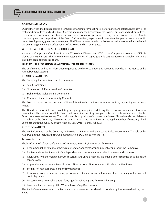#### **BOARD EVALUATION**

During the year, the Board adopted a formal mechanism for evaluating its performance and effectiveness as well as that of its Committees and individual Directors, including the Chairman of the Board. For Board and its Committees, the exercise was carried out through a structured evaluation process covering various aspects of the Boards functioning such as composition of the Board & Committees, experience & competencies, performance of specific duties & obligations, governance issues, etc. The Directors were satisfied with the evaluation results, which reflected the overall engagement and effectiveness of the Board and its Committees.

#### **WHOLETIME DIRECTOR & CFO CERTIFICATE**

An annual Compliance Certificate from the Wholetime Director and CFO of the Company pursuant to LODR, is placed before the Board. The Wholetime Director and CFO also give quarterly certification on financial results while placing the same before the Board.

#### **DISCLOSURE REGARDING RE-APPOINTMENT OF DIRECTORS**

The brief resume and other information required to be disclosed under this Section is provided in the Notice of the Annual General Meeting.

#### **BOARD COMMITTEES**

The Company has four Board level committees:

- (a) Audit Committee
- (b) Nomination & Remuneration Committee
- (c) Stakeholders' Relationship Committee
- (d) Corporate Social Responsibility Committee

The Board is authorized to constitute additional functional committees, from time to time, depending on business needs.

The Board is responsible for constituting, assigning, co-opting and fixing the terms and reference of various committees. The minutes of all the Board and Committee meetings are placed before the Board and noted by the Directors present at the meeting. The particulars of composition of various committees of Board are also available on the website of the Company. The role and composition of the Committees including the number of meeting(s) held and the related attendance during the financial year 2015-16 are as follows:

#### **AUDIT COMMITTEE**

The Audit Committee of the Company in line with LODR read with the Act and Rules made therein. The role of the Audit Committee includes the powers as stipulated in LODR read with the Act.

#### **Terms of Reference**

The brief terms of reference of the Audit Committee, inter-alia, includes the following:

- (a) Recommendation for appointment, remuneration and terms of appointment of auditors of the Company;
- (b) Review and monitor the Auditor's independence and performance and effectiveness of audit process;
- (c) Reviewing, with the management, the quarterly and annual financial statements before submission to the Board for approval;
- (d) Approval or any subsequent modification of transactions of the company with related parties; if any;
- (e) Scrutiny of inter-corporate loans and investments;
- (f) Reviewing, with the management, performance of statutory and internal auditors, adequacy of the internal control systems;
- (g) Discussion with internal auditors of any significant findings and follow up there on;
- (h) To review the functioning of the Whistle Blower/Vigil Mechanism;

The Audit Committee may also review such other matters as considered appropriate by it or referred to it by the Board.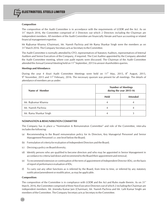#### **Composition**

The composition of the Audit Committee is in accordance with the requirements of LODR and the Act. As on 31<sup>st</sup> March 2016, the Committee comprised of 3 Directors out which 2 Directors including the Chairman are independent members. All members of the Audit Committee are financially literate and have accounting or related financial management expertise.

Mr Rajkumar Khanna (Chairman), Mr. Naresh Pachisia and Mr Rama Shankar Singh were the members as on<br>31 March 2016. The Company Secretary acts as Secretary to the Committee.

The Audit Committee is normally attended by CFO, representatives of Statutory Auditors, representatives of Internal Auditors and Senior Executives of the Company, if required. The Cost Auditor appointed by the Company attended the Audit Committee meeting, where cost audit reports were discussed. The Chairman of the Audit Committee attended the Annual General Meeting held on 11<sup>th</sup> September, 2015 to answer shareholders queries.

#### **Meetings and Attendance:**

During the year 4 (four) Audit Committee Meetings were held on  $11<sup>th</sup>$  May, 2015, 8<sup>th</sup> August, 2015,  $9<sup>th</sup>$  November, 2015 and 11<sup>th</sup> February, 2016. The necessary quorum was present for all meetings. The details of attendance of members are as under:

| Name of Member         | <b>Number of Meetings</b><br>during the year 2015-16 |                 |
|------------------------|------------------------------------------------------|-----------------|
|                        | <b>Held</b>                                          | <b>Attended</b> |
| Mr. Rajkumar Khanna    |                                                      |                 |
| Mr. Naresh Pachisia    |                                                      |                 |
| Mr. Rama Shankar Singh |                                                      |                 |

#### **NOMINATION & REMUNERATION COMMITTEE**

The Company has in place a "Nomination & Remuneration Committee" and role of the Committee, inter-alia includes the following:

- (a) Recommending to the Board remuneration policy for its Directors, Key Managerial Personnel and Senior Management Personnel i.e. one level below the Board;
- (b) Formulation of criteria for evaluation of Independent Directors and the Board;
- (c) Devising a policy on Board diversity;
- (d) Identify persons who are qualified to become directors and who may be appointed in Senior Management in accordance to criteria laid down and recommend to the Board their appointment and removal;
- (e) To recommend extension or continuation of the term of appointment of Independent Director (IDs), on the basis of report of performance evaluation of IDs;
- To carry out any other functions as is referred by the Board, from time to time, or referred by any statutory notification/amendment or modification, as may be applicable.

#### **Composition:**

22

The composition of the Committee is in compliance with LODR and the Act and Rules made therein. As on 31<sup>st</sup> March, 2016, the Committee comprised of three Non-Executive Directors out of which 2 including the Chairman are independent members. Mr. Jinendra Kumar Jain (Chairman), Mr. Naresh Pachisia and Mr. Lalit Kumar Singhi are members of the Committee. The Company Secretary acts as Secretary to the Committee.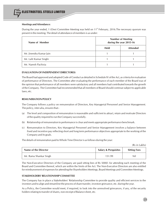#### **Meetings and Attendance:**

During the year ended, 1 (One) Committee Meeting was held on  $11<sup>th</sup>$  February, 2016.The necessary quorum was present in the meeting. The detail of attendance of members is as under:

| Name of Member          | <b>Number of Meeting</b><br>during the year 2015-16 |                 |
|-------------------------|-----------------------------------------------------|-----------------|
|                         | <b>Held</b>                                         | <b>Attended</b> |
| Mr. Jinendra Kumar Jain |                                                     |                 |
| Mr. Lalit Kumar Singhi  |                                                     |                 |
| Mr. Naresh Pachisia     |                                                     |                 |

## **EVALUATION OF INDEPENDENT DIRECTOR(S)**

The Board had approved and adopted Code of Conduct as detailed in Schedule IV of the Act, as criteria for evaluation of performance of Directors. The Committee after evaluating the performance of each member of the Board was of the opinion that performance of all members were satisfactory and all members had contributed towards the growth of the Company. The Committee had recommended that all members of Board should continue subject to applicable laws, etc.

## **REMUNERATION POLICY**

The Company follows a policy on remuneration of Directors, Key Managerial Personnel and Senior Management. The policy, inter-alia, ensures that:-

- (a) The level and composition of remuneration is reasonable and sufficient to attract, retain and motivate Directors of the quality required to run the Company successfully.
- (b) Relationship of remuneration to performance is clear and meets appropriate performance benchmark.
- (c) Remuneration to Directors, Key Managerial Personnel and Senior Management involves a balance between fixed and incentive pay reflecting short and long term performance objectives appropriate to the working of the Company and its goals.

The details of remuneration paid to Whole Time Director is as follows during the year:

(Rs in Lakhs)

| Name of the Director   | <b>Salary &amp; Perquisites</b> | <b>Sitting Fees</b> |
|------------------------|---------------------------------|---------------------|
| Mr. Rama Shankar Singh | 151.99                          | Nil                 |

The Non-Executive Directors of the Company are paid sitting fees of Rs 5000/- for attending each meeting of the Board and Committee thereof, which are within the limits of the Act. The Non-Executive Directors are also entitled for reimbursement of expenses for attending the Shareholders Meetings, Board Meetings and Committee Meetings.

#### **STAKEHOLDERS' RELATIONSHIP COMMITTEE**

The Company has in place a Stakeholders' Relationship Committee to provide quality and efficient services to the investors and to align and streamline the process of share transfer, investors grievance, etc. during the year.

As a Policy, the Committee would meet, if required, to look into the unresolved grievances, if any, of the security holders relating to transfer of shares, non-receipt of Balance sheet, etc.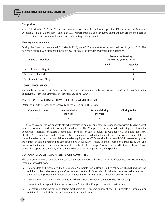#### **Composition:**

As on 31<sup>st</sup> March, 2016, the Committee comprised of 2 Non-Executive Independent Directors and an Executive Director. Mr.Lalit Kumar Singhi (Chairman), Mr. Naresh Pachisia and Mr. Rama Shankar Singh are the members of the Committee. The Company Secretary acts as Secretary to the Committee.

#### **Meeting and Attendance:**

During the financial year ended 31<sup>st</sup> March 2016,one (1) Committee Meeting was held on 8<sup>th</sup> July, 2015. The necessary quorum was present for the meeting. The details of attendance of members is as under:

| Name of Member         | <b>Number of Meeting</b><br>during the year 2015-16 |                 |  |
|------------------------|-----------------------------------------------------|-----------------|--|
|                        | Held                                                | <b>Attended</b> |  |
| Mr. Lalit Kumar Singhi |                                                     |                 |  |
| Mr. Naresh Pachisia    |                                                     |                 |  |
| Mr. Rama Shankar Singh |                                                     |                 |  |

## **COMPLIANCE OFFICER**

Mr. Anubhav Maheshwari, Company Secretary of the Company has been designated as Compliance Officer for complying with the requirements of Securities Laws and LODR.

#### **INVESTOR'S COMPLAINTS/GREIVANCE REDRESSAL MECHANISM**

Details of Investors Complaints received and redressed during the year :-

| <b>Opening Balance</b> | <b>Received during</b><br>the year | <b>Resolved during</b><br>the year | <b>Closing Balance</b> |  |
|------------------------|------------------------------------|------------------------------------|------------------------|--|
| nil                    |                                    |                                    | <b>NIL</b>             |  |

It is the endeavor of the Company to attend investors' complaints and other correspondence within 15 days except where constrained by disputes or legal impediments. The Company ensures that adequate steps are taken for expeditious redressal of investors complaints. In terms of SEBI circular, the Company has obtained necessary SCORES (SEBI Complaints Redressal System) authentication. This has facilitated the investors to view online status of the action taken against the complaints made by logging on to SEBI's website. In terms of LODR, a statement giving the number of complaints pending at the beginning of the quarter, received and disposed off during the quarter and unresolved at the end of the quarter is submitted to the Stock Exchange(s) as well as placed before the Board. As on date of the Report, the Company affirms that no shareholder's complaint was lying pending.

#### **CORPORATE SOCIAL RESPONSIBILITY (CSR) COMMITTEE**

The CSR Committee was constituted in terms of the requirement of the Act. The terms of reference of the Committee, inter-alia, are as follows:

- (a) To formulate and recommend to the Board, a Corporate Social Responsibility Policy which shall indicate the activities to be undertaken by the Company as specified in Schedule VII of the Act, as amended from time to time, excluding the activities undertaken in pursuance of normal course of business of the Company;
- (b) To recommend the amount of expenditure to be incurred on the activities referred to in clause (a);
- (c) To monitor the Corporate Social Responsibility Policy of the Company, from time to time and
- (d) To institute a transparent monitoring mechanism for implementation of the CSR projects or programs or activities to be undertaken by the Company, from time to time.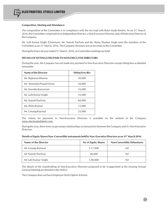#### **Composition, Meeting and Attendance:**

The composition of the Committee is in compliance with the Act read with Rules made therein. As on 31<sup>st</sup> March, 2016, the Committee comprised of an Independent Director, a Non-Executive Director and a Whole-time Director of the Company.

Mr. Lalit Kumar Singhi (Chairman), Mr. Naresh Pachisia and Mr. Rama Shankar Singh were the members of the Committee as on 31<sup>\*</sup> March, 2016. The Company Secretary acts as Secretary to the Committee.

During the financial year ended  $31<sup>*</sup>$  March, 2016, no Committee meeting was held.

#### **DETAILS OF SITTINGS FEES PAID TO NON-EXECUTIVE DIRECTORS**

During the year, the Company has not made any payment to Non-Executive Directors except sitting fees as detailed hereunder:

| Name of the Director      | <b>Sitting Fees (Rs)</b> |
|---------------------------|--------------------------|
| Mr. Rajkumar Khanna       | 50,000                   |
| Mr. Amrendra Prasad Verma | 20,000                   |
| Mr. Jinendra Kumar Jain   | 35,000                   |
| Mr. Lalit Kumar Singhi    | 35,000                   |
| Mr. Naresh Pachisia       | 60,000                   |
| Ms. Rishu Kumari          | 15,000                   |
| Mr. Umang Kejriwal        | 25,000                   |

The criteria for payments to Non-Executive Directors is available on the website of the Company www.electrosteelsteels.com.

During the year, there were no pecuniary relationships or transactions between the Company and it's Non-Executive Directors.

| Details of Equity Shares/Non-Convertible instruments held by Non-Executive Directors as on 31 <sup>st</sup> March 2016 |  |
|------------------------------------------------------------------------------------------------------------------------|--|
|------------------------------------------------------------------------------------------------------------------------|--|

| Name of the Director  | No of Equity Shares | <b>Non-Convertible Debentures</b> |
|-----------------------|---------------------|-----------------------------------|
| Mr Umang Kejriwal     | 5,17,000            | Nil                               |
| Mr Naresh Paschisa    | 50,000              | Nil                               |
| Mr Lalit Kumar Singhi | 1,90,000            | Nil                               |

The details of the shareholding of Non-Executive Directors proposed to be re-appointed at the ensuing Annual General Meeting are detailed in the Notice.

The Company does not have Employee Stock Option Scheme.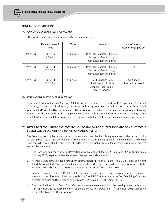#### **GENERAL BODY MEETINGS**

#### **(A) ANNUAL GENERAL MEETINGS (AGMs):**

The location and time of last three AGMs held are as under:

| No.     | <b>Financial Year &amp;</b><br><b>Time</b> | <b>Date</b> | <b>Venue</b>                                                                            | No. of Special<br><b>Resolution(s)</b> passed |
|---------|--------------------------------------------|-------------|-----------------------------------------------------------------------------------------|-----------------------------------------------|
| 8th AGM | 2014-15<br>11.30 A.M                       | 11.09.2015  | Prez Hall, Capitol Hill Hotel,<br>Mahatma Gandhi Marg,<br>Main Road, Ranchi-834001      |                                               |
| 7th AGM | 2013-14<br>12.30 P.M                       | 16.09.2014  | Prez Hall, Capitol Hill Hotel,<br>Mahatma Gandhi Marg,<br>Main Road, Ranchi-834001      |                                               |
| 6th AGM | 2012-13<br>12.30 P.M                       | 23.07.2013  | Basil Banquet Hall,<br>Hotel Landmark, Jatin.<br>Chandra Road, Lalpur,<br>Ranchi 834001 | No Special<br>Resolution passed               |

#### **(B) EXTRA-ORDINARY GENERAL MEETING**

Two Extra Ordinary General Meetings (EOGM) of the Company were held on 11<sup>th</sup> September, 2015 and 7<sup>th</sup> January, 2016 at Capitol Hill Hotel, Mahatma Gandhi Marg, Main Road, Ranchi-834001 during the financial year ended 31<sup>st</sup> March 2016.The particulars of the resolutions passed in the aforesaid meetings along with voti results were disseminated on the Company's website as well as provided to the Stock Exchange(s) within stipulated time. The resolutions were approved by the shareholders of the Company unanimously/with requisite majority.

## **(C) DETAILS OF RESOLUTIONS PASSED THROUGH POSTAL BALLOT, THE PERSON WHO CONDUCTED THE POSTAL BALLOT EXERCISE AND DETAILS OF VOTING PATTERN:**

The Company in compliance with the provisions of the Act and the then Listing Agreement had provided facility to vote, in both AGM & EOGM held on 11<sup>th</sup> September 2015, through postal ballot to the members who did not have access to e-voting facility and were entitled thereto. The brief procedure for aforesaid postal ballot process are detailed hereunder :

- 1. The Company had issued separate Postal Ballot Form along with the AGM Notice and EOGM Notice dated 11<sup>th</sup> May 2015, together with self-addressed postage pre-paid envelopes.
- 2. Members were advised to read carefully the instructions printed on both the Postal Ballot Forms and return the duly completed Forms in the attached self-addressed postage pre-paid envelope, so as to reach the Scrutinizer on or before close of working hours i.e. 5 p.m. on  $10<sup>th</sup>$  September 2015.
- 3. After due scrutiny of all the Postal Ballot Forms received and considering the voting through electronic mode upto the close of working hours for both AGM & EOGM, M/s. K Arun & Co., Practicing Company Secretaries, submitted their reports on both AGM & EOGM on 12<sup>th</sup> September 2015.
- 4. The combined results of Postal Ballot/Evoting/Voting at the venue of both the meetings were declared on  $12^{\text{th}}$  September, 2015. Pursuant to the Act, the date of AGM & EOGM i.e. 11<sup>th</sup> September 2015 were taken as the date of passing of the resolutions.

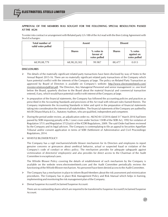## **APPROVAL OF THE MEMBERS WAS SOUGHT FOR THE FOLLOWING SPECIAL RESOLUTION PASSED AT THE AGM**

To enter into contract or arrangement with Related party U/s 188 of the Act read with the then Listing Agreement with Stock Exchanges:

| <b>Total number of</b><br>valid votes polled | <b>Assent</b> |                                           | <b>Dissent</b> |                                         |  |
|----------------------------------------------|---------------|-------------------------------------------|----------------|-----------------------------------------|--|
| <b>Shares</b>                                |               | $%$ votes in<br>favour of<br>votes polled | <b>Shares</b>  | $%$ votes<br>against on<br>votes polled |  |
| 68,99,08,779                                 | 68,98,20,302  | 99.987                                    | 88,477         | 0.013                                   |  |

#### **DISCLOSURES**

- $\triangleright$  The details of the materially significant related party transactions have been disclosed by way of Notes to the Annual Report 2015-16. There are no materially significant related party transactions of the Company which have potential conflict with the interests of the Company at large. The policy on Related Party Transaction as approved by Board of Directors is available on Company's website: http://www.electrosteelsteels.com/ investor-relations/pdf/rpt.pdf. The Directors, Key Managerial Personnel and senior management i.e. one level below the Board, quarterly disclose to the Board about the material financial and commercial transaction entered, if any, which would have potential conflict with interest of the Company at large.
- $\triangleright$  In preparation of the financial statements, the Company has followed the accounting policies and practices as prescribed in the Accounting Standards and provisions of the Act read with relevant rules framed therein. The Company implements the Accounting Standards in letter and spirit in the preparation of financial statements taking into consideration the interest of all stakeholders. The financial statements of the Company are audited by M/s B Chhawchharia & Co., Statutory Auditors, who are qualified, independent and competent.
- $\triangleright$  During the period under review, an adjudication order no. AK/AO-8-12/2016 dated 31<sup>\*</sup> March 2016 had been passed by SEBI imposing penalty of Rs.1 (one) crore under Section 15HB of the SEBI Act, 1992 for violation of Regulation 57(1) and Regulation 57(2)(a)(ii) of the ICDR Regulations, 2009. The said Order had been reviewed by the Company and its legal advisors. The Company is contemplating to file an appeal to Securities Appellate Tribunal and/or consent application in terms of SEBI (Settlement of Administrative and Civil Proceedings) Regulations, 2014.

#### WHISTLE BLOWER POLICY

The Company has a vigil mechanism/whistle blower mechanism for its Directors and employees to report genuine concerns or grievances about unethical behavior, actual or suspected fraud or violation of the Company's code of conduct or ethics policy. The mechanism provides for adequate safeguards against victimization of director(s)/ employee(s) and also provides for direct access to the Chairman of the Audit Committee in exceptional cases.

The Whistle Blower Policy covering the details of establishment of such mechanism by the Company is available on the website www.electrosteelsteels.com and the Audit Committee periodically reviews the functioning of the Whistle Blower mechanism. No personnel have been denied access to the Audit Committee.

- $\triangleright$  The Company has a mechanism in place to inform Board Members about the risk assessment and minimization procedures. The Company has in place Risk Management Policy and Risk Manual which helps in framing, implementing and monitoring the risk management plan of the Company.
- Demat Suspense Account/Unclaimed Suspense Account:

There are no outstanding shares which are required to be transferred to Suspense Account/Unclaimed Suspense Account.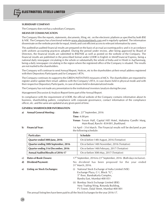#### **SUBSIDIARY COMPANY**

The Company does not has a subsidiary Company.

#### **MEANS OF COMMUNICATION**

The Company files the reports, statements, documents, filing, etc. on the electronic platform as specified by both BSE & NSE. The Company has a functional website www.electrosteelsteels.com and is regularly updated. The information disseminate on the website provide for equal, timely and cost efficient access to relevant information by users.

The audited/un-audited financial results are prepared on the basis of accrual accounting policy and is in accordance with uniform accounting practices adopted. During the period under review, after being approved by Board of Directors, the financial results are submitted to BSE/NSE as well as posted on the website of the Company. The financial results are published in the prescribed format under LODR in English in Mint/Financial Express, being a national daily newspaper circulating in the whole or substantially the whole of India and in Hindi in Aaj/Sanmarg, being a daily newspaper circulating in the region where the registered office of the Company is situated. The results are not mailed to the shareholders.

The Company will continue to send Annual Report, Notices, etc to the shareholders at their email address registered with their Depository Participants and /or Company's RTA.

The Company continues its support to the GREEN INITIATIVES measures of MCA. The shareholders are requested to register and/or update their email- address with the Company's RTA, in case shares held in physical mode and with their respective Depository Participants, in case of shares held in dematerialized mode.

The Company has not made any presentation to the institutional investors /analysis during the year.

Management Discussion & Analysis Report forms part of the Annual Report.

In compliance with the requirement of LODR, the official website of the Company contains information about its business, shareholding pattern, compliance with corporate governance, contact information of the compliance officer, etc. and the same are updated at any given point of time.

#### **GENERAL SHAREHOLDER INFORMATION**

28

| a)           | <b>Annual General Meeting:</b> | Date: 23 <sup>rd</sup> September, 2016                                                                 |
|--------------|--------------------------------|--------------------------------------------------------------------------------------------------------|
|              |                                | <b>Time:</b> $4.00 \text{ pm}$                                                                         |
|              |                                | Venue: Forum Hall, Capital Hill Hotel, Mahatma Gandhi Marg,<br>Main Road, Ranchi - 834 001, Jharkhand. |
| $\mathbf{b}$ | <b>Financial Year:</b>         | 1st April - 31st March. The Financial results will be declared as per<br>the following schedule:       |

| <b>Particulars</b>                       | <b>Schedule</b>                              |
|------------------------------------------|----------------------------------------------|
| Quarter ended 30th June, 2016            | On & before 14th August, 2016 (Tentative)    |
| Quarter ending 30th September, 2016      | On or before 14th November, 2016 (Tentative) |
| Quarter ending 31st December, 2016       | On or before 14th February, 2017 (Tentative) |
| <b>Annual Audited Results of 2016-17</b> | On or before 30th May, 2017 (Tentative)      |

| c) Dates of Book Closure:      | $17th$ September, 2016 to $23rd$ September, 2016 (Both days inclusive).                                                                                                |  |  |  |
|--------------------------------|------------------------------------------------------------------------------------------------------------------------------------------------------------------------|--|--|--|
| d) Dividend Payment:           | No dividend has been proposed for the year ended<br>31 <sup>st</sup> March, 2016.                                                                                      |  |  |  |
| e) Listing on Stock Exchanges: | National Stock Exchange of India Limited (NSE)<br>(i)<br>Exchange Plaza, C-1, Block "G",<br>5 <sup>th</sup> floor, BandraKurla Complex,<br>Bandra East, Mumbai-400 051 |  |  |  |
|                                | (ii) Bombay Stock Exchange Limited (BSE)<br>New Trading Wing, Rotunda Building,                                                                                        |  |  |  |

P J Tower, Dalal Street, Mumbai-400 001

The annual listing fees have been paid to all the Stock Exchanges for the year 2016-17.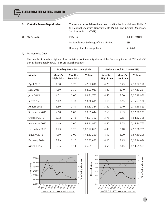| f)           | <b>Custodial Fees to Depositories:</b> | The annual custodial fees have been paid for the financial year 2016-17<br>to National Securities Depository Ltd (NSDL) and Central Depository<br>Services India Ltd (CDSL) |               |
|--------------|----------------------------------------|-----------------------------------------------------------------------------------------------------------------------------------------------------------------------------|---------------|
| $\mathbf{g}$ | <b>Stock Code:</b>                     | ISIN No.                                                                                                                                                                    | :INE481K01013 |
|              |                                        | National Stock Exchange of India Limited                                                                                                                                    | :ESL          |
|              |                                        | Bombay Stock Exchange Limited<br>:533264                                                                                                                                    |               |

#### **h) Market Price Data**

The details of monthly high and low quotations of the equity shares of the Company traded at BSE and NSE during the financial year 2015-16 are given hereunder:

|                | <b>Bombay Stock Exchange (BSE)</b> |                             |             |                              | <b>National Stock Exchange (NSE)</b> |                |
|----------------|------------------------------------|-----------------------------|-------------|------------------------------|--------------------------------------|----------------|
| Month          | Month's<br><b>High Price</b>       | Month's<br><b>Low Price</b> | Volume      | Month's<br><b>High Price</b> | Month's<br><b>Low Price</b>          | <b>Volume</b>  |
| April 2015     | 4.08                               | 3.75                        | 42,67,040   | 4.20                         | 3.75                                 | 2,30,22,190    |
| May 2015       | 4.80                               | 3.70                        | 64,03,083   | 4.80                         | 3.70                                 | 3,47,33,261    |
| June 2015      | 4.52                               | 3.05                        | 99,71,752   | 4.55                         | 3.50                                 | 3,37,48,980    |
| July 2015      | 4.12                               | 3.44                        | 58,26,645   | 4.15                         | 3.45                                 | 2,45,53,120    |
| August 2015    | 3.80                               | 2.44                        | 56,87,384   | 3.80                         | 2.40                                 | 2, 13, 16, 823 |
| September 2015 | 2.60                               | 2.05                        | 20,69,644   | 2.60                         | 2.05                                 | 1,12,20,273    |
| October 2015   | 3.72                               | 2.13                        | 44,91,767   | 3.75                         | 2.15                                 | 1,54,82,366    |
| November 2015  | 4.49                               | 2.66                        | 94,41,977   | 4.45                         | 2.65                                 | 2, 15, 34, 763 |
| December 2015  | 4.43                               | 3.25                        | 1,07,57,095 | 4.40                         | 3.10                                 | 2,97,76,789    |
| January 2016   | 4.50                               | 3.00                        | 1,42,37,260 | 4.50                         | 3.00                                 | 3,87,10,206    |
| February 2016  | 3.99                               | 3.15                        | 57,85,893   | 4.00                         | 3.15                                 | 2,26,16,076    |
| March 2016     | 3.55                               | 3.11                        | 26,65,483   | 3.55                         | 3.15                                 | 1, 14, 55, 504 |



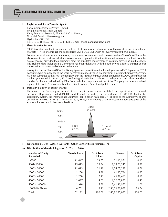#### **i) Registrar and Share Transfer Agent:**

Karvy Computershare Private Limited Unit: Electrosteel Steels Limited Karvy Selenium Tower B, Plot 31-32, Gachibowli, Financial District, Nanakramguda Hyderabad-500 032 Tel: 040 67161559, Fax: 040 23114087, E-mail: shobha.anand@karvy.com

#### **j) Share Transfer System:**

99.99% of shares of the Company are held in electronic mode. Intimation about transfer/transmission of these shares to RTA is done through the depositories i.e. NSDL & CDSL with no involvement of the Company.

For transfer of shares in physical mode, the transfer documents should be sent to the office of the RTA at the above mentioned address. All share transfers are completed within the stipulated statutory time limit from the date of receipt, provided the documents meet the stipulated requirement of statutory provisions in all respects. The Stakeholders' Relationship Committee has been delegated with the authority to approve transfer and/or transmissions of shares and other related matters.

As required under Clause 47C of the Listing Agreement, a certificate for the half year ended  $30<sup>th</sup>$  September, 2015 confirming due compliance of the share transfer formalities by the Company from Practicing Company Secretary has been submitted to the Stock Exchanges within the stipulated time. Further as envisaged LODR, a certificate for<br>the half year ended 31<sup>\*</sup> March, 2016 confirming all activities in relation to both physical and electronic transfer facility are maintained by RTA from both the compliance officer of the Company and the authorized representative of RTA, was also submitted to Stock Exchange(s) within stipulated time.

#### **k) Dematerialization of Equity Shares:**

The shares of the Company are currently traded only in dematerialized with both the depositories i.e. National Securities Depository Limited (NSDL) and Central Depository Services (India) Ltd. (CDSL). Under the Depository system, the International Securities Identification Number(ISIN) allotted to the Company's shares are INE 481K01013. As on 31st March 2016, 2,40,89,45,348 equity shares representing about 99.99% of the share capital are held in dematerialized form.



#### **l) Outstanding GDRs / ADRs / Warrants / Other Convertible instruments:** Nil

#### **m)** Distribution of shareholding as on 31<sup>st</sup> March 2016:

| <b>Number of Equity</b><br><b>Shares held</b> | <b>Shareholders</b> | % of Total<br><b>Holders</b> | <b>Shares</b>  | % of Total<br>Capital |
|-----------------------------------------------|---------------------|------------------------------|----------------|-----------------------|
| 1-5000                                        | 12,447              | 23.85                        | 31,12,961      | 0.13                  |
| 5001-10000                                    | 15,419              | 29.54                        | 1, 18, 81, 545 | 0.50                  |
| 10001-20000                                   | 11,015              | 21.10                        | 1,84,07,339    | 0.76                  |
| 20001-30000                                   | 2,288               | 4.38                         | 61,37,784      | 0.25                  |
| 30001-40000                                   | 1,258               | 2.41                         | 46,36,463      | 0.19                  |
| 40001-50000                                   | 2,097               | 4.02                         | 1,02,67,880    | 0.43                  |
| 50001-100000                                  | 2,918               | 5.59                         | 2,41,40,962    | 1.00                  |
| 100001& Above                                 | 4,751               | 9.11                         | 2,33,06,50,089 | 96.74                 |
| Total                                         | 52,193              | 100.00                       | 2,40,92,35,023 | 100.00                |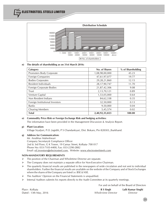ELECTROSTEEL STEELS LIMITED



#### **n) The details of shareholding as on 31st March 2016:**

| Category                        | No. of Shares   | % of Shareholding |
|---------------------------------|-----------------|-------------------|
| Promoters Body Corporate        | 1,08,98,00,000  | 45.23             |
| Foreign Companies               | 47,61,97,077    | 19.77             |
| <b>Bodies Corporates</b>        | 29, 28, 21, 860 | 12.15             |
| Resident Individuals            | 28,17,90,747    | 11.70             |
| Foreign Corporate Bodies        | 21,87,42,306    | 9.08              |
| Trust                           | 2,13,70,121     | 0.89              |
| Venture Capital                 | 1,53,05,000     | 0.64              |
| Non Resident Indians            | 84,62,338       | 0.35              |
| Foreign Institutional Investors | 32,50,000       | 0.13              |
| <b>Banks</b>                    | 9,50,000        | 0.04              |
| <b>Clearing Members</b>         | 5,45,574        | 0.02              |
| <b>Total</b>                    | 2,40,92,35,023  | 100.00            |

#### **o) Commodity Price Risk or Foreign Exchange Risk and hedging activities:**

The information have been provided in the Management Discussion & Analysis Report.

#### **p) Plant Location:**

Village Siyaljori, P.O. Jogidih, P S Chandankyari, Dist. Bokaro, Pin 828303, Jharkhand.

#### **q) Address for Communication:**

Mr. Anubhav Maheshwari Company Secretary& Compliance Officer 2nd & 3rd Floor, G K Tower, 19 Camac Street, Kolkata- 700 017 Phone No: 033-7103-4400, Fax: 033-2290-2882 Email: eil.investors@electrosteel.com, Website: www.electrosteelsteels.com

#### **NON-MANDATORY REQUIREMENTS**

- $\triangleright$  The position of the Chairman and Wholetime Director are separate.
- $\triangleright$  The Company does not maintain a separate office for Non-Executive Chairman.
- $\triangleright$  The quarterly financial results are published in the newspapers of wide circulation and not sent to individual shareholders. Further the financial results are available on the website of the Company and of Stock Exchanges where the shares of the Company are listed i.e. BSE & NSE.
- > The Auditors' Opinion on the Financial Statements is unqualified.
- $\triangleright$  Internal Auditors submits his reports directly to the Audit Committee at its quarterly meetings.

For and on behalf of the Board of Directors

| Place : Kolkata        | R S Singh                  | Lalit Kumar Singhi |
|------------------------|----------------------------|--------------------|
| Dated : 13th May, 2016 | <i>Whole-time Director</i> | Director           |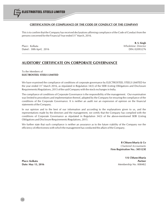## **CERTIFICATION OF COMPLIANCE OF THE CODE OF CONDUCT OF THE COMPANY**

This is to confirm that the Company has received declarations affirming compliance of the Code of Conduct from the persons concerned for the Financial Year ended 31<sup>st</sup> March, 2016.

Place : Kolkata *Wholetime Director* Dated : 30th April, 2016 **Discrete 2016** DIN: 02093276

**R. S. Singh**

# **AUDITORS' CERTIFICATE ON CORPORATE GOVERNANCE**

## To the Members of **ELECTROSTEEL STEELS LIMITED**

We have examined the compliance of conditions of corporate governance by ELECTROSTEEL STEELS LIMITED for the year ended 31<sup><sup>st</sup> March 2016, as stipulated in Regulation 34(3) of the SEBI (Listing Obligations and Disclosure</sup> Requirements) Regulations, 2015 of the said Company with the stock exchanges in India.

The compliance of conditions of Corporate Governance is the responsibility of the management. Our examination was limited to procedures and implementation thereof, adopted by the Company for ensuring the compliance of the conditions of the Corporate Governance. It is neither an audit nor an expression of opinion on the financial statements of the Company.

In our opinion and to the best of our information and according to the explanations given to us, and the representations made by the directors and the management, we certify that the Company has complied with the conditions of Corporate Governance as stipulated in Regulation 34(3) of the above-mentioned SEBI (Listing Obligations and Disclosure Requirements) Regulations, 2015.

We further state that such compliance is neither an assurance as to the future viability of the Company nor the efficiency of effectiveness with which the management has conducted the affairs of the Company.

> **B Chhawchharia & Co** *Chartered Accountants* **Firm Registration No.: 305123E**

**S K Chhawchharia Place: Kolkata** *Partner* **Date: May 13, 2016** Membership No. 008482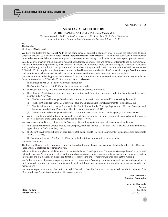## **ANNEXURE - D**

## **SECRETARIAL AUDIT REPORT**

#### **FOR THE FINANCIAL YEAR ENDED 31st Day of March, 2016**

*[Pursuant to section 204(1) of the Companies Act, 2013 and Rule No.9 of the Companies (Appointment and Remuneration of Managerial Personnel) Rules, 2014]*

To, The Members, **Electrosteel Steels Limited**

ELECTROSTEEL STEELS LIMITED

We have conducted the **Secretarial Audit** of the compliance of applicable statutory provisions and the adherence to good corporate practices by **Electrosteel Steels Limited** (**hereinafter called "the Company")**. The Audit was conducted in a manner that provided us a reasonable basis for evaluating the corporate conducts/statutory compliances and expressing our opinion thereon.

Based on our verification of books, papers, minute books, forms and returns filed and other records maintained by the Company and also the information provided by the Company, its officers and authorized representatives during the conduct of Secretarial Audit, we hereby report that in our opinion the Company has, during the audit period covering the financial year ended on<br>31 "March, 2016, complied with the statutory provisions listed hereunder and also that the Company h and compliance-mechanism in place to the extent, in the manner and subject to the reporting made hereinafter:

We have examined the books, papers, minute books, forms and returns filed and other records maintained by the Company for the financial year ended on 31<sup>st</sup> March, 2016 according to the provisions of:

- I. The Companies Act, 2013 and the rules made thereunder;
- II. The Securities Contracts Act, 1956 and the rules made thereunder;
- III. The Depositories Act, 1996 and the Regulations and Bye-laws framed thereunder;
- IV. The following Regulations (as amended from time to time) and Guidelines prescribed under the Securities and Exchange Board of India Act, 1992:-
	- (a) The Securities and Exchange Board of India (Substantial Acquisition of Shares and Takeovers) Regulations, 2011;
	- (b) The Securities and Exchange Board of India (Issue of Capital and Disclosure Requirements) Regulations, 2009;
	- (c) The Securities and Exchange Board of India (Prohibition of Insider Trading) Regulations, 1992 and Securities and Exchange Board of India (Prohibition of Insider Trading) Regulations, 2015;
	- (d) The Securities and Exchange Board of India (Registrars to an Issue and Share Transfer Agents) Regulations, 1993;
- V. We in consultation with the Company came to a conclusion that no specific laws were directly applicable with regard to business activities of the Company during the period under review.

We have also examined the compliance by the Company of the following statutory provisions/standards/regulations:

- a. The Listing Agreements entered into by the Company, with BSE Limited & National Stock Exchange of India Limited (as applicable till 30<sup>th</sup> of November, 2015) ;
- b. The Securities & Exchange Board of India (Listing Obligations and Disclosure Requirements) Regulations, 2015 **(**applicable w.e.f. 01.12.2015).
- c. The Secretarial Standards (SS 1 and SS 2) issued by the Institute of Company Secretaries of India.

We further report that:

The Board of Directors of the Company is duly constituted with proper balance of Executive Director, Non-Executive Directors, Independent Directors and a Woman Director.

Adequate Notice is given to all Directors to schedule the Board Meetings and/or Committee Meetings thereof. Agenda and detailed Notes on Agenda were sent at least seven days in advance, and a system exists for seeking and obtaining further information and clarifications on the agenda items before the meeting and for meaningful participation at the meeting.

We further report that there are adequate systems and processes in the Company commensurate with the size and operations of the Company to monitor and ensure compliance with applicable laws, rules, regulations and guidelines as also represented by the management.

We further report that during the period ended 31<sup>s</sup>March, 2016 the Company had amended the Capital clause of its Memorandum of Association for creation of fresh equity shares.

> **For K. Arun & Co Company Secretaries**

**Arun Kr. Khandelia Partner Place : Kolkata** FCS: 3829 **Date : 04.05.2016** C.P. No.: 2270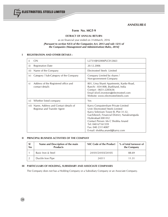ELECTROSTEEL STEELS LIMITED

## **ANNEXURE-E**

## **Form No. MGT-9**

#### **EXTRACT OF ANNUAL RETURN**

as on financial year ended on 31stMarch, 2016

#### *[Pursuant to section 92(3) of the Companies Act, 2013 and rule 12(1) of the Companies (Management and Administration) Rules, 2014]*

## **I REGISTRATION AND OTHER DETAILS :**

| i)   | <b>CIN</b>                                                                | L27310JH2006PLC012663                                                                                                                                                                                                                                                                                 |
|------|---------------------------------------------------------------------------|-------------------------------------------------------------------------------------------------------------------------------------------------------------------------------------------------------------------------------------------------------------------------------------------------------|
| ii)  | <b>Registration Date</b>                                                  | 20.12.2006                                                                                                                                                                                                                                                                                            |
| iii) | Name of the Company                                                       | Electrosteel Steels Limited                                                                                                                                                                                                                                                                           |
| iv)  | Category / Sub-Category of the Company                                    | Company Limited by shares /<br>Non-government Company                                                                                                                                                                                                                                                 |
| V)   | Address of the Registered office and<br>contact details                   | 801, Uma Shanti Apartments, Kanke Road,<br>Ranchi: 834 008, Jharkhand, India<br>Contact: 0651-2285636<br>Email id:eil.investors@electrosteel.com<br>Website: www.electrosteelsteels.com                                                                                                               |
| vi)  | Whether listed company                                                    | Yes                                                                                                                                                                                                                                                                                                   |
|      | vii) Name, Address and Contact details of<br>Registrar and Transfer Agent | Karvy Computershare Private Limited<br>Unit: Electrosteel Steels Limited<br>Karvy Selenium Tower B, Plot 31-32,<br>Gachibowli, Financial District, Nanakramguda<br>Hyderabad-500 032<br>Contact Person: Ms C Shobha Anand<br>Tel: 040 67161559<br>Fax: 040 23114087<br>E-mail: shobha.anand@karvy.com |

#### **II PRINCIPAL BUSINESS ACTIVITIES OF THE COMPANY**

| <sub>SI</sub><br>No | Name and Description of the main<br><b>Products</b> | NIC Code of the Product | % of total turnover of<br>the Company |  |
|---------------------|-----------------------------------------------------|-------------------------|---------------------------------------|--|
|                     | Basic Iron & Steel                                  | 24101/24103/24105       | 88.69                                 |  |
|                     | Ductile Iron Pipe                                   | 24311                   | 11 31                                 |  |

## **III PARTICULARS OF HOLDING, SUBSIDIARY AND ASSOCIATE COMPANIES**

The Company does not has a Holding Company or a Subsidiary Company or an Associate Company.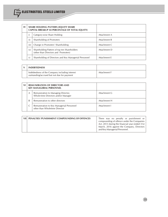| $\mathbf{IV}$ |      | <b>SHARE HOLDING PATTERN (EQUITY SHARE)</b><br>CAPITAL BREAKUP AS PERCENTAGE OF TOTAL EQUITY) |              |
|---------------|------|-----------------------------------------------------------------------------------------------|--------------|
|               |      | Category-wise Share Holding                                                                   | Attachment A |
|               | ii)  | Shareholding of Promoters                                                                     | Attachment B |
|               | iii) | Change in Promoters' Shareholding                                                             | Attachment C |
|               | iv)  | Shareholding Pattern of top ten Shareholders<br>(other than Directors and Promoters)          | Attachment D |
|               | V)   | Shareholding of Directors and Key Managerial Personnel                                        | Attachment E |

| <b>INDEBTEDNESS</b>                                                                           |              |
|-----------------------------------------------------------------------------------------------|--------------|
| Indebtedness of the Company including interest<br>outstanding/accrued but not due for payment | Attachment F |

| VI |                         | <b>REMUNERATION OF DIRECTORS AND</b><br><b>KEY MANAGERIAL PERSONNEL</b>   |              |
|----|-------------------------|---------------------------------------------------------------------------|--------------|
|    | $\overline{\mathsf{A}}$ | Remuneration to Managing Director,<br>Whole-time Directors and/or Manager | Attachment G |
|    | B                       | Remuneration to other directors                                           | Attachment H |
|    |                         | Remuneration to Key Managerial Personnel<br>other than Wholetime Director | Attachment I |

| VII   PENALTIES / PUNISHMENT / COMPOUNDING OF OFFENCES | There was no penalty or punishment or<br>compounding of offence under the Companies<br>Act, 2013 during the financial year ended 31st<br>March, 2016 against the Company, Directors<br>and Key Managerial Personnel. |
|--------------------------------------------------------|----------------------------------------------------------------------------------------------------------------------------------------------------------------------------------------------------------------------|
|                                                        |                                                                                                                                                                                                                      |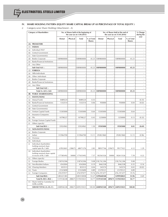## **IV. SHARE HOLDING PATTERN (EQUITY SHARE CAPITAL BREAK UP AS PERCENTAGE OF TOTAL EQUITY )**

*i) Category-wise Share Holding (Attachment - A)*

| <b>Category of Shareholders</b> |                                                                                    | No. of Shares held at the beginning of<br>the year (as on $1.04.2015$ ) |          |                   |                             | No. of Shares held at the end of<br>the year (as on 31.03.2016) |          |                   |                             | % Change<br>during the   |
|---------------------------------|------------------------------------------------------------------------------------|-------------------------------------------------------------------------|----------|-------------------|-----------------------------|-----------------------------------------------------------------|----------|-------------------|-----------------------------|--------------------------|
|                                 |                                                                                    | Demat                                                                   | Physical | <b>Total</b>      | % of Total<br><b>Shares</b> | Demat                                                           | Physical | <b>Total</b>      | % of Total<br><b>Shares</b> | year                     |
| (A)                             | <b>PROMOTERS</b>                                                                   |                                                                         |          |                   |                             |                                                                 |          |                   |                             |                          |
| (1)                             | <b>INDIAN</b>                                                                      |                                                                         |          |                   |                             |                                                                 |          |                   |                             |                          |
| (a)                             | Individual /HUF                                                                    |                                                                         |          |                   |                             |                                                                 |          |                   |                             |                          |
| (b)                             | Central Government                                                                 |                                                                         |          |                   |                             |                                                                 |          |                   |                             | $\sim$                   |
| (c)                             | State Government(s)                                                                |                                                                         |          |                   |                             |                                                                 |          |                   |                             |                          |
| (d)                             | <b>Bodies Corporate</b>                                                            | 1089800000                                                              |          | 1089800000        | 45.23                       | 1089800000                                                      |          | 1089800000        | 45.23                       | $\overline{\phantom{a}}$ |
| (e)                             | <b>Banks/Financial Institutions</b>                                                |                                                                         |          |                   |                             |                                                                 |          |                   |                             |                          |
| (f)                             | Any Other                                                                          |                                                                         |          |                   |                             |                                                                 |          |                   |                             | ÷,                       |
|                                 | Sub-Total $A(1)$ :                                                                 | 1089800000                                                              |          | 1089800000        | 45.23                       | 1089800000                                                      |          | 1089800000        | 45.23                       | ٠                        |
| (2)                             | <b>FOREIGN</b>                                                                     |                                                                         |          |                   |                             |                                                                 |          |                   |                             |                          |
| (a)                             | NRIs-Individuals                                                                   |                                                                         |          |                   |                             |                                                                 |          |                   |                             | $\sim$                   |
| (b)                             | Other-Individuals                                                                  |                                                                         |          |                   |                             |                                                                 |          |                   |                             |                          |
| $\left( c\right)$               | <b>Bodies Corporate</b>                                                            |                                                                         |          |                   |                             |                                                                 |          |                   |                             | $\blacksquare$           |
| (d)                             | <b>Banks/Financial Institutions</b>                                                |                                                                         |          |                   |                             |                                                                 |          |                   |                             |                          |
| (e)                             | Any Other                                                                          |                                                                         |          |                   |                             |                                                                 |          |                   |                             | ÷,                       |
|                                 | Sub-Total $A(2)$ :                                                                 |                                                                         |          |                   |                             |                                                                 |          |                   |                             | $\sim$                   |
|                                 | Total $A = A(1) + A(2)$                                                            | 1089800000                                                              |          | 1089800000        | 45.23                       | 1089800000                                                      |          | 1089800000        | 45.23                       | ÷,                       |
| (B)                             | <b>PUBLIC SHAREHOLDING</b>                                                         |                                                                         |          |                   |                             |                                                                 |          |                   |                             |                          |
| (1)                             | <b>INSTITUTIONS</b>                                                                |                                                                         |          |                   |                             |                                                                 |          |                   |                             |                          |
|                                 |                                                                                    |                                                                         |          |                   |                             |                                                                 |          |                   |                             |                          |
| (a)                             | Mutual Funds                                                                       | 8489224                                                                 |          | 8489224           | 0.35                        |                                                                 |          |                   |                             | (0.35)                   |
| (b)                             | <b>Banks/Financial Institutions</b>                                                | 1332514                                                                 |          | 1332514           | 0.06                        | 950000                                                          |          | 950000            | 0.04                        | (0.02)                   |
| (c)                             | Central Government                                                                 |                                                                         |          |                   |                             |                                                                 |          |                   |                             |                          |
| (d)                             | State Government(s)                                                                |                                                                         |          |                   |                             |                                                                 |          |                   |                             |                          |
| (e)                             | Venture Capital Funds                                                              | 15305000                                                                |          | 15305000          | 0.64                        | 15305000                                                        |          | 15305000          | 0.64                        |                          |
| (f)                             | Insurance Companies                                                                |                                                                         |          |                   |                             |                                                                 |          |                   |                             | $\sim$                   |
| (g)                             | FIIs                                                                               | 10798227                                                                |          | 10798227          | 0.45                        | 3250000                                                         |          | 3250000           | 0.13                        | (0.32)                   |
| (h)                             | Foreign Venture Capital Funds                                                      |                                                                         |          |                   |                             |                                                                 |          |                   |                             |                          |
| (i)                             | Others (specify)                                                                   |                                                                         |          |                   |                             |                                                                 |          |                   |                             |                          |
|                                 | Sub-Total $B(1)$ :                                                                 | 35924965                                                                |          | 35924965          | 1.50                        | 19505000                                                        |          | 19505000          | 0.81                        | (0.69)                   |
| (2)                             | <b>NON-INSTITUTIONS</b>                                                            |                                                                         |          |                   |                             |                                                                 |          |                   |                             |                          |
| (a)                             | <b>Bodies Corporate</b>                                                            |                                                                         |          |                   |                             |                                                                 |          |                   |                             |                          |
| (i)                             | Indian                                                                             | 315964700                                                               |          | 315964700         | 13.11                       | 292821860                                                       |          | 292821860         | 12.15                       | (0.96)                   |
| (ii)                            | Overseas                                                                           |                                                                         |          |                   |                             |                                                                 |          |                   |                             |                          |
| (b)                             | Individuals                                                                        |                                                                         |          |                   |                             |                                                                 |          |                   |                             |                          |
| (i)                             | Individual shareholders<br>holding nominal share<br>capital upto Rs.1 lakh         | 67832601                                                                | 238675   | 68071276          | 2.83                        | 98937746                                                        | 239675   | 99177421          | 4.12                        | 1.29                     |
| (ii)                            | Individual shareholders<br>holding nominal share capital<br>in excess of Rs.1 lakh | 177585492                                                               | 50000    | 177635492         | 7.37                        | 182563326                                                       | 50000    | 182613326         | 7.59                        | 0.22                     |
| (c)                             | Others (specify)                                                                   |                                                                         |          |                   |                             |                                                                 |          |                   |                             |                          |
| (i)                             | Foreign Bodies                                                                     | 218742306                                                               |          | 218742306         | 9.08                        | 218,742,306                                                     |          | 218,742,306       | 9.08                        |                          |
| (ii)                            | Non-Resident Indians                                                               | 4542004                                                                 |          | 4542004           | 0.19                        | 8462338                                                         |          | 8462338           | 0.35                        | 0.16                     |
| (iii)                           | <b>Clearing Members</b>                                                            | 833513                                                                  |          | 833513            | 0.04                        | 545574                                                          |          | 545574            | 0.02                        | (0.02)                   |
| (iv)                            | Trusts                                                                             | 21523690                                                                |          | 21523690          | 0.89                        | 21370121                                                        |          | 21370121          | 0.89                        |                          |
| (v)                             | Foreign Companies                                                                  | 476197077                                                               |          | 476197077         | 19.76                       | 476,197,077                                                     |          | 476,197,077       | 19.76                       | $\overline{\phantom{a}}$ |
|                                 | Sub-Total $B(2)$ :                                                                 | 1283221383                                                              |          | 1283510058        | 53.27                       | 1299640348                                                      |          | 1299930023        | 53.96                       | 0.69                     |
|                                 | Total $B = B(1) + B(2)$ :                                                          | 1319146348                                                              |          | 288675 1319435023 | 54.77                       | 1319145348                                                      | 289675   | 1319435023        | 54.77                       | $\blacksquare$           |
|                                 | (C) Shares held by Custodian for<br><b>GDRs &amp;ADRs</b>                          |                                                                         |          |                   |                             |                                                                 |          |                   |                             |                          |
|                                 | <b>GRAND TOTAL <math>(A + B + C)</math>:</b>                                       | 2408946348                                                              |          | 288675 2409235023 |                             | 100.00 2408945348                                               |          | 289675 2409235023 | 100.00                      |                          |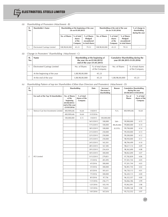

#### *(ii) Shareholding of Promoters (Attachment - B)*

| SI.<br>No. | Shareholder's Name            | Shareholding at the beginning of the year<br>(As on 01.04.2015) |                                           |                                                          | Shareholding at the end of the year<br>(As on 31.03.2016) | % of change in<br>shareholding<br>during the year |                                                          |                          |
|------------|-------------------------------|-----------------------------------------------------------------|-------------------------------------------|----------------------------------------------------------|-----------------------------------------------------------|---------------------------------------------------|----------------------------------------------------------|--------------------------|
|            |                               | No. of Shares                                                   | % of total<br>shares<br>of the<br>Company | % of Shares<br>Pledged/<br>encumbered<br>to total shares | No. of Shares                                             | % of total<br>shares<br>of the<br>Company         | % of Shares<br>Pledged/<br>encumbered<br>to total shares |                          |
| т.         | Electrosteel Castings Limited | 108,98,00,000                                                   | 45.23                                     | 79.53                                                    | 108,98,00,000                                             | 45.23                                             | 79.53                                                    | $\overline{\phantom{a}}$ |

## *iii) Change in Promoters' Shareholding (Attachment - C)*

| No. | <b>Name</b>                   |                | Shareholding at the beginning of<br>the year (As on 01.04.2015)/<br>end of the year (31.03.2015) | <b>Cumulative Shareholding during the</b> | year (01.04.2015-31.03.2016)        |
|-----|-------------------------------|----------------|--------------------------------------------------------------------------------------------------|-------------------------------------------|-------------------------------------|
|     | Electrosteel Castings Limited | No. of Shares  | % of total shares<br>of the Company                                                              | No. of Shares                             | % of total shares<br>of the Company |
|     | At the beginning of the year  | 1,08,98,00,000 | 45.23                                                                                            |                                           |                                     |
|     | At the end of the year        | 1,08,98,00,000 | 45.23                                                                                            | 1,08,98,00,000                            | 45.23                               |

#### *iv) Shareholding Pattern of top ten Shareholders (Other than Directors and Promoters) (Attachment - D)*

| SI.<br>No.     |                                       | Shareholding                                                                                |                                        | Date       | Increase/<br>Decrease in<br>shareholding | Reason     | <b>Cumulative Shareholding</b><br>during the year<br>$(01/04/2015 - 31/03/2016)$ |                                        |
|----------------|---------------------------------------|---------------------------------------------------------------------------------------------|----------------------------------------|------------|------------------------------------------|------------|----------------------------------------------------------------------------------|----------------------------------------|
|                | For each of the Top 10 shareholders   | No. of Shares<br>at the<br>beginning<br>$(01/04/2015)$ /<br>end of the year<br>(31/03/2016) | % of total<br>shares of the<br>Company |            |                                          |            | No. of<br><b>Shares</b>                                                          | % of total<br>shares of the<br>Company |
| $\mathbf{1}$   | Stemcor Cast Iron Investments Limited | 400,909,646                                                                                 | 16.64                                  | 1/4/2015   | $\bar{a}$                                | N.A.       | 400,909,646                                                                      | 16.64                                  |
|                |                                       | 400,909,646                                                                                 | 16.64                                  | 31/3/2016  |                                          |            |                                                                                  |                                        |
|                |                                       | 100,000,000                                                                                 | 4.15                                   | 1/4/2015   | 100,000,000                              |            | ÷,                                                                               | $\overline{\phantom{a}}$               |
|                |                                       |                                                                                             |                                        | 16/12/2015 | 100,000                                  | Sale -     | 99,900,000                                                                       | 4.15                                   |
|                |                                       |                                                                                             |                                        | 17/12/2015 | 100,000                                  | 80,20,266  | 99,800,000                                                                       | 4.14                                   |
|                |                                       |                                                                                             |                                        | 18/12/2015 | 100,000                                  | $(0.33\%)$ | 99,700,000                                                                       | 4.14                                   |
|                |                                       |                                                                                             |                                        | 21/12/2015 | 250,000                                  |            | 99,450,000                                                                       | 4.13                                   |
|                |                                       |                                                                                             |                                        | 22/12/2015 | 250,000                                  |            | 99,200,000                                                                       | 4.12                                   |
|                |                                       |                                                                                             |                                        | 23/12/2015 | 250,000                                  |            | 98,950,000                                                                       | 4.11                                   |
|                |                                       |                                                                                             |                                        | 24/12/2015 | 165,501                                  |            | 98,784,499                                                                       | 4.10                                   |
|                |                                       |                                                                                             |                                        | 28/12/2015 | 167,385                                  |            | 98,617,114                                                                       | 4.09                                   |
|                |                                       |                                                                                             |                                        | 29/12/2015 | 254,424                                  |            | 98,362,690                                                                       | 4.08                                   |
|                |                                       |                                                                                             |                                        | 30/12/2015 | 300,000                                  |            | 98,062,690                                                                       | 4.07                                   |
| $\overline{2}$ | <b>IFCI Limited</b>                   |                                                                                             |                                        | 31/12/2015 | 279,851                                  |            | 97,782,839                                                                       | 4.06                                   |
|                |                                       |                                                                                             |                                        | 1/1/2016   | 281,095                                  |            | 97,501,744                                                                       | 4.05                                   |
|                |                                       |                                                                                             |                                        | 4/1/2016   | 300,000                                  |            | 97,201,744                                                                       | 4.03                                   |
|                |                                       |                                                                                             |                                        | 5/1/2016   | 300,000                                  |            | 96,901,744                                                                       | 4.02                                   |
|                |                                       |                                                                                             |                                        | 6/1/2016   | 181,631                                  |            | 96,720,113                                                                       | 4.01                                   |
|                |                                       |                                                                                             |                                        | 7/1/2016   | 300,000                                  |            | 96,420,113                                                                       | 4.00                                   |
|                |                                       |                                                                                             |                                        | 8/1/2016   | 97,756                                   |            | 96,322,357                                                                       | 4.00                                   |
|                |                                       |                                                                                             |                                        | 11/1/2016  | 256,171                                  |            | 96,066,186                                                                       | 3.99                                   |
|                |                                       |                                                                                             |                                        | 12/1/2016  | 103,195                                  |            | 95,962,991                                                                       | 3.98                                   |
|                |                                       |                                                                                             |                                        | 13/1/2016  | 72,823                                   |            | 95,890,168                                                                       | 3.98                                   |
|                |                                       |                                                                                             |                                        | 14/1/2016  | 167,616                                  |            | 95,722,552                                                                       | 3.97                                   |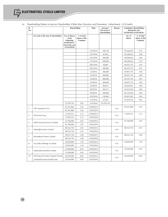| SI.<br>No.     |                                      | Shareholding                                                                                |                                        | Date       | Increase/<br>Decrease in<br>shareholding | Reason | <b>Cumulative Shareholding</b><br>during the year<br>$(01/04/2015 - 31/03/2016)$ |                                        |
|----------------|--------------------------------------|---------------------------------------------------------------------------------------------|----------------------------------------|------------|------------------------------------------|--------|----------------------------------------------------------------------------------|----------------------------------------|
|                | For each of the Top 10 shareholders  | No. of Shares<br>at the<br>beginning<br>$(01/04/2015)$ /<br>end of the year<br>(31/03/2016) | % of total<br>shares of the<br>Company |            |                                          |        | No. of<br><b>Shares</b>                                                          | % of total<br>shares of the<br>Company |
|                |                                      |                                                                                             |                                        | 15/1/2016  | 196,120                                  |        | 95,526,432                                                                       | 3.97                                   |
|                |                                      |                                                                                             |                                        | 22/1/2016  | 87,816                                   |        | 95,438,616                                                                       | 3.96                                   |
|                |                                      |                                                                                             |                                        | 25/1/2016  | 500,000                                  |        | 94,938,616                                                                       | 3.94                                   |
|                |                                      |                                                                                             |                                        | 27/1/2016  | 300,000                                  |        | 94,638,616                                                                       | 3.93                                   |
|                |                                      |                                                                                             |                                        | 28/1/2016  | 40,881                                   |        | 94,597,735                                                                       | 3.93                                   |
|                |                                      |                                                                                             |                                        | 29/1/2016  | 300,000                                  |        | 94,297,735                                                                       | 3.91                                   |
|                |                                      |                                                                                             |                                        | 1/2/2016   | 300,000                                  |        | 93,997,735                                                                       | 3.90                                   |
|                |                                      |                                                                                             |                                        | 2/2/2016   | 300,000                                  |        | 93,697,735                                                                       | 3.89                                   |
|                |                                      |                                                                                             |                                        | 3/2/2016   | 500,000                                  |        | 93,197,735                                                                       | 3.87                                   |
|                |                                      |                                                                                             |                                        | 4/2/2016   | 500,000                                  |        | 92,697,735                                                                       | 3.85                                   |
|                |                                      |                                                                                             |                                        | 5/2/2016   | 80,814                                   |        | 92,616,921                                                                       | 3.84                                   |
|                |                                      |                                                                                             |                                        | 8/2/2016   | 183,471                                  |        | 92,433,450                                                                       | 3.84                                   |
|                |                                      |                                                                                             |                                        | 9/2/2016   | 300,000                                  |        | 92,133,450                                                                       | 3.82                                   |
|                |                                      |                                                                                             |                                        | 10/2/2016  | 126,069                                  |        | 92,007,381                                                                       | 3.82                                   |
|                |                                      |                                                                                             |                                        | 11/2/2016  | 27,647                                   |        | 91,979,734                                                                       | 3.82                                   |
|                |                                      | 91,979,734                                                                                  | 3.82                                   | 31/3/2016  | 91,979,734                               |        |                                                                                  | ä,                                     |
| 3              | <b>GPC Mauritius II LLC</b>          | 87,441,860                                                                                  | 3.63                                   | 01/04/2015 |                                          | N.A.   | 87,441,860                                                                       | 3.63                                   |
|                |                                      | 87,441,860                                                                                  | 3.63                                   | 31/03/2016 |                                          |        |                                                                                  |                                        |
| $\overline{4}$ | PGS Invest Corp                      | 75,287,431                                                                                  | 3.12                                   | 01/04/2015 |                                          | N.A.   | 75,287,431                                                                       | 3.12                                   |
|                |                                      | 75,287,431                                                                                  | 3.12                                   | 31/03/2016 |                                          |        |                                                                                  |                                        |
| 5              | IL&FS Financial Services Limited     | 67,700,000                                                                                  | 2.81                                   | 01/04/2015 |                                          | N.A.   | 67,700,000                                                                       | 2.81                                   |
|                |                                      | 67,700,000                                                                                  | 2.81                                   | 31/03/2016 |                                          |        |                                                                                  |                                        |
| 6              | Starbridge Finance Limited           | 48,352,720                                                                                  | 2.01                                   | 01/04/2015 |                                          | N.A.   | 48,352,720                                                                       | 2.01                                   |
|                |                                      | 48,352,720                                                                                  | 2.01                                   | 31/03/2016 |                                          |        |                                                                                  |                                        |
| $\overline{7}$ | Roundabout Finance Limited           | 48,252,726                                                                                  | 2.00                                   | 01/04/2015 |                                          | N.A.   | 48,252,726                                                                       | 2.00                                   |
|                |                                      | 48,252,726                                                                                  | 2.00                                   | 31/03/2016 |                                          |        |                                                                                  |                                        |
| 8              | Tara India Holdings A Limited        | 34,695,000                                                                                  | 1.44                                   | 01/04/2015 |                                          | N.A.   | 34,695,000                                                                       | 1.44                                   |
|                |                                      | 34,695,000                                                                                  | 1.44                                   | 31/03/2016 |                                          |        |                                                                                  |                                        |
| 9              | Maharashtra Seamless Limited         | 22,300,000                                                                                  | 0.93                                   | 01/04/2015 |                                          | N.A.   | 22,300,000                                                                       | 0.93                                   |
|                |                                      | 22,300,000                                                                                  | 0.93                                   | 31/03/2016 |                                          |        |                                                                                  |                                        |
| 10             | JM Financial Trustee Company Private | 20,429,090                                                                                  | 0.85                                   | 01/04/2015 |                                          | N.A.   | 20,429,090                                                                       | 0.85                                   |
|                | Limited-JM Financial India Fund      | 20,429,090                                                                                  | 0.85                                   | 31/03/2016 |                                          |        |                                                                                  |                                        |

*iv) Shareholding Pattern of top ten Shareholders (Other than Directors and Promoters) (Attachment - D) (*Contd.)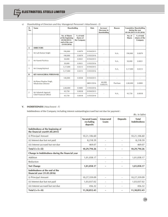

| SI.<br>No.     | Name                                          | Shareholding                                                                         |                                        | Date       | Increase/<br>Decrease in<br>shareholding | Reason    |                          | <b>Cumulative Shareholding</b><br>during the year<br>$(01.04.2015 - 31.03.2016)$ |
|----------------|-----------------------------------------------|--------------------------------------------------------------------------------------|----------------------------------------|------------|------------------------------------------|-----------|--------------------------|----------------------------------------------------------------------------------|
|                |                                               | No. of Shares<br>at the beginning<br>(01/04/2015)<br>end of the year<br>(31/03/2016) | % of total<br>shares of<br>the Company |            |                                          |           | No. of<br><b>Shares</b>  | % of total<br>shares of the<br>Company                                           |
| $\mathsf{A}$   | <b>DIRECTORS</b>                              |                                                                                      |                                        |            |                                          |           |                          |                                                                                  |
| $\mathbf{1}$   | Mr Lalit Kumar Singhi                         | 190,000                                                                              | 0.0079                                 | 01/04/2015 |                                          | N.A.      | 190,000                  | 0.0079                                                                           |
|                |                                               | 190,000                                                                              | 0.0079                                 | 31/03/2016 |                                          |           |                          |                                                                                  |
| $\overline{2}$ | Mr Naresh Pachisia                            | 50,000                                                                               | 0.0021                                 | 01/04/2015 |                                          | N.A.      | 50,000                   | 0.0021                                                                           |
|                |                                               | 50,000                                                                               | 0.0021                                 | 31/03/2016 |                                          |           |                          |                                                                                  |
| $\overline{3}$ | Mr Umang Kejriwal                             | 5,17,000                                                                             | 0.0215                                 | 01/04/2015 |                                          | N.A.      | 5,17,000                 | 0.0215                                                                           |
|                |                                               | 5,17,000                                                                             | 0.0215                                 | 31/03/2016 |                                          |           |                          |                                                                                  |
| B              | <b>KEY MANAGERIAL PERSONNEL</b>               |                                                                                      |                                        |            |                                          |           |                          |                                                                                  |
|                |                                               | 140,000                                                                              | 0.0058                                 | 01/04/2015 | $\overline{\phantom{a}}$                 | $\sim$    | $\overline{\phantom{a}}$ | $\sim$                                                                           |
| $\mathbf{1}$   | Mr Rama Shankar Singh,<br>Whole-time Director |                                                                                      |                                        | 08/01/2016 | 60,000<br>0.0025%                        | Purchase  | 2,00,000                 | 0.0083                                                                           |
|                |                                               | 2,00,000                                                                             | 0.0083                                 | 31/03/2016 | $\overline{\phantom{a}}$                 | $\bar{a}$ | $\overline{\phantom{a}}$ | $\overline{\phantom{a}}$                                                         |
| $\overline{2}$ | Mr Ashutosh Agarwal,                          | 43,750                                                                               | 0.0018                                 | 01/04/2015 |                                          |           |                          |                                                                                  |
|                | Chief Financial Officer                       | 43,750                                                                               | 0.0018                                 | 31/03/2016 |                                          | N.A.      | 43,750                   | 0.0018                                                                           |

*v) Shareholding of Directors and Key Managerial Personnel: (Attachment - E)*

#### **V. INDEBTEDNESS** *(Attachment - F)*

Indebtedness of the Company including interest outstanding/accrued but not due for payment :

(Rs. In lakhs)

|                                                                       | <b>Secured Loans</b><br>excluding<br>deposits | Unsecured<br>Loans       | <b>Deposits</b> | <b>Total</b><br><b>Indebtedness</b> |
|-----------------------------------------------------------------------|-----------------------------------------------|--------------------------|-----------------|-------------------------------------|
| Indebtedness at the beginning of<br>the financial year $(01.04.2015)$ |                                               |                          |                 |                                     |
| (i) Principal Amount                                                  | 10,21,106.60                                  |                          |                 | 10,21,106.60                        |
| (ii) Interest due but not paid                                        | 8,218.59                                      |                          |                 | 8,218.59                            |
| (iii) Interest accrued but not due                                    | 469.07                                        |                          |                 | 469.07                              |
| Total $(i + ii + iii)$                                                | 10,29,794.26                                  |                          |                 | 10,29,794.26                        |
| Change in Indebtedness during the financial year                      |                                               |                          |                 |                                     |
| Addition                                                              | 1,01,058.17                                   |                          |                 | 1,01,058.17                         |
| Reduction                                                             | $\qquad \qquad -$                             |                          |                 |                                     |
| <b>Net Change</b>                                                     | 1,01,058.17                                   |                          |                 | 1,01,058.17                         |
| Indebtedness at the end of the<br>financial year (31.03.2016)         |                                               |                          |                 |                                     |
| (i) Principal Amount                                                  | 10,27,359.09                                  |                          | $\overline{a}$  | 10,27,359.09                        |
| (ii) Interest due but not paid                                        | 1,03,037.02                                   | $\overline{\phantom{a}}$ | $\overline{a}$  | 1,03,037.02                         |
| (iii) Interest accrued but not due                                    | 456.32                                        | $\overline{\phantom{a}}$ | $\overline{a}$  | 456.32                              |
| Total $(i + ii + iii)$                                                | 11,30,852.43                                  |                          |                 | 11,30,852.43                        |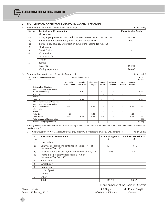## **VI. REMUNERATION OF DIRECTORS AND KEY MANAGERIAL PERSONNEL**

*A.* Remuneration to Whole Time Director (Attachment - G) (Rs in Lakhs)

| Sl. No.        | <b>Particulars of Remuneration</b>                                          | Rama Shankar Singh |
|----------------|-----------------------------------------------------------------------------|--------------------|
|                | Gross salary                                                                |                    |
| (a)            | Salary as per provisions contained in section 17(1) of the Income Tax. 1961 | 142.92             |
| (b)            | Value of perquisites u/s 17(2) of the Income tax Act, 1961                  | 9.07               |
| (C)            | Profits in lieu of salary under section 17(3) of the Income Tax Act, 1961   |                    |
| $\mathcal{P}$  | Stock option                                                                | ۰                  |
| 3              | Sweat Equity                                                                |                    |
| $\overline{4}$ | Commission                                                                  |                    |
|                | -as % of profit                                                             |                    |
|                | - others                                                                    |                    |
| 5              | Others-                                                                     |                    |
|                | Total (A)                                                                   | 151.99             |
|                | Ceiling as per the Act                                                      | 263.80             |

#### *B.* Remuneration to other directors (Attachment - H): (Rs. in Lakhs)

| SI.<br>No. | <b>Particulars of Remuneration</b>                    |                                 | Name of the Directors    |                       |                    |                          |                          | Total<br>Amount   |                          |
|------------|-------------------------------------------------------|---------------------------------|--------------------------|-----------------------|--------------------|--------------------------|--------------------------|-------------------|--------------------------|
|            |                                                       | Amrendra<br><b>Prasad Verma</b> | Jinendra<br>Kumar Jain   | Lalit Kumar<br>Singhi | Naresh<br>Pachisia | Rajkumar<br>Khanna       | <b>Rishu</b><br>Kumari   | Umang<br>Kejriwal |                          |
|            | <b>Independent Directors:</b>                         |                                 |                          |                       |                    |                          |                          |                   |                          |
|            | Fee for attending Board and or/<br>Committee meetings | $\overline{\phantom{a}}$        | 0.35                     | ٠                     | 0.60               | 0.50                     | 0.15                     | ٠                 | 1.60                     |
|            | Commission                                            | $\overline{\phantom{a}}$        | $\overline{\phantom{a}}$ | ٠                     | ٠                  | $\overline{\phantom{a}}$ | $\overline{\phantom{a}}$ | ٠                 |                          |
|            | Others                                                | $\overline{\phantom{a}}$        | $\overline{\phantom{a}}$ | ٠                     | ٠                  | $\overline{\phantom{a}}$ | $\overline{\phantom{a}}$ | ٠                 | $\overline{\phantom{a}}$ |
|            | Total (1)                                             | $\overline{\phantom{a}}$        | 0.35                     | ٠                     | 0.60               | 0.50                     | 0.15                     | ٠                 | 1.60                     |
| 2          | <b>Other Non-Executive Directors:</b>                 |                                 |                          |                       |                    |                          |                          |                   |                          |
|            | Fee for attending Board and or/<br>Committee meetings | 0.20                            | ٠                        | 0.35                  | $\sim$             | $\overline{\phantom{a}}$ | $\overline{\phantom{a}}$ | 0.25              | 0.80                     |
|            | Commission                                            | $\overline{\phantom{a}}$        | $\overline{\phantom{a}}$ | ٠                     | ٠                  | $\sim$                   | $\overline{\phantom{a}}$ | ٠                 |                          |
|            | Others                                                | $\overline{\phantom{a}}$        | $\overline{\phantom{a}}$ | ٠                     | ٠                  | $\sim$                   | $\overline{\phantom{a}}$ | ٠                 |                          |
|            | Total $(2)$                                           | 0.20                            |                          | 0.35                  | ٠                  | ۰                        | $\overline{\phantom{a}}$ | 0.25              |                          |
|            | Total $(B) = (1 + 2)$                                 | 0.20                            | 0.35                     | 0.35                  | 0.60               | 0.50                     | 0.15                     | 0.25              | 2.40                     |
|            | <b>Total Managerial Remuneration</b>                  |                                 |                          |                       |                    |                          |                          |                   | 151.99@                  |
|            | Overall ceiling as per the Act                        |                                 |                          |                       |                    |                          |                          |                   | 263.80@                  |

**Note:** @ Managerial Remuneration and over all ceiling thereto as per the Act is remuneration paid to Wholetime Director as detailed in Attachment G.

*C. Remuneration to Key Managerial Personnel other than Wholetime Director (Attachment - I) :* (Rs. in Lakhs)

| SI.<br>No.     | <b>Particulars of Remuneration</b>                                             | Ashutosh Agarwal<br><b>CFO</b> | Anubhay Maheshwari<br><b>CS</b> |
|----------------|--------------------------------------------------------------------------------|--------------------------------|---------------------------------|
|                | Gross salary                                                                   |                                |                                 |
| (a)            | Salary as per provisions contained in section 17(1) of<br>the Income Tax, 1961 | 101.11                         | 18.10                           |
| (b)            | Value of perquisites u/s 17(2) of the Income tax Act, 1961                     | 10.08                          | 2.42                            |
| (c)            | Profits in lieu of salary under section 17(3) of<br>the Income Tax Act, 1961   |                                |                                 |
| 2              | Stock option                                                                   |                                |                                 |
| 3              | Sweat Equity                                                                   |                                |                                 |
| $\overline{4}$ | Commission                                                                     |                                |                                 |
|                | -as % of profit                                                                |                                |                                 |
|                | - others                                                                       |                                |                                 |
| 5              | Others-                                                                        |                                |                                 |
|                | <b>Total</b>                                                                   | 111.19                         | 20.52                           |

For and on behalf of the Board of Directors

Place : Kolkata **R S Singh Lalit Kumar Singhi** Dated : 13th May, 2016 *Whole-time Director Director*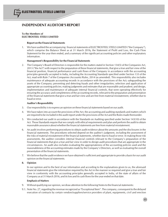# **INDEPENDENT AUDITOR'S REPORT**

#### **To the Members of ELECTROSTEEL STEELS LIMITED**

#### **Report on the Financial Statements**

1. We have audited the accompanying financial statements of ELECTROSTEEL STEELS LIMITED ("the Company"), which comprise the Balance Sheet as at 31 March 2016*,* the Statement of Profit and Loss, the Cash Flow Statement for the year then ended, and a summary of the significant accounting policies and other explanatory information.

#### **Management's Responsibility for the Financial Statements**

2. The Company's Board of Directors is responsible for the matters stated in Section 134(5) of the Companies Act, 2013 ("the Act") with respect to the preparation of these financial statements, that give a true and fair view of the financial position, financial performance and cash flows of the Company in accordance with the accounting principles generally accepted in India, including the Accounting Standards specified under Section 133 of the Act, read with Rule 7 of the Companies (Accounts) Rules, 2014 (as amended). This responsibility also includes maintenance of adequate accounting records in accordance with the provisions of the Act; safeguarding the assets of the Company; preventing and detecting frauds and other irregularities; selection and application of appropriate accounting policies; making judgments and estimates that are reasonable and prudent; and design, implementation and maintenance of adequate internal financial controls, that were operating effectively for ensuring the accuracy and completeness of the accounting records, relevant to the preparation and presentation of the financial statements that give a true and fair view and are free from material misstatement, whether due to fraud or error.

#### **Auditor's Responsibility**

- 3. Our responsibility is to express an opinion on these financial statements based on our audit.
- 4. We have taken into account the provisions of the Act, the accounting and auditing standards and matters which are required to be included in the audit report under the provisions of the Act and the Rules made thereunder.
- 5. We conducted our audit in accordance with the Standards on Auditing specified under Section 143(10) of the Act. Those Standards require that we comply with ethical requirements and plan and perform the audit to obtain reasonable assurance about whether the financial statements are free from material misstatement.
- 6. An audit involves performing procedures to obtain audit evidence about the amounts and the disclosures in the financial statements. The procedures selected depend on the auditor's judgment, including the assessment of the risks of material misstatement of the financial statements, whether due to fraud or error. In making those risk assessments, the auditor considers internal financial controls relevant to the Company's preparation of the financial statements that give a true and fair view in order to design audit procedures that are appropriate in the circumstances. An audit also includes evaluating the appropriateness of the accounting policies used and the reasonableness of the accounting estimates made by the Company's Directors, as well as evaluating the overall presentation of the financial statements.
- 7. We believe that the audit evidence we have obtained is sufficient and appropriate to provide a basis for our audit opinion on the financial statements.

#### **8. Opinion**

In our opinion and to the best of our information and according to the explanations given to us, the aforesaid financial statements give the information required by the Act in the manner so required and give a true and fair view in conformity with the accounting principles generally accepted in India, of the state of affairs of the Company as at 31 March 2016, and its loss and its cash flows for the year ended on that date.

#### **Emphasis of Matters**

- 9. Without qualifying our opinion, we draw attention to the following Notes to the financial statements:
- 9.1. Note No. 27, regarding the revenue recognized as "Exceptional Item". The company, consequent to the delayed execution of contracts by certain vendors/suppliers/service providers of plant, equipments, civil and erection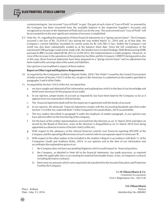commissioning etc. has incurred "Loss of Profit" in past. The part of such claim of "Loss of Profit" as assessed by the Company has been recovered from the available balance in the respective Supplier's Accounts and recognized as income in the Statement of Profit and Loss for the year. The unrecovered such "Loss of Profit" will be accounted for in the year significant certainty of recovery is established.

9.2 Note No. 41, regarding the preparation of these financial statements on a "going concern basis". The Company incurred a net loss of Rs. 32,654.67 lacs during the year ended March 31, 2016 and, as of that date, the Company's current liabilities exceeded its current assets by Rs 320,780.13 lacs, further the Company's net worth has also been substantially eroded as at the balance sheet date. Since the full compliance of the sanctioned CDR package could not be made with, the lenders have invoked Strategic Debt Restructuring (SDR) pursuant to RBI circulars dated 08.06.2015 & 24.09.2015, the implementation is under progress. However, in view of the increase in the operations of the production facilities and the Company's EBIDTA being positive also in this year, these financial statements have been prepared on a "going concern basis" and no adjustment has been made to the carrying value of the assets and liabilities.

Our opinion is not modified in respect of these matters.

#### **Report on Other Legal and Regulatory Requirements**

- 10. As required by the Companies (Auditor's Report) Order, 2016 ("the Order") issued by the Central Government of India in terms of Section 143(11) of the Act, we give in the Annexure A a statement on the matters specified in paragraphs 3 and 4 of the Order.
- 11. As required by Section 143(3) of the Act, we report that:
	- a. we have sought and obtainedall the information and explanations which to the best of our knowledge and belief were necessary for the purpose of our audit;
	- b. In our opinion, proper books of account as required by law have been kept by the Company so far as it appears from our examination of those books;
	- c. The financial statements dealt with by this report are in agreement with the books of account;
	- d. In our opinion, the aforesaid financial statements comply with the Accounting Standards specified under Section 133 of the Act, read with Rule 7 of the Companies (Accounts) Rules, 2014 (as amended);
	- e. The two matters described in paragraph 9 under the emphasis of matters paragraph, in our opinion may have adverse effect on the functioning of the company;
	- f. On the basis of the written representations received from the directors as on 31 March 2016 and taken on record by the Board of Directors, none of the directors is disqualified as on 31 March 2016 from being appointed as a director in terms of Section 164(2) of the Act;
	- g. With respect to the adequacy of the internal financial controls over financial reporting (IFCoFR) of the Company and the operating effectiveness of such controls refer to our separate report in Annexure 'B'.
	- h. With respect to the other matters to be included in the Auditor's Report in accordance with Rule 11 of the Companies (Audit and Auditors) Rules, 2014, in our opinion and to the best of our information and according to the explanations given to us:
		- i. the Company does not have any pending litigations which would impact its financial position;
		- ii. the Company, as detailed in Note 40 to the financial statements, has made provision, as required under the applicable laws or accounting for material foreseeable losses, if any, on long-term contracts including derivative contracts;
		- iii. there were no amounts which were required to be transferred to the Investor Education and Protection Fund by the Company.

For **B Chhawchharia & Co.** *Chartered Accountants* Firm's Registration No.: 305123E

**S K Chhawchharia** Place : Kolkata *Partner* Date : May 13, 2016 Membership No.:008482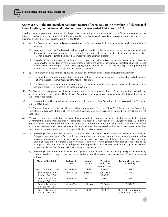## **Annexure A to the Independent Auditor's Report of even date to the members of Electrosteel Steels Limited**, **on the financial statements for the year ended 31st March, 2016**

Based on the audit procedures performed for the purpose of reporting a true and fair view on the financial statements of the Company and taking into consideration the information and explanations given to us and the books of account and other records examined by us in the normal course of audit, we report that:

- (i) (a) The Company has maintained proper records showing full particulars, including quantitative details and situation of fixed assets.
	- (b) As planned, a part of the fixed assets have been physically verified by the management during the year and no material discrepancies were noticed on such verification. In our opinion, the frequency of verification of the fixed assets is reasonable having regard to the size of the Company and the nature of its assets.
	- (c) According to the information and explanations given to us and on the basis of our examination of the records of the Company, the title deeds of immovable properties are held in the name of the Company except for 61 no's of cases of Freehold land comprising of 222.29 acres aggregating to amount of Rs. 1,550.26 lacs- registration pending for approval of Government of Jharkhand, Department of revenue.
- (ii) (a) The management has conducted physical verification of inventory at reasonable intervals during the year.
	- (b) The procedures of physical verification of inventory followed by the management are reasonable and adequate in relation to the size of the Company and the nature of its business.
	- (c) The Company is maintaining proper records of inventory and no material discrepancies between physical inventory and book records were noticed on physical verification.
- (iii) The Company has not granted any loan, secured or unsecured to companies, firms, LLP or other parties covered in the register maintained under Section 189 of the Act. Accordingly, the provisions of clauses 3(iii)(a),3(iii)(b) and 3(iii)(c)of the Order are not applicable.
- (iv) The Company does not have any loan, investment, guarantees and securities. Accordingly the provisions clause 3(iv) of the Order is not applicable.
- (v) The Company has not accepted any deposits within the meaning of Sections 73 to 76 of the Act and the Companies (Acceptance of Deposits) Rules, 2014 (as amended). Accordingly, the provisions of clause 3(v) of the Order are not applicable.
- (vi) We have broadly reviewed the books of account maintained by the Company pursuant to the Rules made by the Central Government for the maintenance of cost records under sub-section (1) of Section 148 of the Act in respect of Company's products/services and are of the opinion that, *prima facie,* the prescribed accounts and records have been made and maintained. However, we have not made a detailed examination of the cost records with a view to determine whether they are accurate or complete. As informed, the cost audit for the year is under progress.
- (vii) (a) According to the information and explanations given to us and on the basis of our examination of the records of the Company, amounts deducted/accrued in the books of account in respect of undisputed statutory dues including provident fund, employees' state insurance, income-tax, sales-tax, service tax, duty of customs, duty of excise, value added tax, cess and other material statutory dues, as applicable, have generally been regularly deposited to the appropriate authorities. *Further,* no undisputed amounts payable in respect thereof were outstanding on the year-end for a period of more than six months from the date they became payable.
	- (b) According to the information and explanations given to us, the following dues outstanding in respect of income-tax, sales-tax, service tax, duty of customs, duty of excise, value added tax and cess on account of any dispute, are as follows:

| Name of the statute                    | Nature of<br>dues  | Amount<br>(Rs.Lacs) | Period to<br>which the<br>amount relates | Forum where dispute<br>is pending                 |
|----------------------------------------|--------------------|---------------------|------------------------------------------|---------------------------------------------------|
| Central Excise Act, 1944               | <b>Excise Duty</b> | 75.97               | 2009-10                                  | <b>CESTAT</b>                                     |
| Service Tax under<br>Finance Act, 1994 | Service Tax        | 2,215.62            | $2007 - 08$ &<br>2008-09                 | <b>CESTAT</b>                                     |
| Service Tax under<br>Finance Act, 1994 | Service Tax        | 317.72              | 2009-10                                  | <b>CESTAT</b>                                     |
| Service Tax under<br>Finance Act, 1994 | Service Tax        | 1,071.40            | 2007-08 to<br>2011-12                    | <b>CESTAT</b>                                     |
| Service Tax under<br>Finance Act, 1994 | Service Tax        | 13.34               | 2014-15                                  | The Joint Commissioner<br>of Service Tax, Kolkata |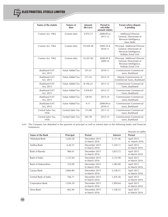| Name of the statute               | Nature of<br>dues | Amount<br>(Rs.Lacs) | <b>Period to</b><br>whichthe<br>amount relates | Forum where dispute<br>is pending                                                                        |
|-----------------------------------|-------------------|---------------------|------------------------------------------------|----------------------------------------------------------------------------------------------------------|
| Custom Act, 1962                  | Custom duty       | 5,974.73            | 2008-09 to<br>2011-12                          | <b>Additional Director</b><br>General, Directorate of<br>Revenue Intelligence,<br>New Delhi              |
| Custom Act, 1962                  | Custom duty       | 19,569.38           | $2009 - 10$ &<br>2010-11                       | Principal, Additional Director<br>General, Directorate of<br>Revenue Intelligence,<br>Kolkata Zonal Unit |
| Custom Act, 1962                  | Custom duty       | 10,267.82           | 2008-09 &<br>2009-10                           | Principal, Additional Director<br>General, Directorate of<br>Revenue Intelligence,<br>Kolkata Zonal Unit |
| <b>Iharkhand VAT</b><br>Act, 2015 | Value Added Tax   | 101.61              | 2010-11                                        | <b>Commissioner Commercial</b><br>taxes, Jharkhand                                                       |
| Iharkhand VAT<br>Act, 2015        | Value Added Tax   | 273.16              | 2012-13                                        | Deputy Commissioner of<br>Commercial Taxes, Jharkhand                                                    |
| <b>Iharkhand VAT</b><br>Act, 2015 | Value Added Tax   | 8,196.22            | 2011-12                                        | <b>Commissioner Commercial</b><br>Taxes, Jharkhand                                                       |
| Iharkhand VAT<br>Act, 2015        | Value Added Tax   | 3,936.83            | 2012-13                                        | <b>Commissioner Commercial</b><br>Taxes, Jharkhand                                                       |
| Iharkhand VAT<br>Act, 2015        | Value Added Tax   | 138.94              | 2013-14                                        | <b>Commissioner Commercial</b><br>taxes, Jharkhand                                                       |
| Iharkhand VAT<br>Act, 2015        | Value Added Tax   | 9.11                | 2008-09 to<br>2010-11                          | <b>Commissioner Commercial</b><br>taxes, Jharkhand                                                       |
| Central Sales Tax,<br>1956        | Central Sales Tax | 115.08              | 2011-12                                        | <b>Commissioner Commercial</b><br>taxes, Jharkhand                                                       |
| Central Sales Tax,<br>1956        | Central Sales Tax | 392.78              | 2012-13                                        | <b>Commissioner Commercial</b><br>taxes, Jharkhand                                                       |

(viii) The Company has defaulted in the payment of principal as well as interest dues to the following banks and Financial Institutions:

|                       |           |                                |                 | Amount (in Lakhs)           |
|-----------------------|-----------|--------------------------------|-----------------|-----------------------------|
| Name of the Bank      | Principal | <b>Period</b>                  | <b>Interest</b> | <b>Period</b>               |
| Allahabad Bank        | 1,650.28  | December 2015<br>to March 2016 | 3,151.46        | April 2015<br>to March 2016 |
| Andhra Bank           | 6,44.37   | December 2015<br>to March 2016 | 1,230.11        | April 2015<br>to March 2016 |
| Bank of Baroda        | 966.01    | December 2015<br>to March 2016 | 1,833.72        | April 2015<br>to March 2016 |
| Bank of India         | 1,137.69  | December 2015<br>to March 2016 | 2,172.90        | April 2015<br>to March 2016 |
| Bank of Maharashtra   | 724.99    | December 2015<br>to March 2016 | 1,385.00        | April 2015<br>to March 2016 |
| Canara Bank           | 2,864.80  | December 2015<br>to March 2016 | 5,538.51        | April 2015<br>to March 2016 |
| Central Bank of India | 766.71    | December 2015<br>to March 2016 | 1,476.56        | April 2015<br>to March 2016 |
| Corporation Bank      | 1,036.39  | December 2015<br>to March 2016 | 1,994.64        | April 2015<br>to March 2016 |
| Dena Bank             | 662.40    | December 2015<br>to March 2016 | 1,258.32        | April 2015<br>to March 2016 |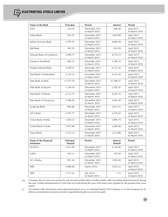| Name of the Bank                     | Principal                   | <b>Period</b>                  | <b>Interest</b>                   | <b>Period</b>               |
|--------------------------------------|-----------------------------|--------------------------------|-----------------------------------|-----------------------------|
| <b>ICICI</b>                         | 239.25                      | December 2015<br>to March 2016 | 406.48                            | June 2015<br>to March 2016  |
| <b>Indian Bank</b>                   | 951.57                      | December 2015<br>to March 2016 | 1,818.98                          | April 2015<br>to March 2016 |
| Indian Overseas Bank                 | 2,397.05                    | December 2015<br>to March 2016 | 4,600.58                          | April 2015<br>to March 2016 |
| <b>J&amp;K Bank</b>                  | 342.76                      | December 2015<br>to March 2016 | 654.28                            | April 2015<br>to March 2016 |
| Oriental Bank of Commerce            | 2,490.71                    | December 2015<br>to March 2016 | 4,735.19                          | April 2015<br>to March 2016 |
| Punjab & Sind Bank                   | 684.32                      | December 2015<br>to March 2016 | 1,306.29                          | April 2015<br>to March 2016 |
| Punjab National Bank                 | 3,299.91                    | December 2015<br>to March 2016 | 6,271.20                          | April 2015<br>to March 2016 |
| State Bank of Hyderabad              | 2,734.55                    | December 2015<br>to March 2016 | 5,215.50                          | April 2015<br>to March 2016 |
| State Bank of India                  | 11,375.76                   | December 2015<br>to March 2016 | 21,708.37                         | April 2015<br>to March 2016 |
| State Bank of Mysore                 | 1,338.54                    | December 2015<br>to March 2016 | 2,562.45                          | April 2015<br>to March 2016 |
| State Bank of Patiala                | 2,212.53                    | December 2015<br>to March 2016 | 4,267.25                          | April 2015<br>to March 2016 |
| State Bank of Travancore             | 1,788.39                    | December 2015<br>to March 2016 | 3,444.39                          | April 2015<br>to March 2016 |
| Syndicate Bank                       | 905.86                      | December 2015<br>to March 2016 | 2,012.35                          | April 2015<br>to March 2016 |
| <b>UCO Bank</b>                      | 2,797.77                    | December 2015<br>to March 2016 | 5,355.63                          | April 2015<br>to March 2016 |
| Union Bank of India                  | 1,610.23                    | December 2015<br>to March 2016 | 3,096.74                          | April 2015<br>to March 2016 |
| United Bank of India                 | 1,875.48                    | December 2015<br>to March 2016 | 3,580.38                          | April 2015<br>to March 2016 |
| Vijaya Bank                          | 1,152.22                    | December 2015<br>to March 2016 | 2,213.88                          | April 2015<br>to March 2016 |
| Name of the Financial<br>Institution | Principal<br><b>Default</b> | <b>Period</b>                  | <b>Interest</b><br><b>Default</b> | <b>Period</b>               |
| <b>HUDCO</b>                         | 1,651.99                    | December 2015<br>to March 2016 | 3,224.90                          | April 2015<br>to March 2016 |
| IL&FS                                | 105.31                      | December 2015<br>to March 2016 | 187.04                            | April 2015<br>to March 2016 |
| LIC of India                         | 951.24                      | December 2015<br>to March 2016 | 1,856.94                          | April 2015<br>to March 2016 |
| SREI                                 | 2,986.00                    | March 2016                     | 3,932.32                          | April 2015<br>to March 2016 |
| SREI                                 | 1,137.45                    | July 2015<br>to March 2016     | 7.33                              | April 2015<br>to March 2016 |

(ix) Company did not raise any money by way of initial public offer or further public offer (including debt instrument) during the year. Further disbursement of Term loan received during the year, term loans were applied for the purpose they were raised.

(x) According to the information and explanations given to us, no material fraud by the Company or on the Company by its officers or employees has been noticed or reported during the course of our audit.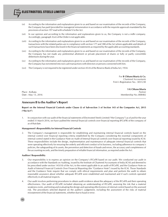- (xi) According to the information and explanations given to us and based on our examination of the records of the Company, the Company has paid /provided for managerial remuneration in accordance with the requisite approvals mandated by the provisions of section 197 read with schedule V to the Act.
- (xii) In our opinion and according to the information and explanations given to us, the Company is not a nidhi company. Accordingly, paragraph 3(xii) of the Order is not applicable.
- (xiii) According to the information and explanations given to us and based on our examination of the records of the Company, transactions with the related parties are in compliance with section 177 and 188 of the Act where applicable and details of such transactions have been disclosed in the financial statements as required by the applicable accounting standards.
- (xiv) According to the information and explanations given to us and based on our examination of the records of the Company, the Company has not made any preferential allotment or private placement of shares or fully or partly convertible debentures during the year.
- (xv) According to the information and explanations given to us and based on our examination of the records of the Company, the Company has not entered into non cash transactions with directors or persons connected with him.
- (xvi) The Company is not required to be registered under section 45-IA of the Reserve Bank of India Act, 1934.

For **B Chhawchharia & Co.** *Chartered Accountants* Firm's Registration No.: 305123E

**S K Chhawchharia** Place : Kolkata *Partner* Date : May 13, 2016 Membership No.:008482

#### **Annexure B to the Auditor's Report**

**Report on the Internal Financial Controls under Clause (i) of Sub-section 3 of Section 143 of the Companies Act, 2013 ("the Act")**

1. In conjunction with our audit of the financial statements of Electrosteel Steels Limited ("the Company") as of and for the year ended 31 March 2016, we have audited the internal financial controls over financial reporting (IFCoFR) of the company of as of that date.

#### **Management's Responsibility for Internal Financial Controls**

2. The Company's management is responsible for establishing and maintaining internal financial controls based on the internal control over financial reporting criteria established by the Company considering the essential components of internal control stated in the Guidance Note on Audit of Internal financial controls over financial reporting issued by ICAI. These responsibilities include the design, implementation and maintenance of adequate internal financial controls that were operating effectively for ensuring the orderly and efficient conduct of its business, including adherence to company's policies, the safeguarding of its assets, the prevention and detection of frauds and errors, the accuracy and completeness of the accounting records, and the timely preparation of reliable financial information, as required under the Act.

#### **Auditors' Responsibility**

- 3. Our responsibility is to express an opinion on the Company's IFCoFR based on our audit. We conducted our audit in accordance with the Standards on Auditing, issued by the Institute of Chartered Accountants of India (ICAI) and deemed to be prescribed under section 143(10) of the Act, to the extent applicable to an audit of IFCoFR, and the Guidance Note on Audit of Internal Financial Controls Over Financial Reporting (the "Guidance Note") issued by the ICAI. Those Standards and the Guidance Note require that we comply with ethical requirements and plan and perform the audit to obtain reasonable assurance about whether adequate IFCoFR were established and maintained and if such controls operated effectively in all material respects.
- 4. Our audit involves performing procedures to obtain audit evidence about the adequacy of the IFCoFR and their operating effectiveness. Our audit of IFCoFR included obtaining an understanding of IFCoFR, assessing the risk that a material weakness exists, and testing and evaluating the design and operating effectiveness of internal control based on the assessed risk. The procedures selected depend on the auditor's judgement, including the assessment of the risks of material misstatement of the financial statements, whether due to fraud or error.

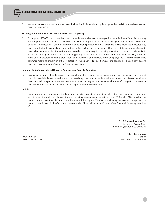

#### **Meaning of Internal Financial Controls over Financial Reporting**

ELECTROSTEEL STEELS LIMITED

6. A company's IFCoFR is a process designed to provide reasonable assurance regarding the reliability of financial reporting and the preparation of financial statements for external purposes in accordance with generally accepted accounting principles. A company's IFCoFR includes those policies and procedures that (1) pertain to the maintenance of records that, in reasonable detail, accurately and fairly reflect the transactions and dispositions of the assets of the company; (2) provide reasonable assurance that transactions are recorded as necessary to permit preparation of financial statements in accordance with generally accepted accounting principles, and that receipts and expenditures of the company are being made only in accordance with authorisations of management and directors of the company; and (3) provide reasonable assurance regarding prevention or timely detection of unauthorised acquisition, use, or disposition of the company's assets that could have a material effect on the financial statements.

#### **Inherent Limitations of Internal Financial Controls over Financial Reporting**

7. Because of the inherent limitations of IFCoFR, including the possibility of collusion or improper management override of controls, material misstatements due to error or fraud may occur and not be detected. Also, projections of any evaluation of the IFCoFR to future periods are subject to the risk that IFCoFR may become inadequate because of changes in conditions, or that the degree of compliance with the policies or procedures may deteriorate.

#### **Opinion**

8. In our opinion, the Company has, in all material respects, adequate internal financial controls over financial reporting and such internal financial controls over financial reporting were operating effectively as at 31 March 2016, based on the internal control over financial reporting criteria established by the Company considering the essential components of internal control stated in the Guidance Note on Audit of Internal Financial Controls Over Financial Reporting issued by ICAI.

> For **B Chhawchharia & Co.** *Chartered Accountants* Firm's Registration No.: 305123E

**S K Chhawchharia** Place : Kolkata *Partner* Date : May 13, 2016 Membership No.:008482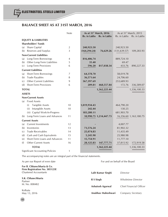# **BALANCE SHEET AS AT 31ST MARCH, 2016**

|                   |                                        | Note           | As at 31 <sup>st</sup> March, 2016<br>Rs. in Lakhs | Rs. in Lakhs           | As at 31 <sup>st</sup> March, 2015<br>Rs. in Lakhs | Rs. in Lakhs           |
|-------------------|----------------------------------------|----------------|----------------------------------------------------|------------------------|----------------------------------------------------|------------------------|
|                   | <b>EQUITY &amp; LIABILITIES</b>        |                |                                                    |                        |                                                    |                        |
|                   | <b>Shareholders' Funds</b>             |                |                                                    |                        |                                                    |                        |
| (a)               | Share Capital                          | $\overline{2}$ | 240,923.50                                         |                        | 240,923.50                                         |                        |
|                   | (b) Reserves and Surplus               | 3              | (164, 294.24)                                      | 76,629.26              | (131, 639.57)                                      | 109,283.93             |
|                   | <b>Non-Current Liabilities</b>         |                |                                                    |                        |                                                    |                        |
| (a)               | Long-Term Borrowings                   | 4              | 816,406.74                                         |                        | 889,724.10                                         |                        |
| (b)               | Other Long-Term Liabilities            | 5              | 35.40                                              |                        | 69.47                                              |                        |
| (c)               | Long-Term Provisions                   | 6              | 596.20                                             | 817,038.34             | 433.76                                             | 890,227.33             |
|                   | <b>Current Liabilities</b>             |                |                                                    |                        |                                                    |                        |
| (a)               | Short-Term Borrowings                  | 7              | 64,378.70                                          |                        | 58,019.78                                          |                        |
| (b)               | <b>Trade Payables</b>                  | 8              | 36,571.64                                          |                        | 24,706.60                                          |                        |
| (c)               | Other Current Liabilities              | 9              | 367,397.69                                         |                        | 253,689.93                                         |                        |
| (d)               | Short-Term Provisions                  | 6              | 209.81                                             | 468,557.84             | 172.76                                             | 336,589.07             |
|                   | <b>TOTAL</b>                           |                |                                                    | 1,362,225.44           |                                                    | 1,336,100.33           |
|                   | <b>ASSETS</b>                          |                |                                                    |                        |                                                    |                        |
|                   | <b>Non-Current Assets</b>              |                |                                                    |                        |                                                    |                        |
| (a)               | <b>Fixed Assets</b>                    |                |                                                    |                        |                                                    |                        |
|                   | <b>Tangible Assets</b><br>(i)          | 10             | 1,019,934.43                                       |                        | 464,790.20                                         |                        |
|                   | Intangible Assets<br>(ii)              | 10             | 242.44                                             |                        | 130.25                                             |                        |
|                   | (iii) Capital Work-In-Progress         |                | 183,280.11                                         |                        | 681,903.70                                         |                        |
|                   | (b) Long-Term Loans and Advances       | 11             |                                                    | 10,990.75 1,214,447.73 |                                                    | 16,356.60 1,163,180.75 |
|                   |                                        |                |                                                    |                        |                                                    |                        |
|                   | <b>Current Assets</b>                  |                |                                                    |                        |                                                    |                        |
| (a)               | <b>Current Investments</b>             | 12             |                                                    |                        | 4,007.77                                           |                        |
| (b)               | Inventories                            | 13             | 73,576.24                                          |                        | 81,902.32                                          |                        |
| $\left( c\right)$ | <b>Trade Receivables</b>               | 14             | 25,074.83                                          |                        | 11,435.49                                          |                        |
| (d)               | Cash and Cash Equivalents              | 15             | 5,245.90                                           |                        | 25,980.98                                          |                        |
| (e)               | Short-Term Loans and Advances          | 11             | 15,754.91                                          |                        | 11,777.10                                          |                        |
| (f)               | <b>Other Current Assets</b>            | 16             | 28,125.83                                          | 147,777.71             | 37,815.92                                          | 172,919.58             |
|                   | <b>TOTAL</b>                           |                |                                                    | 1,362,225.44           |                                                    | 1,336,100.33           |
|                   | <b>Significant Accounting Policies</b> | 1              |                                                    |                        |                                                    |                        |

The accompanying notes are an integral part of the financial statements.

As per our Report of even date **For and on behalf of the Board** For and on behalf of the Board

**For B. Chhawchharia & Co. Firm Registration No. 305123E** Chartered Accountants

**S.K. Chhawchharia** Partner M. No. 008482

Kolkata May 13, 2016

| Lalit Kumar Singhi | Director                  |
|--------------------|---------------------------|
| R S Singh          | <b>Wholetime Director</b> |
| Ashutosh Agarwal   | Chief Financial Officer   |
| Anubhav Maheshwari | Company Secretary         |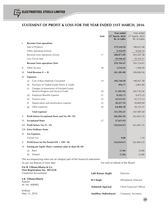# **STATEMENT OF PROFIT & LOSS FOR THE YEAR ENDED 31ST MARCH, 2016**

|      |                                                                          |                                                                                  | <b>Note</b> | <b>Year ended</b><br>31 <sup>st</sup> March, 2016<br>Rs. in Lakhs | Year ended<br>31 <sup>st</sup> March, 2015<br>Rs. in Lakhs |  |
|------|--------------------------------------------------------------------------|----------------------------------------------------------------------------------|-------------|-------------------------------------------------------------------|------------------------------------------------------------|--|
| I.   |                                                                          | <b>Revenue from operations</b>                                                   |             |                                                                   |                                                            |  |
|      |                                                                          | Sale of Products                                                                 |             | 279,520.94                                                        | 198,631.48                                                 |  |
|      |                                                                          | Other operating revenue                                                          |             | 9,354.95                                                          | 4,656.10                                                   |  |
|      |                                                                          | Revenue from operations (Gross)                                                  | 17          | 288,875.89                                                        | 203, 287.58                                                |  |
|      |                                                                          | Less: Excise duty                                                                |             | 29,106.42                                                         | 20,163.51                                                  |  |
|      |                                                                          | <b>Revenue from operations (Net)</b>                                             |             | 259,769.47                                                        | 183,124.07                                                 |  |
| Ш.   |                                                                          | Other Income                                                                     | 18          | 1,516.41                                                          | 1,560.49                                                   |  |
| III. |                                                                          | Total Revenue $(I + II)$                                                         |             | 261,285.88                                                        | 184,684.56                                                 |  |
| IV.  |                                                                          | <b>Expenses:</b>                                                                 |             |                                                                   |                                                            |  |
|      | (a)                                                                      | Cost of Raw Materials Consumed                                                   | 19          | 182,744.94                                                        | 148,057.38                                                 |  |
|      | (b)                                                                      | Purchase of Traded Goods (Stock in Trade)                                        |             | 494.77                                                            | 5,861.80                                                   |  |
|      | (c)                                                                      | Changes in Inventories of Finished Goods,<br>Work-in-Progress and Stock-in-Trade | 20          | (7, 185.93)                                                       | (20, 718.24)                                               |  |
|      | (d)                                                                      | <b>Employee Benefits Expense</b>                                                 | 21          | 8,342.71                                                          | 4,473.22                                                   |  |
|      | (e)                                                                      | Finance costs                                                                    | 22          | 52,531.47                                                         | 45,173.13                                                  |  |
|      | (f)                                                                      | Depreciation and amortization expense                                            | 23          | 20,257.93                                                         | 20,085.09                                                  |  |
|      | (g)                                                                      | Other expenses                                                                   | 24          | 64,406.58                                                         | 44,155.31                                                  |  |
|      |                                                                          | <b>Total expenses</b>                                                            |             | 321,592.47                                                        | 247,087.69                                                 |  |
| V.   |                                                                          | Profit before Exceptional Items and Tax (III - IV)                               |             | (60, 306.59)                                                      | (62, 403.13)                                               |  |
| VI.  |                                                                          | <b>Exceptional Items</b>                                                         | 27          | 27,651.92                                                         |                                                            |  |
|      |                                                                          | VII. Profit before Tax (V - VI)                                                  |             | (32,654.67)                                                       | (62, 403.13)                                               |  |
|      |                                                                          | VIII. Extra Ordinary Items                                                       |             |                                                                   |                                                            |  |
| IX.  |                                                                          | <b>Tax Expenses</b>                                                              |             |                                                                   |                                                            |  |
|      |                                                                          | <b>Current Tax</b>                                                               |             | 0.00                                                              | 1.10                                                       |  |
| Χ.   |                                                                          | Profit/(Loss) for the Period (VII + VIII - IX)                                   |             | (32, 654.67)                                                      | (62, 404.23)                                               |  |
| XI.  |                                                                          | Earning per Equity Share (nominal value of share Rs.10)                          |             |                                                                   |                                                            |  |
|      | (a)                                                                      | <b>Basic</b>                                                                     |             | (1.36)                                                            | (2.68)                                                     |  |
|      | (b)                                                                      | Diluted                                                                          |             | (1.36)                                                            | (2.68)                                                     |  |
|      | The accompanying notes are an integral part of the financial statements. |                                                                                  |             |                                                                   |                                                            |  |

**For B. Chhawchharia & Co. Firm Registration No. 305123E** Chartered Accountants

**S.K. Chhawchharia** Partner M. No. 008482

Kolkata May 13, 2016

As per our Report of even date **For and on behalf of the Board** For and on behalf of the Board

| Lalit Kumar Singhi | Director                  |
|--------------------|---------------------------|
| R S Singh          | <b>Wholetime Director</b> |
| Ashutosh Agarwal   | Chief Financial Officer   |
| Anubhav Maheshwari | Company Secretary         |

49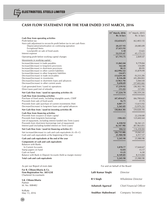# **CASH FLOW STATEMENT FOR THE YEAR ENDED 31ST MARCH, 2016**

|                                                                                                                          | 31 <sup>st</sup> March, 2016 | 31 <sup>st</sup> March, 2015 |
|--------------------------------------------------------------------------------------------------------------------------|------------------------------|------------------------------|
|                                                                                                                          | Rs. in lacs                  | Rs. in lacs                  |
| Cash flow from operating activities                                                                                      |                              |                              |
| Profit before tax<br>Non-cash adjustment to reconcile profit before tax to net cash flows                                | (32,654.67)                  | (62, 403.13)                 |
| Depreciation/amortization on continuing operation                                                                        | 20,257.93                    | 20,085.09                    |
| <b>Exceptional Items</b>                                                                                                 | 27,651.92                    |                              |
| Loss/(profit) on sale of fixed assets                                                                                    | 5.10                         | (5.62)                       |
| Interest expense                                                                                                         | 52,531.47                    | 45,173.13                    |
| Operating profit before working capital changes                                                                          | 67,791.75                    | 2,849.47                     |
| Movements in working capital :                                                                                           |                              |                              |
| Increase/(decrease) in trade payables                                                                                    | 11,865.04                    | 9,779.84                     |
| Increase/(decrease) in long-term provisions                                                                              | 162.44                       | 154.89                       |
| Increase/(decrease) in short-term provisions                                                                             | 38.15                        | 89.95                        |
| Increase/(decrease) in other current liabilities<br>Increase/(decrease) in other long-term liabilities                   | (62,996.52)<br>(34.07)       | 35,879.99                    |
| Decrease/(increase) in trade receivables                                                                                 | (13, 639.34)                 | (9, 233.29)                  |
| Decrease/(increase) in inventories                                                                                       | 8,326.08                     | (45, 284.82)                 |
| Decrease/(increase) in short-term loans and advances                                                                     | (3,963.70)                   | 5,064.44                     |
| Decrease/(increase) in other current assets                                                                              | 9,690.09                     | (37,602.66)                  |
| Cash generated from / (used in) operations                                                                               | 17,239.92                    | (38, 302.19)                 |
| Direct taxes paid (net of refunds)                                                                                       | (15.22)                      | (57.05)                      |
| Net Cash flow from / (used in) operating activities (A)                                                                  | 17,224.70                    | (38, 359.24)                 |
| Cash flow from investing activities                                                                                      |                              |                              |
| Purchase of fixed assets, including intangible assets, CWIP                                                              | (47, 454.67)                 | (66,700.63)                  |
| Proceeds from sale of fixed assets                                                                                       | 16.75                        | 37.75                        |
| Proceeds from sale/ purchase of current investments (Net)<br>Decrease/(increase) in long-term loans and capital advances | 4,007.77                     | 13,613.92                    |
|                                                                                                                          | 5,365.85                     | (5,979.23)                   |
| Net Cash flow from / (used in) investing activities (B)                                                                  | (38,064.30)                  | (59, 028.19)                 |
| Cash flow from financing activities<br>Proceeds from issuance of share capital                                           |                              |                              |
| Proceeds from long-term borrowings                                                                                       | (106.42)                     | 22,250.00<br>125,602.64      |
| (net of repayment, including interest funded into Term Loans)                                                            |                              |                              |
| Proceeds from short-term borrowings (net of repayment)                                                                   | 6,358.92                     | 56,561.21                    |
| Interest paid (including funded interest on Term Loans)                                                                  | (6, 147.98)                  | (87,963.01)                  |
| Net Cash flow from / (used in) financing activities (C)                                                                  | 104.52                       | 116,450.84                   |
| Net increase/(decrease) in cash and cash equivalents $(A + B + C)$                                                       | (20, 735.08)                 | 19,063.41                    |
| Cash and cash equivalents at the beginning of the year                                                                   | 25,980.98                    | 6,917.57                     |
| Cash and cash equivalents at the end of the year                                                                         | 5,245.90                     | 25,980.98                    |
| Components of cash and cash equivalents                                                                                  |                              |                              |
| <b>Balances with Banks</b>                                                                                               |                              |                              |
| In Current Accounts<br>Stamp papers on hand                                                                              | 1,070.77<br>12.03            | 17,644.67<br>15.17           |
| Cash on hand                                                                                                             | 13.25                        | 6.30                         |
| Balance with Bank in Deposit Accounts (held as margin money)                                                             | 4,149.85                     | 8,314.84                     |
| Total cash and cash equivalents                                                                                          | 5,245.90                     | 25,980.98                    |
|                                                                                                                          |                              |                              |
|                                                                                                                          |                              |                              |

As per our Report of even date **For and on behalf of the Board** For and on behalf of the Board **For B. Chhawchharia & Co. Firm Registration No. 305123E** Chartered Accountants **S.K. Chhawchharia** Partner M. No. 008482 Kolkata May 13, 2016 **Lalit Kumar Singhi** *Director* **R S Singh** *Wholetime Director* **Ashutosh Agarwal** *Chief Financial Officer* **Anubhav Maheshwari** *Company Secretary*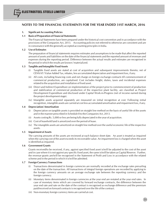#### **1. Significant Accounting Policies**

#### **1.1 Basis of Preparation of Financial Statements**

The Financial Statements have been prepared under the historical cost convention and in accordance with the provisions of the Companies Act, 2013. Accounting policies not referred to otherwise are consistent and are in consonance with the generally accepted accounting principles in India.

#### **1.2 Use of Estimates**

The preparation of financial statements requires estimates and assumptions to be made that affect the reported amount of assets and liabilities on the date of the financial statements and the reported amount of revenues and expenses during the reporting period. Difference between the actual results and estimates are recognised in the period in which the results are known / materialized.

#### **1.3 Tangible and Intangible Fixed Assets**

- (i) Tangible fixed assets are stated at cost of acquisition and subsequent improvements thereto; net of CENVAT / Value Added Tax, rebates, less accumulated depreciation and impairment loss, if any.
- (ii) All costs, including financing costs and net charge on foreign exchange contracts till commencement of commercial production, are capitalised. Cost includes freight, duties, taxes and incidental expenses related to the acquisition and installation of fixed asset.
- (iii) Direct and Indirect Expenditure on implementation of the project prior to commencement of production and stabilization of commercial production of the respective plant facility, are classified as Project Development Expenditure and disclosed under Capital Work-in-Progress (net of income earned during the project development stage).
- (iv) Intangible assets acquired separately are measured on initial recognition at cost. Following initial recognition, intangible assets are carried at cost less accumulated amortisation and impairment loss, if any.

#### **1.4 Depreciation/ Amortisation**

- (i) Depreciation on tangible assets is provided on straight line method on the basis of useful life of the assets and in the manner prescribed in Schedule II to the Companies Act, 2013.
- (ii) Assets costing Rs. 5,000 or less are being fully depreciated in the year of acquisition.
- (iii) Cost of leasehold land is amortized over the period of lease.
- (iv) The intangible assets are amortized on straight line method over the useful economic life of the respective assets.

#### **1.5 Impairment of Assets**

The carrying amounts of the assets are reviewed at each balance sheet date. An asset is treated as impaired when the carrying cost of the asset exceeds its recoverable value. An impairment loss is charged when the asset is identified as impaired.

#### **1.6 Government Grants**

Grants received/to be received, if any, against specified fixed asset is/will be adjusted to the cost of the asset and in case where it is not against any specific fixed asset, the same is/will be taken as Capital Reserve. Further, the revenue grants are/will be recognised in the Statement of Profit and Loss in accordance with the related scheme and in the period in which it is/will be admitted.

#### **1.7 Foreign Currency Transactions**

- Transactions denominated in foreign currencies are normally recorded at the exchange rates prevailing on the date of the transaction. All transactions of integral foreign operations are recorded by applying to the foreign currency amounts on an average exchange rate between the reporting currency and the foreign currency.
- (ii) Monetary items denominated in foreign currencies at the year end are restated at the year end rates. In case of monetary items which are covered by forward exchange contracts, the difference between the year end rate and rate on the date of the contract is recognised as exchange difference and the premium paid/received on forward contracts is recognised over the life of the contract.
- (iii) Non-monetary foreign currency items are carried at cost.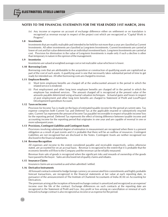(iv) Any income or expense on account of exchange difference either on settlement or on translation is recognised as revenue except in respect of the project cost which are recognized as "Capital Work in Progress".

#### **1.8 Investments**

Investments that are readily realisable and intended to be held for not more than a year are classified as Current Investments. All other investments are classified as Long-term Investments. Current Investments are carried at lower of cost and fair value determined on an individual investment basis. Long-term Investments are carried at cost. Provision for diminution in the value of Long-term Investments is made only if such a decline is other than temporary in nature in the opinion of the management.

#### **1.9 Inventories**

Inventories are valued at weighted average cost or net realizable value whichever is lower.

#### **1.10 Borrowing Costs**

Borrowing costs that are attributable to the acquisition or construction of qualifying assets are capitalized as part of the cost of such assets. A qualifying asset is one that necessarily takes substantial period of time to get ready for intended use. All other borrowing costs are charged to revenue.

#### **1.11 Employee Benefits**

- (i) Short term employee benefits are charged off at the undiscounted amount in the period in which the related service is rendered.
- (ii) Post employment and other long term employee benefits are charged off in the period in which the employee has rendered services. The amount charged off is recognized at the present value of the amounts payable determined using actuarial valuation techniques. Actuarial gains and losses in respect of post employment and other long term benefits are charged to Statement of Profit and Loss/Project Development Expenditure Account.

#### **1.12 Taxes on Income**

Provision for Income Tax is made on the basis of estimated taxable income for the period at current rates. Tax expense comprises both Current Tax and Deferred Tax at the applicable enacted or substantively enacted rates. Current Tax represents the amount of Income Tax payable/ recoverable in respect of taxable income/ loss for the reporting period. Deferred Tax represents the effect of timing difference between taxable income and accounting income for the reporting period that originates in one year and are capable of reversal in one or more subsequent years.

#### **1.13 Provisions, Contingent Liabilities and Contingent Assets**

Provisions involving substantial degree of estimation in measurement are recognised when there is a present obligation as a result of past events and it is probable that there will be an outflow of resources. Contingent Liabilities are not recognised but are disclosed in the Notes. Contingent Assets are neither recognised nor disclosed in the financial statements.

#### **1.14 Revenue Recognition**

All expenses and income to the extent considered payable and receivable respectively, unless otherwise stated, are accounted for on an accrual basis. Revenue is recognized to the extent that it is probable that the economic benefits will flow to the Company and the revenue can be reliably measured.

Revenue from sale of goods is recognized when the significant risks and rewards of ownership of the goods have passed to the buyer. Sales are disclosed net of quality claims and rebates.

#### **1.15 Insurance Claims**

Insurance claims are accounted as and when admitted / settled.

#### **1.16 Derivative Instruments**

All forward contracts entered to hedge foreign currency on unexecuted firm commitments and highly probable forecast transactions, are recognized in the financial statements at fair value at each reporting date, in pursuance of the announcement of The Institute of Chartered Accountants of India (ICAI) on Accounting for Derivatives.

The premium arising at the inception of forward exchange contract is amortized and recognized as an expense/ income over the life of the contract. Exchange differences on such contracts at the reporting date are recognized in the Statement of Profit and Loss. Any profit or loss arising on cancellation or renewal of such forward exchange contract is also recognized as income or as expense for the period.

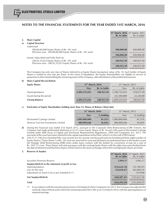|    |                                                                                                                | 31 <sup>st</sup> March, 2016 31 <sup>st</sup> March, 2015<br>Rs. in Lakhs | Rs. in Lakhs |
|----|----------------------------------------------------------------------------------------------------------------|---------------------------------------------------------------------------|--------------|
|    | <b>Share Capital</b>                                                                                           |                                                                           |              |
| a) | <b>Capital Structure</b>                                                                                       |                                                                           |              |
|    | Authorised                                                                                                     |                                                                           |              |
|    | 500,00,00,000 Equity Shares of Rs. 10/- each<br>(Previous year - 450,00,00,000 Equity Shares of Rs. 10/- each) | 500,000.00                                                                | 450,000.00   |
|    |                                                                                                                | 500,000.00                                                                | 450,000.00   |
|    | Issued, Subscribed and Fully Paid Up                                                                           |                                                                           |              |
|    | 240,92,35,023 Equity Shares of Rs. 10/- each<br>(Previous year - 240,92,35,023 Equity Shares of Rs. 10/- each) | 240,923.50                                                                | 240,923.50   |
|    |                                                                                                                | 240.923.50                                                                | 240,923.50   |

The Company has only one class of Shares referred to as Equity Shares having face value of Rs. 10. Each holder of Equity Shares is entiled to one vote per Share. In the event of liquidation, the Equity Sharesholders are eligible to receive in proportion to their shareholding the remaining assets of the Company, after distribution of the preferential amount.

#### **b) Share Capital Reconciliation**

| <b>Equity Shares</b>     | 31 <sup>st</sup> March, 2016 |                     | $31^{\rm st}$ March, 2015 |              |
|--------------------------|------------------------------|---------------------|---------------------------|--------------|
|                          | Nos.                         | <b>Rs. in Lakhs</b> | Nos.                      | Rs. in Lakhs |
| Opening balance          | 2,409,235,023                | 240,923.50          | 2,186,735,023             | 218,673.50   |
| Issued during the period | $\overline{\phantom{0}}$     |                     | 222,500,000               | 22,250.00    |
| <b>Closing Balance</b>   | 2,409,235,023                | 240,923.50          | 2,409,235,023             | 240,923.50   |

#### **c) Particulars of Equity Shareholders holding more than 5% Shares at Balance Sheet date**

|                                       | 31 <sup>st</sup> March, 2016 |             | 31 <sup>st</sup> March, 2015 |             |
|---------------------------------------|------------------------------|-------------|------------------------------|-------------|
|                                       | Nos.                         | $%$ holding | Nos.                         | $%$ holding |
| Electrosteel Castings Limited         | 1,089,800,000                | 45.23%      | 1.089.800.000                | $45.23\%$   |
| Stemcor Cast Iron Investments Limited | 400,909,646                  | $16.64\%$   | 400,909,646                  | $16.64\%$   |

- **d)** During the Financial year ended 31st March 2015, pursuant to the Corporate Debt Restructuring (CDR) Scheme, the Company had made preferential allotment of 22.25 crores Equity Shares of Rs 10 each fully paid to Electrosteel Castings Limited under SEBI (Issue of Capital and Disclosure Requirements) Regulations, 2009 and Companies Act, 2013. The proceeds of the issue have been utilised for the capital expenditure at the Plant, which is in line with CDR Scheme.
- **e)** 250,75,71,148 (Two Hundred Fifty crore seventy five lac seventy one thousand and one hundred and forty eight) number of Equity Shares ("These Shares") of Rs. 10/- each are reserved for issue and allotment on preferential basis to the lenders as per the Strategic Debt Restructuring (SDR) terms under loans contract with the lenders by conversion of loan for a sum of Rs. 2507.57 crore. These Shares will rank pari-passu with the existing Equity Shares with the right of pro-rata dividend from the date of allotment and that these Shares will be listed on the stock exchanges where the existing Equity Shares are listed.

| 3. | Reserves & Surplus                                   |                                                                           |               |
|----|------------------------------------------------------|---------------------------------------------------------------------------|---------------|
|    |                                                      | 31 <sup>st</sup> March, 2016 31 <sup>st</sup> March, 2015<br>Rs. in Lakhs | Rs. in Lakhs  |
|    |                                                      |                                                                           |               |
|    | Securities Premium Reserve                           | 3,993.17                                                                  | 3,993.17      |
|    | Surplus/(Deficit) in the statement of profit or loss |                                                                           |               |
|    | Opening balance                                      | (135, 632, 74)                                                            | (72, 709.47)  |
|    | Loss for the year                                    | (32,654.67)                                                               | (62, 404.23)  |
|    | Adjustment of Assets Cost as per Schedule II (*)     |                                                                           | (519.04)      |
|    | Net Surplus/(Deficit)                                | (168, 287, 41)                                                            | (135, 632.74) |
|    | Total                                                | (164, 294, 24)                                                            | (131, 639.57) |

(\*) In accordance with the transitional provisions of Schedule II of the Companies Act 2013, the Company has adjusted the net book value of those assets where the remaining useful life is NIL as on 31st March 2014, with the opening balance of retained earnings.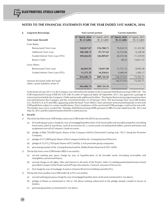| 4. | <b>Long-term Borrowings</b>        |              | Non-current portion | <b>Current maturities</b>                                                                                                           |              |  |
|----|------------------------------------|--------------|---------------------|-------------------------------------------------------------------------------------------------------------------------------------|--------------|--|
|    | <b>Term Loans (Secured)</b>        | Rs. in Lakhs | Rs. in Lakhs        | 31 <sup>st</sup> March, 2016 31 <sup>st</sup> March, 2015 31 <sup>st</sup> March, 2016 31 <sup>st</sup> March, 2015<br>Rs. in Lakhs | Rs. in Lakhs |  |
|    | From Banks                         |              |                     |                                                                                                                                     |              |  |
|    | Restructured Term Loan             | 528,857.87   | 576,780.71          | 79,024.74                                                                                                                           | 31,101.90    |  |
|    | Additional Term Loan               | 100,108.72   | 97,737.43           | 22,724.06                                                                                                                           | 6,238.56     |  |
|    | Funded Interest Term Loan (FITL)   | 109,462.85   | 126,909.87          | 28,576.94                                                                                                                           | 11,129.93    |  |
|    | <b>Buyers Credit</b>               |              |                     | 48.35                                                                                                                               | 14,811.57    |  |
|    | From Others                        |              |                     |                                                                                                                                     |              |  |
|    | Restructured Term Loan             | 66,601.95    | 74,037.48           | 11,731.12                                                                                                                           | 8,495.58     |  |
|    | Funded Interest Term Loan (FITL)   | 11,375.35    | 14,258.61           | 4,468.44                                                                                                                            | 1,585.17     |  |
|    |                                    | 816,406.74   | 889,724.10          | 146,573.65                                                                                                                          | 73,362.71    |  |
|    | Amount disclosed under the head    |              |                     | 146,573.65                                                                                                                          | 73,362.71    |  |
|    | Other current liabilities (Note 9) | 816,406.74   | 889,724.10          |                                                                                                                                     |              |  |

In the financial year 2013-14, the Company was referred by the lenders to the Corporate Debt Restructuring (CDR) Cell. The CDR Empowered Group (CDR EG) Cell vide its Letter of Approval dated 28 September 2013, has approved a package to restructure/reschedule the Company's Debt and provide additional facilities. The Master Restructuring Agreement has been executed between the Company and the concerned lenders on 20 January 2014. The borrowings from non-CDR lenders (viz. HUDCO, IL & FS and SREI, appearing under the head 'From Others') have also been restructured bilaterally in line with CDR guidelines subject to certain modifications. Due Compliance of the sanctioned CDR packages could not be met with. The lenders have since invoked the "Strategic Debt Restructuring (SDR) pursuant to RBI Circulars dated June 08, 2015 and Sept 24, 2015 and the implementation thereof is under process.

#### **A. Security**

- 1) The entire facilities from CDR lenders and a non-CDR lender (HUDCO) are secured by:
	- (a) first ranking pari passu charge by way of mortgage/hypothecation of all immovable and movable properties (including fixed assets, plant & machinery, tools & accessories etc.), current assets (including book debts), present and future and assignment over all of Company's bank accounts;
	- (b) pledge of 866,750,000 Equity Shares of the Company held by Electrosteel Castings Ltd. ('ECL') being the Promoter Company;
	- (c) pledge of 517,000 Equity Shares of the Company held by Mr. Umang Kejriwal (Director);
	- (d) pledge of 32,675,270 Equity Shares of ECL held by 2 of its promoter group companies;
	- (e) personal guarantee of Mr. Umang Kejriwal and Ms. Radha Kinkari Kejriwal (COO MSD)
- 2) The facility from a non-CDR lender (SREI) is secured by:
	- (a) second ranking pari passu charge by way of hypothecation of all movable assets (including receivables and intangibles), present and future;
	- (b) second charge on all rights, titles and interest in all assets of the Project, letter of credit/guarantee/performance bond provided in respect of the Project and all Project documents, Contracts, Insurance Policies etc.
	- (c) first charge by way of mortgage of a piece of land with factory building owned by ECL.
- 3) The facility from another non-CDR lender (IL & FS) is secured by
	- (a) second ranking pari passu charge by way of mortgage/hypothecation of all assets mentioned in 1(a) above;
	- (b) pledge of Shares as mentioned in 1(b) to 1(d) above ranking subservient to the pledge already created in favour of lenders;
	- (c) personal guarantees as mentioned in 1(e) above.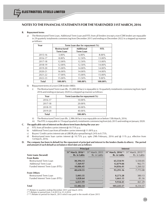#### **B. Repayment terms**

a) The Restructured Term Loan, Additional Term Loan and FITL from all lenders (except a non-CDR lender) are repayable in 29 quarterly instalments commencing from December 2015 and ending on December 2022 in a stepped up manner as follows:

| Year         | Term Loan due for repayment (%)         |                                       |             |  |
|--------------|-----------------------------------------|---------------------------------------|-------------|--|
|              | <b>Restructured</b><br><b>Term Loan</b> | <b>Additional</b><br><b>Term Loan</b> | <b>FITL</b> |  |
| 2015-16      | $5.00\%$                                | $6.00\%$                              | 8.00%       |  |
| 2016-17      | 8.00%                                   | 12.50%                                | 13.00%      |  |
| 2017-18      | 12.00%                                  | 12.50%                                | 13.00%      |  |
| 2018-19      | 12.00%                                  | $12.50\%$                             | $14.00\%$   |  |
| 2019-20      | 15.00%                                  | 14.00%                                | 14.00%      |  |
| 2020-21      | 16.00%                                  | 14.00%                                | $14.00\%$   |  |
| 2021-22      | 17.00%                                  | 15.00%                                | 15.00%      |  |
| 2022-23      | 15.00%                                  | 13.50%                                | $9.00\%$    |  |
| <b>Total</b> | 100.00%                                 | 100.00%                               | 100.00%     |  |

- b) Repayment terms of a non-CDR lender (SREI):
	- i) The Restructured Term Loan (Rs. 35,000.00 lacs) is repayable in 16 quarterly instalments commencing from April 2016 and ending on January 2020 in a stepped up manner as follows:

| Year    | Term Loan due for repayment (%) |
|---------|---------------------------------|
| 2016-17 | $10.00\%$                       |
| 2017-18 | 20.00%                          |
| 2018-19 | 30.00%                          |
| 2019-20 | 40.00%                          |
| Total   | $100.00\%$                      |

- ii) The Restructured Term Loan (Rs. 2,986.00 lacs) was repayable on or before 15th March, 2016.
- iii) The FITL is repayable in 19 equal quarterly instalments commencing from July 2015 and ending on January 2020.

#### **C. The applicable rate of interest on the above term loans during the year are -**

- a) FITL from all lenders carries interest @ 10.75% p.a.
- b) Additional Term Loan from all lenders carries interest @ 11.00% p.a.
- c) Buyers' Credit carries interest rate at LIBOR plus spread being 0.24% to 0.75%.
- d) Restructured term loan carries interest @ 10.75% p.a. upto 29th February, 2016 and @ 11% p.a. effective from 1st March, 2016.
- **D. The company has been in default for the repayment of principal and interest to the lenders (banks & others). The period and amount of such default as on balance sheet date are as follows:**

|                                  | <b>Principal</b>                         |                    | <b>Interest</b> |                                                                                            |
|----------------------------------|------------------------------------------|--------------------|-----------------|--------------------------------------------------------------------------------------------|
|                                  | $31^{\rm st}$ March, 2016 <sup>(*)</sup> | $31st$ March, 2015 |                 | 31 <sup>st</sup> March, 2016 <sup>(**)</sup> 31 <sup>st</sup> March, 2015 <sup>(***)</sup> |
| <b>Term Loans (Secured)</b>      | Rs. in Lakhs                             | Rs. in Lakhs       | Rs. in Lakhs    | Rs. in Lakhs                                                                               |
| <b>From Banks</b>                |                                          |                    |                 |                                                                                            |
| Restructured Term Loan           | 30,394.13                                |                    | 65,554.91       | 5,550.05                                                                                   |
| Additional Term Loan             | 7,369.97                                 |                    | 12,879.84       | 962.71                                                                                     |
| Funded Interest Term Loan (FITL) | 10,886.45                                |                    | 14,856.41       | 1,260.32                                                                                   |
|                                  | 48,650.55                                |                    | 93,291.16       | 7,773.08                                                                                   |
| <b>From Others</b>               |                                          |                    |                 |                                                                                            |
| <b>Restructured Term Loan</b>    | 5,003.35                                 |                    | 8,273.28        | 380.13                                                                                     |
| Funded Interest Term Loan (FITL) | 1,828.64                                 |                    | 1,661.13        | 81.16                                                                                      |
|                                  | 6.831.99                                 |                    | 9,934.41        | 461.29                                                                                     |
| <b>Total</b>                     | 55,482.54                                |                    | 103,225.57      | 8,234.37                                                                                   |

(\*) Relates to quarters ending December 2015 and March 2016

(\*\*) Relates to period from 1-4-2015 to 31-3-2016

(\*\*\*) Relates to period for March, 2015 which was paid in the month of June 2015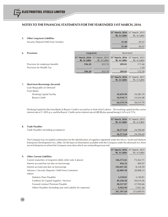| 5. | <b>Other Long-term Liabilities</b><br>Security Deposit/ EMD from Vendors |              |                                                                           | 31 <sup>st</sup> March, 2016 31 <sup>st</sup> March, 2015<br>Rs. in Lakhs<br>35.40 | Rs. in Lakhs<br>69.47 |
|----|--------------------------------------------------------------------------|--------------|---------------------------------------------------------------------------|------------------------------------------------------------------------------------|-----------------------|
|    |                                                                          |              |                                                                           | 35.40                                                                              | 69.47                 |
| 6. | <b>Provisions</b>                                                        | Long-term    |                                                                           | Short-term                                                                         |                       |
|    |                                                                          | Rs. in Lakhs | 31 <sup>st</sup> March, 2016 31 <sup>st</sup> March, 2015<br>Rs. in Lakhs | 31 <sup>st</sup> March, 2016 31 <sup>st</sup> March, 2015<br>Rs. in Lakhs          | Rs. in Lakhs          |
|    | Provision for employee benefits<br>Provision for Wealth Tax              | 596.20       | 433.76                                                                    | 209.81                                                                             | 171.66<br>1.10        |
|    |                                                                          | 596.20       | 433.76                                                                    | 209.81                                                                             | 172.76                |
|    |                                                                          |              |                                                                           | 31 <sup>st</sup> March, 2016 31 <sup>st</sup> March, 2015<br>Rs. in Lakhs          | Rs. in Lakhs          |
| 7. | <b>Short-term Borrowings (Secured)</b>                                   |              |                                                                           |                                                                                    |                       |
|    | Loan Repayable on Demand<br>From Banks                                   |              |                                                                           |                                                                                    |                       |
|    | <b>Working Capital Facility</b>                                          |              |                                                                           | 39,459.99                                                                          | 34,385.70             |
|    | <b>Buyers Credit</b>                                                     |              |                                                                           | 24,918.71                                                                          | 23,634.08             |
|    |                                                                          |              |                                                                           | 64,378.70                                                                          | 58,019.78             |

Working Capital facility from Banks & Buyers' Credit is secured as in Note 4(A)(1) above. The working capital facility carries interest rate of 11.00% p.a. and the Buyers' Credit carries interest rate at LIBOR plus spread being 0.24% to 0.75%.

|    |                                       | 31 <sup>st</sup> March, 2016 31 <sup>st</sup> March, 2015<br>Rs. in Lakhs | Rs. in Lakhs |
|----|---------------------------------------|---------------------------------------------------------------------------|--------------|
| 8. | <b>Trade Payables</b>                 |                                                                           |              |
|    | Trade Payables (including acceptance) | 36,571.64                                                                 | 24,706.60    |
|    |                                       | 36,571.64                                                                 | 24,706.60    |

The Company has circulated confirmation for the identification of suppliers registered under the Micro, Small and Medium Enterprises Development Act, 2006. On the basis of information available with the Company under the aforesaid Act, there are no Enterprises to whom the Company owes dues which are outstanding at year end.

|                                                             | 31 <sup>st</sup> March, 2016 31 <sup>st</sup> March, 2015 |              |
|-------------------------------------------------------------|-----------------------------------------------------------|--------------|
|                                                             | Rs. in Lakhs                                              | Rs. in Lakhs |
| <b>Other Current Liabilities</b><br>9.                      |                                                           |              |
| Current maturities of long-term debts (refer note 4 above)  | 146,573.65                                                | 73,362.71    |
| Interest accrued but not due on borrowings                  | 456.32                                                    | 469.07       |
| Interest accrued and due on borrowings                      | 103,037.02                                                | 8,218.59     |
| Advance / Security Deposits / EMD from Customers            | 26,089.50                                                 | 28,088.23    |
| Others                                                      |                                                           |              |
| <b>Statutory Dues Payables</b>                              | 3,510.81                                                  | 3,149.81     |
| Creditors for Capital Supplies / Services                   | 49,258.58                                                 | 94,619.36    |
| Forward contract Premium Payable                            | 28,527.87                                                 | 37,950.66    |
| Others Payables (Including year end Liability for expenses) | 9,943.94                                                  | 7,831.50     |
|                                                             | 367,397.69                                                | 253,689.93   |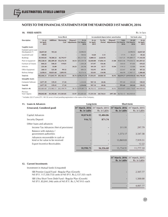#### **10. FIXED ASSETS** Rs. in lacs

|                                         | <b>Gross Block</b>          |                  |                          |                                            | Accumulated depreciation/ amortisation |                             |                   |                                                   |              | Net book value                    |                             |
|-----------------------------------------|-----------------------------|------------------|--------------------------|--------------------------------------------|----------------------------------------|-----------------------------|-------------------|---------------------------------------------------|--------------|-----------------------------------|-----------------------------|
| <b>Description</b>                      | As on<br>1st April,<br>2015 | <b>Additions</b> | <b>Borrowing</b>         | Disposal /<br>Cost Adjustments 31st March, | As on<br>2016                          | As on<br>1st April,<br>2015 | For the<br>Period | Disposal /<br>Adjustments 31st March, 31st March, | Upto<br>2016 | As ont<br>2016                    | As on<br>1st April,<br>2015 |
| <b>Tangible Assets</b>                  |                             |                  |                          |                                            |                                        |                             |                   |                                                   |              |                                   |                             |
| Freehold Land & Land<br>Development (*) | 24,037.69                   | 953.24           |                          |                                            | 24,990.93                              |                             |                   |                                                   |              | 24,990.93                         | 24,037.69                   |
| Leasehold Land                          | 100.02                      |                  |                          |                                            | 100.02                                 | 14.60                       | 3.15              |                                                   | 17.75        | 82.27                             | 85.42                       |
| <b>Buildings</b>                        | 81,943.83                   | 78,580.22        | 42,792.97                |                                            | $-203,317.02$                          | 4,800.33                    | 2,626.92          |                                                   | 7,427.25     | 195.889.77                        | 77,143.50                   |
| Plant & Equipment                       | 393,528.41                  | 282,589.20       | 153,276.70               |                                            | 34.53 829,359.78                       | 32,020.80                   | 17,856.14         | 21.88                                             | 49.855.06    | 779,504,72                        | 361,507.61                  |
| Furniture & Fixtures                    | 844.22                      | 540.25           | 119.81                   |                                            | 1,504.28                               | 373.97                      | 156.46            | $\blacksquare$                                    | 530.43       | 973.85                            | 470.25                      |
| Vehicles                                | 233.30                      | 33.89            | $\overline{\phantom{a}}$ | 24.23                                      | 242.96                                 | 101.39                      | 32.77             | 15.04                                             | 119.12       | 123.84                            | 131.91                      |
| Office Equipment                        | 260.13                      | 325.30           | 99.12                    |                                            | 684.55                                 | 152.91                      | 69.76             | $\blacksquare$                                    | 222.67       | 461.88                            | 107.22                      |
| Railway Sidings                         | 1,658.61                    | 10,821.60        | 5,893.95                 |                                            | 18,374.16                              | 352.01                      | 114.98            | $\blacksquare$                                    | 466.99       | 17,907.17                         | 1,306.60                    |
| Total (A)                               | 502.606.21                  | 373.843.70       | 202.182.55               |                                            | 58.76 1,078,573.70                     | 37.816.01                   | 20.860.18         | 36.92                                             |              | 58.639.27 1.019.934.43 464.790.20 |                             |
| <b>Intangible Assets</b>                |                             |                  |                          |                                            |                                        |                             |                   |                                                   |              |                                   |                             |
| Computer Software                       | 1,077.39                    | 139.41           | 17.24                    |                                            | 1,234.04                               | 947.14                      | 44.46             | $\blacksquare$                                    | 991.60       | 242.44                            | 130.25                      |
| Total (B)                               | 1.077.39                    | 139.41           | 17.24                    |                                            | 1.234.04                               | 947.14                      | 44.46             |                                                   | 991.60       | 242.44                            | 130.25                      |
| Total $(A + B)$                         | 503.683.60                  | 373,983.11       | 202.199.79               |                                            | 58.76 1.079.807.74                     | 38.763.15                   | 20,904.64         | 36.92                                             |              | 59,630.87 1,020,176.87 464,920.45 |                             |
| Previous<br>Year's figures              | 390,842.88                  |                  | 81,392.84 311,501.85     |                                            | 53.97 503,683.60                       | 17,531.34                   | 20,734.61         | (497.20)                                          |              | 38,763.15 464,920.45              |                             |

\* Includes 222.17 acres (P.Y. 181.92 acres) of land pending registration in the name of the Company.

| 11. | <b>Loans &amp; Advances</b>                                         | Long-term    |                          |                                                                                                                                     | Short-term   |  |
|-----|---------------------------------------------------------------------|--------------|--------------------------|-------------------------------------------------------------------------------------------------------------------------------------|--------------|--|
|     | (Unsecured, Considered good)                                        | Rs. in Lakhs | Rs. in Lakhs             | 31 <sup>st</sup> March, 2016 31 <sup>st</sup> March, 2015 31 <sup>st</sup> March, 2016 31 <sup>st</sup> March, 2015<br>Rs. in Lakhs | Rs. in Lakhs |  |
|     | Capital Advances                                                    | 10,074.03    | 15,484.86                |                                                                                                                                     |              |  |
|     | Security Deposit                                                    | 916.72       | 871.74                   |                                                                                                                                     |              |  |
|     | Other Joans and advances                                            |              |                          |                                                                                                                                     |              |  |
|     | Income Tax Advances (Net of provisions)                             |              | $\overline{\phantom{a}}$ | 311.91                                                                                                                              | 297.79       |  |
|     | Balance with statutory /<br>government authorities                  |              | $\overline{\phantom{a}}$ | 1,573.17                                                                                                                            | 3,547.58     |  |
|     | Advances recoverable in cash or<br>kind or for value to be received |              | ۰                        | 13,869.83                                                                                                                           | 7,919.51     |  |
|     | <b>Export Incentive Receivables</b>                                 |              | $\overline{\phantom{0}}$ |                                                                                                                                     | 12.22        |  |
|     |                                                                     | 10,990.75    | 16,356.60                | 15,754.91                                                                                                                           | 11,777.10    |  |

| 12. Current Investments                                                                                                | 31 <sup>st</sup> March, 2016 31 <sup>st</sup> March, 2015<br>Rs. in Lakhs | Rs. in Lakhs |
|------------------------------------------------------------------------------------------------------------------------|---------------------------------------------------------------------------|--------------|
| Investment in Mutual funds (Unquoted)                                                                                  |                                                                           |              |
| SBI Premier Liquid Fund - Regular Plan (Growth)<br>Nil (P.Y. 117,330.753) units of Nil (P.Y. Rs.2,137.35/)- each       |                                                                           | 2,507.77     |
| SBI Ultra Short Term Debt Fund - Regular Plan (Growth)<br>Nil (P.Y. 85,841.346) units of Nil (P.Y. Rs.1,747.91/)- each |                                                                           | 1,500.00     |
|                                                                                                                        |                                                                           | 4.007.77     |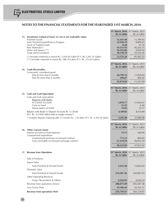|                                                                                                                                                              | 31 <sup>st</sup> March, 2016 31st March, 2015<br>Rs. in Lakhs | Rs. in Lakhs          |
|--------------------------------------------------------------------------------------------------------------------------------------------------------------|---------------------------------------------------------------|-----------------------|
| 13. Inventories (valued at lower of cost or net realizable value)                                                                                            |                                                               |                       |
| <b>Finished Goods</b><br>Semi Finised Goods/Work In Progress                                                                                                 | 15,561.48<br>12,194.19                                        | 11,590.92<br>9,804.43 |
| <b>Stock of Traded Goods</b>                                                                                                                                 | 0.24                                                          | 47.16                 |
| Raw Materials <sup>(*)</sup><br>Stores and Spares (**)                                                                                                       | 19,375.93<br>16,325.86                                        | 45,265.75<br>4,839.50 |
| Scrap and by products                                                                                                                                        | 10,118.54                                                     | 10,354.56             |
| (*) Includes materials in transit Rs. 2,426.44 Lakhs (P.Y. Rs.3,291.33 Lakhs)<br>(**) Includes materials in transit Rs. 286.76 Lakhs (P.Y. Rs. 212.63 Lakhs) | 73,576.24                                                     | 81,902.32             |
|                                                                                                                                                              | 31 <sup>st</sup> March, 2016 31st March, 2015                 |                       |
|                                                                                                                                                              | Rs. in Lakhs                                                  | Rs. in Lakhs          |
| 14. Trade Receivables<br>Unsecured, considered good                                                                                                          |                                                               |                       |
| Due for less than 6 months                                                                                                                                   | 24,790.76                                                     | 11,029.04             |
| Due for more than 6 months                                                                                                                                   | 284.07                                                        | 406.45                |
|                                                                                                                                                              | 25,074.83                                                     | 11,435.49             |
|                                                                                                                                                              |                                                               |                       |
|                                                                                                                                                              | 31 <sup>st</sup> March, 2016 31st March, 2015<br>Rs. in Lakhs | Rs. in Lakhs          |
| 15. Cash and Cash Equivalents                                                                                                                                |                                                               |                       |
| Cash and Cash equivalents                                                                                                                                    |                                                               |                       |
| <b>Balances with Banks</b><br>In Current Accounts                                                                                                            | 1,070.77                                                      | 17,644.67             |
| Cash on hand                                                                                                                                                 | 13.25                                                         | 6.30                  |
| Stamp papers on hand                                                                                                                                         | 12.03                                                         | 15.17                 |
| Balance with Banks in Deposit Accounts Rs. 4,120.64<br>$(P.Y. Rs. 4,314.85$ lakhs) held as margin money(*)                                                   | 4,149.85                                                      | 8,314.84              |
| * Includes deposits maturing after 12 months Rs. 1.56 lakhs (P.Y. Rs. 4,303.56 lakhs)                                                                        | 5,245.90                                                      | 25,980.98             |
|                                                                                                                                                              | 31 <sup>st</sup> March, 2016 31st March, 2015                 |                       |
|                                                                                                                                                              | Rs. in Lakhs                                                  | Rs. in Lakhs          |
| 16. Other Current Assets                                                                                                                                     |                                                               |                       |
| Interest accrued on fixed deposits<br>Unamortized expenditure                                                                                                | 75.73                                                         | 160.99                |
| Unamortized premium on forward contract                                                                                                                      | 771.51                                                        | 840.83                |
| Gain receivable on forward exchange contract                                                                                                                 | 27,278.59                                                     | 36,814.10             |
|                                                                                                                                                              | 28,125.83                                                     | 37,815.92             |
| 17. Revenue from Operations                                                                                                                                  | 31st March, 2016 31st March, 2015                             |                       |
|                                                                                                                                                              | Rs. in Lakhs                                                  | Rs. in Lakhs          |
| Sale of Products:                                                                                                                                            |                                                               |                       |
| <b>Export Sales</b>                                                                                                                                          |                                                               |                       |
| Semi-Finished & Finised Goods                                                                                                                                | 5,233.38                                                      | 13,664.45             |
| <b>Domestic Sales</b>                                                                                                                                        |                                                               |                       |
| Semi-Finished & Finised Goods                                                                                                                                | 274,287.56                                                    | 184,967.03            |
| <b>Other Operating Revenue</b>                                                                                                                               |                                                               |                       |
| Scrap / By-products & Others                                                                                                                                 | 9,354.95                                                      | 4,656.10              |
| Revenue from operations (Gross)                                                                                                                              | 288,875.89                                                    | 203, 287.58           |
| Less: Excise Duty                                                                                                                                            | 29,106.42                                                     | 20,163.51             |
| <b>Revenue from operations (Net)</b>                                                                                                                         | 259,769.47                                                    | 183,124.07            |

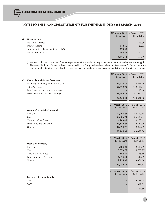|                                        | 31 <sup>st</sup> March, 2016 31 <sup>st</sup> March, 2015 |              |
|----------------------------------------|-----------------------------------------------------------|--------------|
|                                        | Rs. in Lakhs                                              | Rs. in Lakhs |
| 18. Other Income                       |                                                           |              |
| Job Work Charges                       |                                                           | 816.39       |
| Interest income                        | 448.66                                                    | 526.87       |
| Sundry credit balances written back(*) | 773.50                                                    |              |
| Miscellaneous Income                   | 294.25                                                    | 217.23       |
|                                        | 1.516.41                                                  | 1.560.49     |

(\*) Relates to old credit balances of certain suppliers/service providers for equipment supplies, civil and commissioning jobs. The excess liabilities of these parties as determined by the Company have been taken into Statement of Profit and Loss since asset-wise identification of the job values is not practical for their being various contracts and at various times in earlier years.

|                                        | 31 <sup>st</sup> March, 2016 31 <sup>st</sup> March, 2015 |                                                   |
|----------------------------------------|-----------------------------------------------------------|---------------------------------------------------|
|                                        | Rs. in Lakhs                                              | Rs. in Lakhs                                      |
| 19. Cost of Raw Materials Consumed     |                                                           |                                                   |
| Inventory at the beginning of the year | 41,974.43                                                 | 10,638.10                                         |
| Add: Purchases                         | 157,719.99                                                | 179,411.87                                        |
| Less: Inventory sold during the year   |                                                           | 18.16                                             |
| Less: Inventory at the end of the year | 16,949.48                                                 | 41,974.43                                         |
|                                        | 182,744.94                                                | 148,057.38                                        |
|                                        |                                                           |                                                   |
|                                        |                                                           | 31 <sup>st</sup> March, 2016 31st March, 2015     |
|                                        | Rs. in Lakhs                                              | Rs. in Lakhs                                      |
| <b>Details of Materials Consumed</b>   |                                                           |                                                   |
| Iron Ore                               | 54,903.28                                                 | 54,113.45                                         |
| Coal                                   | 98,036.91                                                 | 65,380.87                                         |
| Coke and Coke Fines                    | 1,269.49                                                  | 10,173.41                                         |
| Lime Stone and Dolomite                | 11,140.27                                                 | 9,387.26                                          |
| Others                                 | 17,394.97                                                 | 9,002.39                                          |
|                                        | 182,744.92                                                | 148,057.38                                        |
|                                        |                                                           |                                                   |
|                                        |                                                           | 31 <sup>st</sup> March, 2016 31st March, 2015     |
|                                        | <b>Rs. in Lakhs</b>                                       | Rs. in Lakhs                                      |
| <b>Details of Inventory</b>            |                                                           |                                                   |
| Iron Ore<br>Coal                       | 3,585.08                                                  | 9,315.89                                          |
| Coke and Coke Fines                    | 9,979.76                                                  | 26,700.27                                         |
| Lime Stone and Dolomite                | 142.80                                                    | 1,393.60                                          |
| Others                                 | 1,015.54                                                  | 1,542.99                                          |
|                                        | 2,226.30                                                  | 3,021.68                                          |
|                                        | 16,949.48                                                 | 41,974.43                                         |
|                                        |                                                           |                                                   |
|                                        | Rs. in Lakhs                                              | 31st March, 2016 31st March, 2015<br>Rs. in Lakhs |
| <b>Purchase of Traded Goods</b>        |                                                           |                                                   |
| Coal                                   |                                                           | 5,249.29                                          |
| <b>TMT</b>                             |                                                           | 612.51                                            |
|                                        |                                                           |                                                   |
|                                        |                                                           | 5,861.80                                          |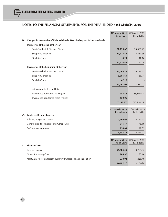|     |                                                                             | 31st March, 2016 31st March, 2015<br>Rs. in Lakhs | Rs. in Lakhs |
|-----|-----------------------------------------------------------------------------|---------------------------------------------------|--------------|
| 20. | Changes in Inventories of Finished Goods, Work-in-Progress & Stock-in-Trade |                                                   |              |
|     | Inventories at the end of the year                                          |                                                   |              |
|     | Semi-Finished & Finished Goods                                              | 27,755.67                                         | 23,068.23    |
|     | Scrap / By-products                                                         | 10,118.54                                         | 8,681.69     |
|     | Stock-in-Trade                                                              | 0.24                                              | 47.16        |
|     |                                                                             | 37,874.45                                         | 31,797.08    |
|     | Inventories at the beginning of the year                                    |                                                   |              |
|     | Semi-Finished & Finished Goods                                              | 23,068.23                                         | 6,746.53     |
|     | Scrap / By-products                                                         | 8,681.69                                          | 1,185.74     |
|     | Stock-in-Trade                                                              | 47.16                                             |              |
|     |                                                                             | 31,797.08                                         | 7,932.27     |
|     | Adjustment for Excise Duty                                                  |                                                   |              |
|     | Inventories transferred to Project                                          | 958.51                                            | (3, 146.57)  |
|     | Inventories transferred from Project                                        | 150.05                                            |              |
|     |                                                                             | (7, 185.93)                                       | (20, 718.24) |
|     |                                                                             |                                                   |              |
|     |                                                                             | 31st March, 2016 31st March, 2015<br>Rs. in Lakhs | Rs. in Lakhs |
| 21. | <b>Employee Benefits Expense</b>                                            |                                                   |              |
|     | Salaries, wages and bonus                                                   | 7,766.63                                          | 4,157.23     |
|     | Contribution to Provident and Other Funds                                   | 341.47                                            | 178.16       |
|     | Staff welfare expenses                                                      | 234.61                                            | 137.83       |
|     |                                                                             | 8,342.71                                          | 4,473.22     |
|     |                                                                             |                                                   |              |
|     |                                                                             | 31st March, 2016 31st March, 2015<br>Rs. in Lakhs | Rs. in Lakhs |
|     | 22. Finance Costs                                                           |                                                   |              |
|     | <b>Interest Expense</b>                                                     | 51,585.59                                         | 43,769.57    |
|     | Other Borrowing Cost                                                        | 706.97                                            | 1,175.16     |
|     | Net (Gain) / Loss on foreign currency transactions and translation          | 238.91                                            | 228.40       |
|     |                                                                             | 52,531.47                                         | 45,173.13    |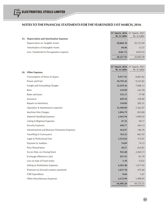| <b>23.</b> | <b>Depreciation and Amortisation Expenses</b> | 31 <sup>st</sup> March, 2016 31 <sup>st</sup> March, 2015<br>Rs. in Lakhs | Rs. in Lakhs |
|------------|-----------------------------------------------|---------------------------------------------------------------------------|--------------|
|            | Depreciation on Tangible Assets               | 20,860.18                                                                 | 20,722.04    |
|            | Amortisation of Intangible Assets             | 44.46                                                                     | 12.57        |
|            | Less: Transferred to Pre-operative expense    | (646.71)                                                                  | (649.52)     |
|            |                                               | 20,257.93                                                                 | 20,085.09    |

|                                               | <b>31° March, 2016</b> 31° March, 2015<br>Rs. in Lakhs | Rs. in Lakhs |
|-----------------------------------------------|--------------------------------------------------------|--------------|
| 24. Other Expenses                            |                                                        |              |
| Consumption of Stores & Spares                | 9,917.91                                               | 8,081.82     |
| Power and Fuel                                | 10,795.45                                              | 9,232.82     |
| Freight and Forwarding Charges                | 13,259.16                                              | 7,686.12     |
| Rent                                          | 319.09                                                 | 243.78       |
| Rates and taxes                               | 152.11                                                 | 57.90        |
| Insurance                                     | 429.54                                                 | 538.90       |
| Repairs to Machinery                          | 510.89                                                 | 285.31       |
| Operation & Maintenance expenses              | 13,189.09                                              | 7,262.97     |
| Machine Hire Charges                          | 1,094.79                                               | 835.00       |
| <b>Material Handling Expenses</b>             | 2,365.94                                               | 1,009.24     |
| Listing & Registrar Expenses                  | 47.35                                                  | 50.17        |
| <b>Security Expenses</b>                      | 344.77                                                 | 264.13       |
| Advertisement and Business Promotion Expenses | 163.07                                                 | 146.76       |
| Travelling & Conveyance                       | 763.21                                                 | 667.93       |
| Legal & Professional Fees                     | 1,522.83                                               | 372.01       |
| Payment to Auditors                           | 74.09                                                  | 74.15        |
| Prior Period Items                            | 18.57                                                  | 652.81       |
| Excise Duty on Closing Stock                  | 925.48                                                 | 2,464.13     |
| Exchange differences (net)                    | 297.91                                                 | 81.79        |
| Loss on Sale of Fixed Assets                  | 5.10                                                   | (5.62)       |
| Selling & Distribution Expenses               | 4,301.48                                               | 1,677.03     |
| Premium on forward contract amortised         | 1,627.10                                               | 475.60       |
| <b>CSR Expenditure</b>                        | 8.66                                                   | 1.61         |
| Other Miscellaneous Expenses                  | 2,272.99                                               | 1,998.95     |
|                                               | 64 406 58                                              | 44 155 31    |

<del>64,000.</del>58

**st** st **31 March, 2016** 31 March, 2015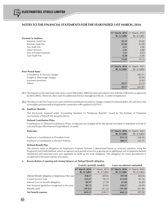|                                | 31 <sup>st</sup> March, 2016 31 <sup>st</sup> March, 2015 |              |
|--------------------------------|-----------------------------------------------------------|--------------|
|                                | Rs. in Lakhs                                              | Rs. in Lakhs |
| <b>Payment to Auditors</b>     |                                                           |              |
| <b>Statutory Audit Fee</b>     | 20.10                                                     | 20.00        |
| Internal Audit Fee             | 45.06                                                     | 45.00        |
| Tax Audit Fee                  | 3.51                                                      | 3.00         |
| <b>Other Services</b>          | 3.41                                                      | 4.86         |
| Out of Pocket Expenses         | 1.51                                                      | 0.83         |
| Cost Audit Fee                 | 0.50                                                      | 0.46         |
|                                | 74.09                                                     | 74.15        |
|                                |                                                           |              |
|                                | 31 <sup>st</sup> March, 2016 31 <sup>st</sup> March, 2015 |              |
|                                | Rs. in Lakhs                                              | Rs. in Lakhs |
| <b>Prior Period Items</b>      |                                                           |              |
| Consultancy & Services charges |                                                           | 565.11       |
| Freight & Demurrage charges    |                                                           | 50.94        |
| Insurance premium              |                                                           | 14.62        |
| <b>Others</b>                  | 18.57                                                     | 22.14        |
|                                | 18.57                                                     | 652.81       |

- **25.1** The Interest on the term loans due from a non-CDR lender (SREI) has been provided in line with the CDR terms as approved by the CDR EG. However, their claim for additional interest, management fee etc. is under renegotiation.
- **25.2** The dues to L&T Fin Corp on account of bill discounting are secured by charges created on all book debts, all cash flows and receivables and proceeds arising from/in connection with supplies to L&T ECC.

#### **26. Employee Benefits**

The disclosures required under Accounting Standard 15 "Employee Benefits" issued by the Institute of Chartered Accountants of India (ICAI), are given below:

#### **Defined Contribution Plans**

Contributions to Defined Contribution Plans, recognized are charged off for the period (included in Statement of Profit & Loss and Project Development Expenditure) as under:

| Particulars                               | 31 <sup>st</sup> March. 2016 31 <sup>st</sup> March. 2015 |              |
|-------------------------------------------|-----------------------------------------------------------|--------------|
|                                           | Rs. in Lakhs                                              | Rs. in Lakhs |
| Employer's Contribution to Provident Fund | 255.12                                                    | 236.54       |
| Employer's Contribution to Pension Scheme | 188.51                                                    | 127.71       |

#### **Defined Benefit Plan**

The present value of obligation for Employee's Gratuity Scheme is determined based on actuarial valuation using the Projected Unit Credit Method, which recognizes each period of service as giving rise to additional unit of employee benefit entitlement and measures each unit separately to build up the final obligation. The obligation for Leave Encashment is recognized in the same manner as Gratuity.

#### **a. Reconciliation of opening and closing balances of Defined Benefit obligation**

|                                                     | <b>Gratuity (partially funded)</b> |              | Leave encashment (unfunded)                                                                                         |              |
|-----------------------------------------------------|------------------------------------|--------------|---------------------------------------------------------------------------------------------------------------------|--------------|
|                                                     |                                    |              | 31 <sup>st</sup> March, 2016 31 <sup>st</sup> March, 2015 31 <sup>st</sup> March, 2016 31 <sup>st</sup> March, 2015 |              |
|                                                     | Rs. in Lakhs                       | Rs. in Lakhs | Rs. in Lakhs                                                                                                        | Rs. in Lakhs |
| Defined Benefit obligation at beginning of the year | 418.17                             | 269.41       | 397.90                                                                                                              | 269.36       |
| <b>Current Service Cost</b>                         | 133.67                             | 96.57        | 113.49                                                                                                              | 81.16        |
| Interest Cost on benefit obligation                 | 40.97                              | 27.50        | 41.80                                                                                                               | 26.69        |
| Net Actuarial (gain)/loss recognized in the year    | 49.71                              | 65.81        | 130.27                                                                                                              | 63.99        |
| Benefits paid                                       | (39.25)                            | (41.12)      | (39.34)                                                                                                             | (43.30)      |
| Net benefit expense                                 | 603.27                             | 418.17       | 644.12                                                                                                              | 397.90       |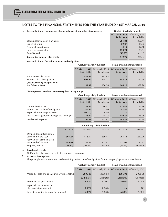| b. Reconciliation of opening and closing balances of fair value of plan assets: | <b>Gratuity (partially funded)</b> |  |
|---------------------------------------------------------------------------------|------------------------------------|--|
|                                                                                 |                                    |  |

|                                   |              | 31 <sup>st</sup> March, 2016 31 <sup>st</sup> March, 2015 |
|-----------------------------------|--------------|-----------------------------------------------------------|
|                                   | Rs. in Lakhs | Rs. in Lakhs                                              |
| Opening fair value of plan assets | 281.83       | 202.41                                                    |
| Expected return                   | 29.27        | 19.32                                                     |
| Actuarial gains/(losses)          | 4.19         | 17.68                                                     |
| Employer contribution             | 173.91       | 83.54                                                     |
| Benefits paid                     | (39.25)      | (41.12)                                                   |
| Closing fair value of plan assets | 449.95       | 281.83                                                    |

#### **c. Reconciliation of fair value of assets and obligations**

|                                                       | <b>Gratuity (partially funded)</b> |              | Leave encashment (unfunded)                                                                                                         |              |
|-------------------------------------------------------|------------------------------------|--------------|-------------------------------------------------------------------------------------------------------------------------------------|--------------|
|                                                       | Rs. in Lakhs                       | Rs. in Lakhs | 31 <sup>st</sup> March, 2016 31 <sup>st</sup> March, 2015 31 <sup>st</sup> March, 2016 31 <sup>st</sup> March, 2015<br>Rs. in Lakhs | Rs. in Lakhs |
| Fair value of plan assets                             | 449.95                             | 281.83       |                                                                                                                                     |              |
| Present value of obligations                          | 603.27                             | 418.17       | 644.12                                                                                                                              | 397.90       |
| (Assets)/Liability recognized in<br>the Balance Sheet | 153.32                             | 136.34       | 644.12                                                                                                                              | 397.90       |

#### **d. Net employee benefit expense recognized during the year**

|                                                  | <b>Gratuity (partially funded)</b> |              | Leave encashment (unfunded)                                                                                         |              |
|--------------------------------------------------|------------------------------------|--------------|---------------------------------------------------------------------------------------------------------------------|--------------|
|                                                  |                                    |              | 31 <sup>st</sup> March, 2016 31 <sup>st</sup> March, 2015 31 <sup>st</sup> March, 2016 31 <sup>st</sup> March, 2015 |              |
|                                                  | Rs. in Lakhs                       | Rs. in Lakhs | Rs. in Lakhs                                                                                                        | Rs. in Lakhs |
| <b>Current Service Cost</b>                      | 133.67                             | 96.57        | 113.49                                                                                                              | 81.16        |
| Interest Cost on benefit obligation              | 40.97                              | 27.50        | 41.80                                                                                                               | 26.69        |
| Expected return on plan assets                   | (29.27)                            | (19.32)      |                                                                                                                     |              |
| Net Actuarial (gain)/loss recognized in the year | 45.52                              | 48.12        | 130.27                                                                                                              | 63.99        |
| Net benefit expense                              | 190.89                             | 152.87       | 285.56                                                                                                              | 171.84       |

|                                                        | <b>Gratuity (partially funded)</b> |          |         |         |          |
|--------------------------------------------------------|------------------------------------|----------|---------|---------|----------|
|                                                        | 2015-16                            | 2014-15  | 2013-14 | 2012-13 | 2011-12  |
| Defined Benefit Obligation<br>at the end of the year   | 603.27                             | 418.17   | 269.41  | 263.58  | 252.26   |
| Fair value of planned assets<br>at the end of the year | 449.95                             | 281.83   | 202.41  | 227.03  | 132.81   |
| Surplus/(Deficit)                                      | (153.32)                           | (136.34) | (67.00) | (36.55) | (119.45) |

#### **e. Investment Details**

100% of the plan assets are with the Insurance Company.

## **f. Actuarial Assumptions**

The principle assumptions used in determining defined benefit obligations for the company's plan are shown below:

|                                                       | Gratuity (partially funded) |                                                                                                                     | Leave encashment (unfunded) |            |  |
|-------------------------------------------------------|-----------------------------|---------------------------------------------------------------------------------------------------------------------|-----------------------------|------------|--|
|                                                       |                             | 31 <sup>st</sup> March, 2016 31 <sup>st</sup> March, 2015 31 <sup>st</sup> March, 2016 31 <sup>st</sup> March, 2015 |                             |            |  |
| Mortality Table (Indian Assured Lives Mortality)      | 2006-08                     | 2006-08                                                                                                             | 2006-08                     | 2006-08    |  |
|                                                       | (Ultimate)                  | (Ultimate)                                                                                                          | (Ultimate)                  | (Ultimate) |  |
| Discount rate (per annum)                             | $8.00\%$                    | 8.00%                                                                                                               | $8.00\%$                    | $8.00\%$   |  |
| Expected rate of return on<br>plan assets (per annum) | $8.00\%$                    | 8.00%                                                                                                               | <b>NA</b>                   | <b>NA</b>  |  |
| Rate of escalation in salary (per annum)              | $6.00\%$                    | $5.00\%$                                                                                                            | $6.00\%$                    | $5.00\%$   |  |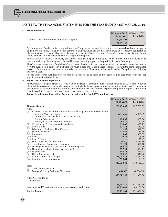#### **27. Exceptional Items**

|                                                       | $JI$ <i>IVIGICII, <b>ZUIU</b></i> JI <i>IVIGICII, <b>ZUIJ</b></i> |              |
|-------------------------------------------------------|-------------------------------------------------------------------|--------------|
|                                                       | Rs. in Lakhs                                                      | Rs. in Lakhs |
| Claim for Loss of Profit from Contractors / Suppliers | 27,651.92                                                         |              |
|                                                       | 27.651.92                                                         |              |
|                                                       |                                                                   |              |

**31<sup>st</sup> March, 2016** 31<sup>st</sup> March, 2015

For its Integrated Steel Manufacturing facilities, the Company had entered into contracts with several parties for supply of equipment, structures, civil and erection commissioning etc. Given the fact that the time was an essence, the contracts had clauses relating to recovery of liquidated damages and penalties from the vendors. Essentially, the objective of these clauses was to compensate the Company for the loss of opportunity/profit.

There was significant delay in delivery and commissioning of the plant modules by some of these vendors thereby delaying the commissioning of the integrated plant and having a cascading impact on the profitability of the Company.

The Company, on account of such loss of profit due to the delays in past, has assessed and recovered a part of the amount from the available old balance in the Supplier's Payable accounts. Since the said recovery is towards the compensation for loss of profit, the amount has been recognised as income in the "Statement of Profit and Loss" as "Exceptional Item" during the current year.

For the unrecovered such loss of profit, requisite action has to be taken and the same will be accounted for in the year significant certainty is established.

#### **28. Project Development Expenditure**

The Company's Integrated Steel & DI Pipe Plant in the State of Jharkhand, India, is under construction & erection. A part of plant facility has commenced production and accordingly the balance proportionate expenditure related to the plant under construction & erection continues to be accounted as 'Project Development Expenditure' pending capitalization under 'Capital Work-in-Progress'. Necessary details have been disclosed below:

#### **Project Development Expenditure Account (Included under Capital Work-in-Progress)**

| <b>Opening Balance</b><br>271,456.00                                                        |       | 237,709.52         |
|---------------------------------------------------------------------------------------------|-------|--------------------|
| Add:<br>Payments to and Provisions for Employees (including personnel on deputation)<br>(i) |       |                    |
| - Salaries, Wages and Bonus<br>2,846.66<br>- Contribution to Provident Fund, Gratuity Fund, |       | 5,021.99           |
| Pension Scheme, etc.<br>254.38                                                              |       | 305.56             |
| - Employee welfare and other amenities<br>298.10                                            |       | 317.90             |
| Consultancy, Professional and Legal Fees<br>623.86<br>(ii)                                  |       | 938.73             |
| Power & Fuel<br>(iii)<br>126.71<br>Labour and Machinery Hire Charges<br>(iv)                | 11.50 | 1,732.98<br>512.55 |
| Security expenses<br>436.67<br>(v)                                                          |       | 336.16             |
| Insurance<br>(v <sub>i</sub> )                                                              | 3.69  | 685.87             |
| (vii) Rent                                                                                  | 29.43 | 105.19             |
| (viii) Rates & Taxes                                                                        |       | 36.42              |
| Stores & Spares consumption<br>(216.91)<br>(ix)                                             |       | 5,539.16           |
| <b>Travelling and Conveyance Expenses</b><br>911.95<br>(x)                                  |       | 850.10             |
| Exchange Fluctuation (Considered as Borrowing Cost)<br>(xi)<br>302.59                       |       | 290.69             |
| (xii) General and Administrative Expenses (net)<br>697.99<br>(xiii) Depreciation<br>646.71  |       | 1,804.71<br>649.52 |
| (xiv) Other Borrowing Cost<br>835.47                                                        |       | 840.26             |
| (xv) Interest and Finance Charges<br>58,055.74                                              |       | 52,881.09          |
| (xvi) Premium on forward contract<br>599.84                                                 |       | 24.37              |
| 337,920.38                                                                                  |       | 310,582.77         |
| Less:                                                                                       |       |                    |
| Credit for Project Scrap<br>(i)                                                             |       |                    |
| Foreign Currency Exchange Fluctuation<br>(2,061.12)<br>(ii)                                 |       | (1,038.79)         |
| 339,981.50                                                                                  |       | 311,621.56         |
| Add: Provision for tax                                                                      |       |                    |
| - Income Tax                                                                                |       |                    |
| 339,981.50                                                                                  |       | 311,621.56         |
| Less: Allocated/Transferred during the year to completed assets<br>259,230.49               |       | 40,165.56          |
| <b>Closing Balance</b><br>80,751.01                                                         |       | 271,456.00         |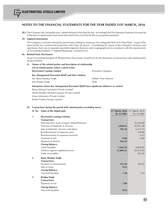**28.1** The Company has, during the year, capitalized part of the plant facility. Accordingly the Pre-Operative Expenses incurred up to the date of capitalization have been allocated to the cost of the facility on a proportionate basis.

#### **29. Segment information**

The Company's activities during the period were relating to setting up of its Integrated Steel & D I Pipe Plant. A part of the plant facility has commenced production (refer Note 28 above). Considering the nature of the Company's business and operations, there are no separate reportable segments (business and/ or geographical) in accordance with the requirements of Accounting Standard 17 'Segment Reporting', issued by ICAI.

#### **30. Related Party Disclosures**

As per Accounting Standard 18 'Related Party Disclosures' issued by ICAI, the disclosure of transactions with related parties are given below:

| (i) | Names of the related parties and description of relationship |                       |  |  |  |
|-----|--------------------------------------------------------------|-----------------------|--|--|--|
|     | List of related parties where control exists:                |                       |  |  |  |
|     | <b>Electrosteel Castings Limited</b>                         | - Promoter Company    |  |  |  |
|     | Key Management Personnel (KMP) and their relatives           |                       |  |  |  |
|     | Mr. Rama Shankar Singh                                       | - Whole Time Director |  |  |  |
|     | Mrs Puspha Singh                                             | - Wife                |  |  |  |
|     |                                                              |                       |  |  |  |

#### **Enterprises where Key Management Personnel (KMP) have significant influence or control**

Rama Mining Consultants Private Limited North Dhadhu Mining Company Private Limited Asian Informatics Private Limited Jhilmil Traders Private Limited

#### **(ii) Transactions during the period with related parties (excluding taxes):**

|                | Sl. No. Name of the related party            | Rs. in Lakhs | 31 <sup>st</sup> March, 2016 31 <sup>st</sup> March, 2015<br>Rs. in Lakhs |
|----------------|----------------------------------------------|--------------|---------------------------------------------------------------------------|
| 1              | <b>Electrosteel Castings Limited</b>         |              |                                                                           |
|                | <b>Transactions:</b>                         |              |                                                                           |
|                | Proceeds from issue of Equity Shares/Premium |              | 22,250.00                                                                 |
|                | Purchase of Materials & Services             | 3,838.41     | 45,011.58                                                                 |
|                | Sale of Materials, Services and others       | 781.26       | 6,317.74                                                                  |
|                | Reimbursement of expenses paid               |              | 139.86                                                                    |
|                | Reimbursement of expenses received           |              | 0.12                                                                      |
|                | Payment of rent                              | 0.60         | 0.60                                                                      |
|                | Payment of Interest                          | 101.43       |                                                                           |
|                | <b>Closing Balance:</b>                      |              |                                                                           |
|                | <b>Trade Payables</b>                        | 1,565.35     | 4,870.85                                                                  |
|                | Advance against supplies/services            | 21,869.21    | 26,373.83                                                                 |
|                | Trade receivables                            |              | 521.82                                                                    |
| $\overline{2}$ | Rama Shankar Singh                           |              |                                                                           |
|                | <b>Transactions:</b>                         |              |                                                                           |
|                | Payment of remuneration                      | 151.99       | 145.42                                                                    |
|                | Sale of Asset                                | 9.53         |                                                                           |
|                | <b>Closing Balance:</b>                      |              |                                                                           |
|                | Year End Payables                            | 7.30         | 7.24                                                                      |
| 3              | <b>Pushpa Singh</b>                          |              |                                                                           |
|                | <b>Transactions:</b>                         |              |                                                                           |
|                | Payment of rent                              | 7.80         |                                                                           |
|                | <b>Closing Balance:</b>                      |              |                                                                           |
|                | Year End Payables                            | 0.65         |                                                                           |
|                |                                              |              |                                                                           |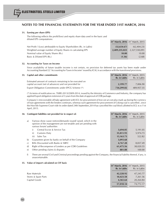#### **31. Earning per share (EPS)**

The following reflects the profit/(loss) and equity share data used in the basic and diluted EPS computations:

| (32.654.67) | (62, 404, 23)                                         |
|-------------|-------------------------------------------------------|
|             | 2,327,550,091                                         |
| 10.00       | 10.00                                                 |
| (1.36)      | (2.68)                                                |
|             | <b>31 March, 2016</b> 31 March, 2015<br>2,409,235,023 |

#### **32. Accounting for Taxes on Income**

Since availability of future taxable income is not certain, no provision for deferred tax assets has been made under Accounting Standard 22 'Accounting for Taxes in Income' issued by ICAI, in accordance with the transitional provisions.

| 33. Capital and other commitments                         | 31 <sup>st</sup> March, 2016 31 <sup>st</sup> March, 2015 |              |
|-----------------------------------------------------------|-----------------------------------------------------------|--------------|
|                                                           | Rs. in Lakhs                                              | Rs. in Lakhs |
| Estimated amount of contracts remaining to be executed on |                                                           |              |
| capital account (net of advances) and not provided for    | 2.199.77                                                  | 7,006.90     |
| Export Obligation Commitments under EPCG Scheme (*)       | 734.299.02                                                | 489.957.35   |

(\*) In terms of notification no. 70(RE-2013)/2009-2014, issued by the Ministry of Commerce and Industry, the company has applied Export obligation extension of 3 years from the date of approval of CDR package.

Company's irrecoverable off-take agreement with ECL for procurement of Iron ore at cost plus mark up during the currency of loan agreements with the lenders continues, whereas such agreement for procurement of Coking coal is cancelled , since the Hon'ble Supreme Court vide its order dated 24th September,2014 has cancelled the coal block allotted to ECL w.e.f 1st April, 2015.

|              | 34. Contingent liabilities not provided for in respect of:                                                                                                      | 31 <sup>st</sup> March, 2016 31 <sup>st</sup> March, 2015<br>Rs. in Lakhs | Rs. in Lakhs |
|--------------|-----------------------------------------------------------------------------------------------------------------------------------------------------------------|---------------------------------------------------------------------------|--------------|
| a)           | Various show cause notices/demands issued/ raised, which in the<br>opinion of the management are not tenable and are pending with<br>various forum/ authorities |                                                                           |              |
|              | Central Excise & Service Tax<br>i)                                                                                                                              | 3,694.05                                                                  | 5,191.05     |
|              | ii)<br>Customs Duty                                                                                                                                             | 35,811.93                                                                 | 5,974.73     |
|              | iii)<br>Sales Tax                                                                                                                                               | 13,163.73                                                                 | 522.82       |
| $\mathbf{b}$ | Guarantees given by banks on behalf of the Company                                                                                                              | 3,093.68                                                                  |              |
| $\mathbf{C}$ | Bills Discounted with Banks & NBFC                                                                                                                              | 4,767.28                                                                  | 8,837.49     |
| $\mathbf{d}$ | Right of Recompense of Lenders as per CDR Guidelines                                                                                                            | 61,475.56                                                                 | 38,020.55    |
| e)           | Other pending claims & disputes                                                                                                                                 | 881.88                                                                    | 100.00       |

f) There are several Civil and Criminal proceedings pending against the Company, the financial liability thereof, if any, is unascertainable.

**31<sup>st</sup> March, 2016** 31<sup>st</sup> March, 2015

#### **35. Value of import calculated on CIF basis**

|                      | $31$ <i>IVIDI CIT, LOTO 31 IVIDICIT, LOTS</i><br>Rs. in Lakhs | Rs. in Lakhs |
|----------------------|---------------------------------------------------------------|--------------|
| Raw Materials        | 42,228.92                                                     | 47,245.77    |
| Stores & Spare Parts | 10,423.58                                                     | 7,261.56     |
| Capital Goods        | 4,365.64                                                      | 20,264.84    |
|                      | 57,018.14                                                     | 74,772.17    |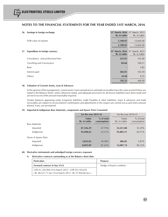| 36. Earnings in foreign exchange       | Rs. in Lakhs | 31 <sup>st</sup> March, 2016 31 <sup>st</sup> March, 2015<br>Rs. in Lakhs |
|----------------------------------------|--------------|---------------------------------------------------------------------------|
| FOB value of exports                   | 5,108.03     | 13,664.46                                                                 |
|                                        | 5,108.03     | 13,664.46                                                                 |
| Expenditure in foreign currency<br>37. | Rs. in Lakhs | 31 <sup>st</sup> March, 2016 31st March, 2015<br>Rs. in Lakhs             |
| Consultancy and professional fees      | 223.05       | 142.40                                                                    |
| Travelling and Conveyance              | 84.68        | 100.21                                                                    |
| Rent                                   |              | 3.85                                                                      |
| Interest paid                          | 382.81       | 192.59                                                                    |
| Others                                 | 14.98        | 9.35                                                                      |
|                                        | 705.52       | 448.40                                                                    |

#### **38. Valuation of Current Assets, Loan & Advances**

In the opinion of the management, current assets, loans and advances and trade receivables have the value at which these are stated in the Balance Sheet, unless otherwise stated, and adequate provisions for all known liabilities have been made and are not in excess of the amount reasonably required.

Vendor balances appearing under Long-term liabilities, trade Payables & other liabilities, loans & advances and trade receivables are subject to reconciliation/ confirmation and adjustments in this respect are carried out as and when amount thereof, if any, are ascertained.

#### **39. Imported & Indigenous Raw Materials, components and Spares Parts Consumed**

|                       | for the year 2015-16  |                           | for the year $2014-15$ |                             |
|-----------------------|-----------------------|---------------------------|------------------------|-----------------------------|
|                       | Value<br>Rs. in Lakhs | % of total<br>consumption | Value<br>Rs. in Lakhs  | $%$ of total<br>consumption |
| Raw Materials         |                       |                           |                        |                             |
| Imported              | 87,336.29             | $47.79\%$                 | 52,251.88              | $35.29\%$                   |
| Indigenous            | 95,408.65             | $52.21\%$                 | 95,805.51              | 64.71%                      |
| Stores & Spares Parts |                       |                           |                        |                             |
| Imported              | 1,822.82              | 18.38%                    | 486.05                 | $3.87\%$                    |
| Indigenous            | 8,095.09              | 81.62%                    | 12,087.74              | $96.13\%$                   |

#### **40. Derivative instruments and unhedged foreign currency exposure**

#### **A. Derivative contracts outstanding as at the Balance sheet date:**

| <b>Particulars</b>                                                                                              | <b>Purpose</b>            |
|-----------------------------------------------------------------------------------------------------------------|---------------------------|
| Forward contract to buy US \$                                                                                   | Hedge of buyers creditors |
| US\$ 41,120,584 (31st March 2015 : US\$ 59,110,635)<br>(Rs 28,527.71 lacs (31st March 2015 : Rs 37,950.66 lacs) |                           |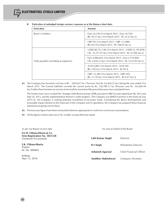| <b>Particulars</b>                     | Amount                                                                                                          |  |
|----------------------------------------|-----------------------------------------------------------------------------------------------------------------|--|
| <b>Buyer's Creditors</b>               | Euro 24,158 (31st March 2015 : Euro 34,750)<br>[Rs 18.21 lacs (31st March 2015 : Rs 23.22 lacs )]               |  |
|                                        | GBP Nil (31st March 2015 : GBP 117,080)<br>[Rs Nil (31st March 2015 : Rs 108.03 lacs)]                          |  |
|                                        | USD\$ 48,721,138 (31st March 2015: USD\$ 52,193,859)<br>[Rs 32,277.91 lacs (31st March 2015 : Rs 32,506 lacs )] |  |
| Trade payables (including acceptances) | Euro 4,006,642 (31st March 2015 : Euro 3,774,400)<br>[ Rs 3,020.21 lacs (31st March 2015 : Rs 2,522.05 lacs )]  |  |
|                                        | AUD 6,000 (31st March 2015 : AUD Nil)<br>[Rs 3.04 lacs (31st March 2015 : Rs Nil)]                              |  |
|                                        | GBP -12,300 (31st March 2015: GBP 505)<br>[Rs -11.70 lacs (31st March 2015 : Rs 0.47 lacs )]                    |  |

**B. Particulars of unhedged foreign currency exposure as at the Balance sheet date:**

**41.** The Company has incurred a net loss of Rs. 32654.67 lac ( Previous Year Rs. 62,404,23 lac) during the year ended 31st March 2015. The Current liabilities exceeds the current assets by Rs. 320,780.13 lac (Previous year Rs. 163,669.49 lac).Further there has been an erosion of net worth by more than fifty percent because of accumulated losses.

The lenders have since invoked the 'Strategic Debt Restructuring' (SDR) pursuant to RBI Circulars dated June 08, 2015 and Sept 24, 2015, and the implementation thereof is under progress. The Company was EBIDTA positive in the financial year 2015-16. The Company is seeking potential investment of necessary funds. Considering the above developments and favourable impact thereof on the financials of the Company and its operations, the Company has prepared these financial statements on going concern basis.

- **42.** Previous year figures have been reclassified wherever appropriate to confirm to current year's presentation.
- **43.** All the figures in these notes are in 'Rs. in lakhs' except otherwise stated.

As per our Report of even date For an extending the Board on behalf of the Board **For B. Chhawchharia & Co. Firm Registration No. 305123E** Chartered Accountants **S.K. Chhawchharia** Partner M. No. 008482 Kolkata May 13, 2016 **Lalit Kumar Singhi** *Director* **R S Singh** *Wholetime Director* **Ashutosh Agarwal** *Chief Financial Officer* **Anubhav Maheshwari** *Company Secretary*